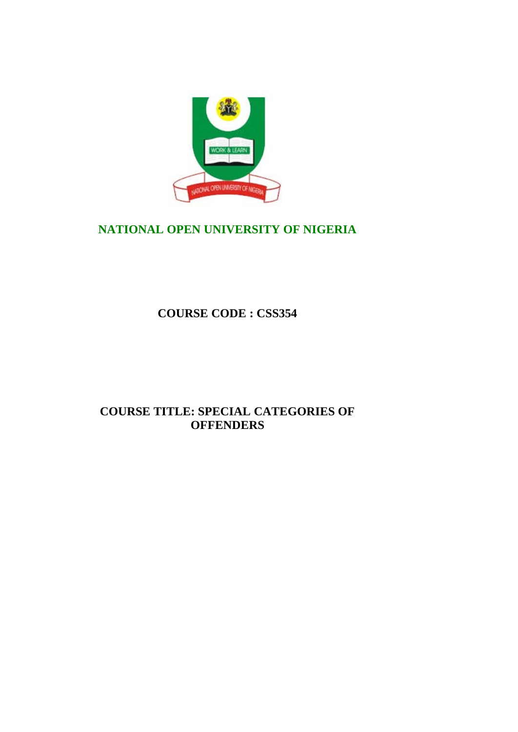

# **NATIONAL OPEN UNIVERSITY OF NIGERIA**

**COURSE CODE : CSS354**

# **COURSE TITLE: SPECIAL CATEGORIES OF OFFENDERS**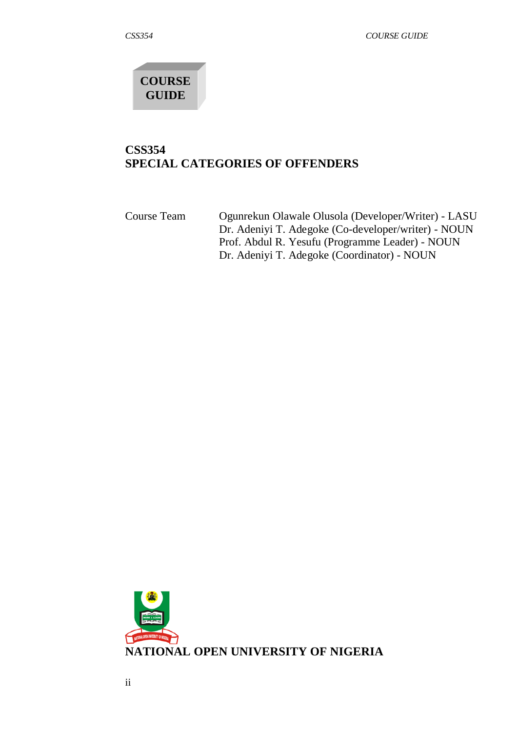

# **CSS354 SPECIAL CATEGORIES OF OFFENDERS**

Course Team Ogunrekun Olawale Olusola (Developer/Writer) - LASU Dr. Adeniyi T. Adegoke (Co-developer/writer) - NOUN Prof. Abdul R. Yesufu (Programme Leader) - NOUN Dr. Adeniyi T. Adegoke (Coordinator) - NOUN

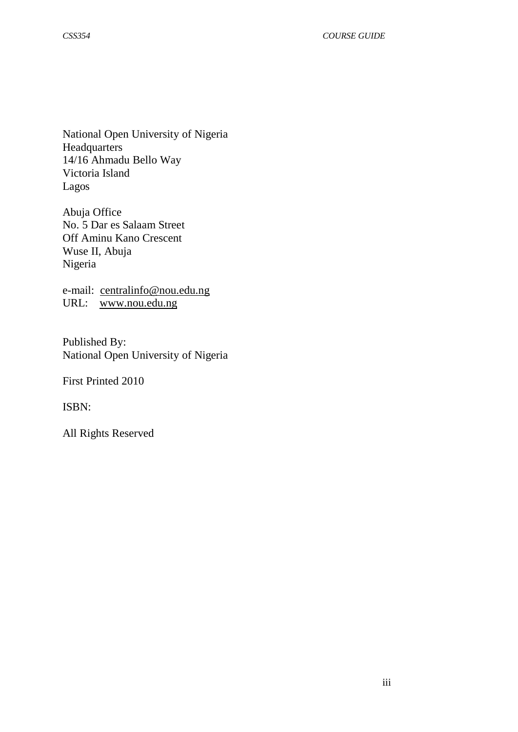National Open University of Nigeria Headquarters 14/16 Ahmadu Bello Way Victoria Island Lagos

Abuja Office No. 5 Dar es Salaam Street Off Aminu Kano Crescent Wuse II, Abuja Nigeria

e-mail: [centralinfo@nou.edu.ng](mailto:centralinfo@nou.edu.ng) URL: [www.nou.edu.ng](http://www.nou.edu.ng/)

Published By: National Open University of Nigeria

First Printed 2010

ISBN:

All Rights Reserved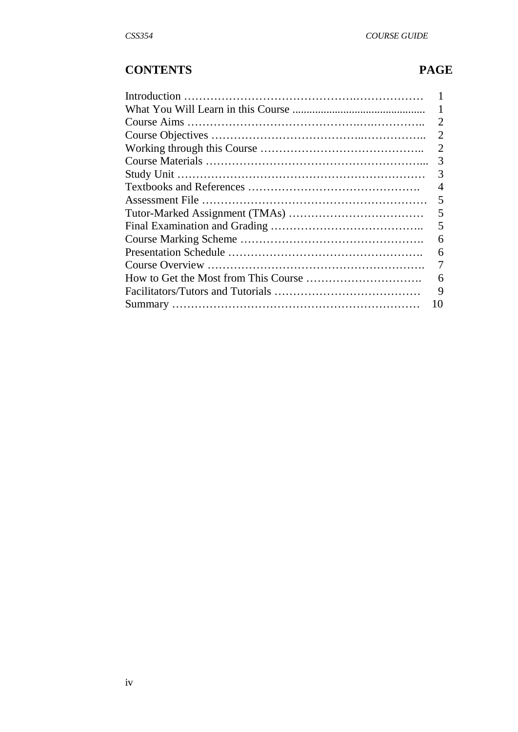# **CONTENTS PAGE**

| $\mathcal{D}_{\mathcal{L}}$ |
|-----------------------------|
| $\overline{2}$              |
| 2                           |
| 3                           |
| 3                           |
| 4                           |
| 5                           |
| 5                           |
| 5                           |
| 6                           |
| 6                           |
| 7                           |
| 6                           |
| 9                           |
| 10                          |
|                             |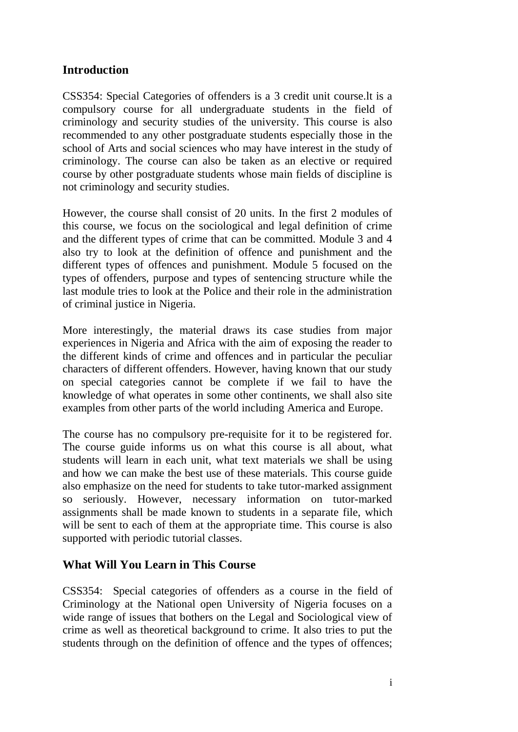# **Introduction**

CSS354: Special Categories of offenders is a 3 credit unit course.lt is a compulsory course for all undergraduate students in the field of criminology and security studies of the university. This course is also recommended to any other postgraduate students especially those in the school of Arts and social sciences who may have interest in the study of criminology. The course can also be taken as an elective or required course by other postgraduate students whose main fields of discipline is not criminology and security studies.

However, the course shall consist of 20 units. In the first 2 modules of this course, we focus on the sociological and legal definition of crime and the different types of crime that can be committed. Module 3 and 4 also try to look at the definition of offence and punishment and the different types of offences and punishment. Module 5 focused on the types of offenders, purpose and types of sentencing structure while the last module tries to look at the Police and their role in the administration of criminal justice in Nigeria.

More interestingly, the material draws its case studies from major experiences in Nigeria and Africa with the aim of exposing the reader to the different kinds of crime and offences and in particular the peculiar characters of different offenders. However, having known that our study on special categories cannot be complete if we fail to have the knowledge of what operates in some other continents, we shall also site examples from other parts of the world including America and Europe.

The course has no compulsory pre-requisite for it to be registered for. The course guide informs us on what this course is all about, what students will learn in each unit, what text materials we shall be using and how we can make the best use of these materials. This course guide also emphasize on the need for students to take tutor-marked assignment so seriously. However, necessary information on tutor-marked assignments shall be made known to students in a separate file, which will be sent to each of them at the appropriate time. This course is also supported with periodic tutorial classes.

# **What Will You Learn in This Course**

CSS354: Special categories of offenders as a course in the field of Criminology at the National open University of Nigeria focuses on a wide range of issues that bothers on the Legal and Sociological view of crime as well as theoretical background to crime. It also tries to put the students through on the definition of offence and the types of offences;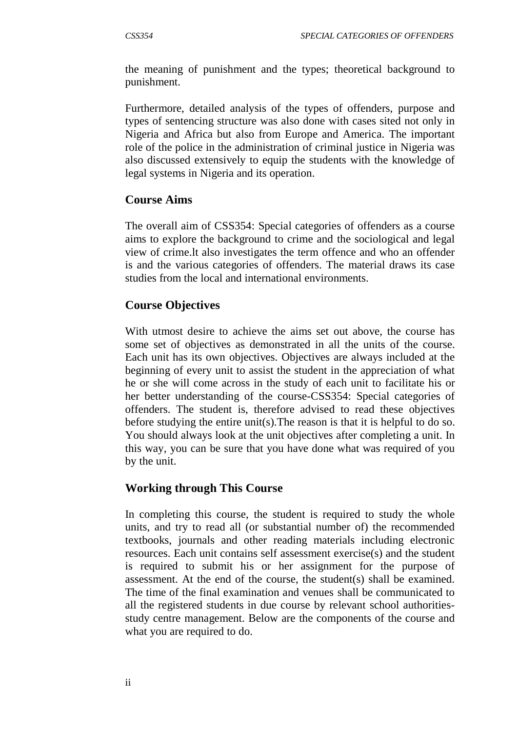the meaning of punishment and the types; theoretical background to punishment.

Furthermore, detailed analysis of the types of offenders, purpose and types of sentencing structure was also done with cases sited not only in Nigeria and Africa but also from Europe and America. The important role of the police in the administration of criminal justice in Nigeria was also discussed extensively to equip the students with the knowledge of legal systems in Nigeria and its operation.

#### **Course Aims**

The overall aim of CSS354: Special categories of offenders as a course aims to explore the background to crime and the sociological and legal view of crime.lt also investigates the term offence and who an offender is and the various categories of offenders. The material draws its case studies from the local and international environments.

## **Course Objectives**

With utmost desire to achieve the aims set out above, the course has some set of objectives as demonstrated in all the units of the course. Each unit has its own objectives. Objectives are always included at the beginning of every unit to assist the student in the appreciation of what he or she will come across in the study of each unit to facilitate his or her better understanding of the course-CSS354: Special categories of offenders. The student is, therefore advised to read these objectives before studying the entire unit(s).The reason is that it is helpful to do so. You should always look at the unit objectives after completing a unit. In this way, you can be sure that you have done what was required of you by the unit.

#### **Working through This Course**

In completing this course, the student is required to study the whole units, and try to read all (or substantial number of) the recommended textbooks, journals and other reading materials including electronic resources. Each unit contains self assessment exercise(s) and the student is required to submit his or her assignment for the purpose of assessment. At the end of the course, the student(s) shall be examined. The time of the final examination and venues shall be communicated to all the registered students in due course by relevant school authoritiesstudy centre management. Below are the components of the course and what you are required to do.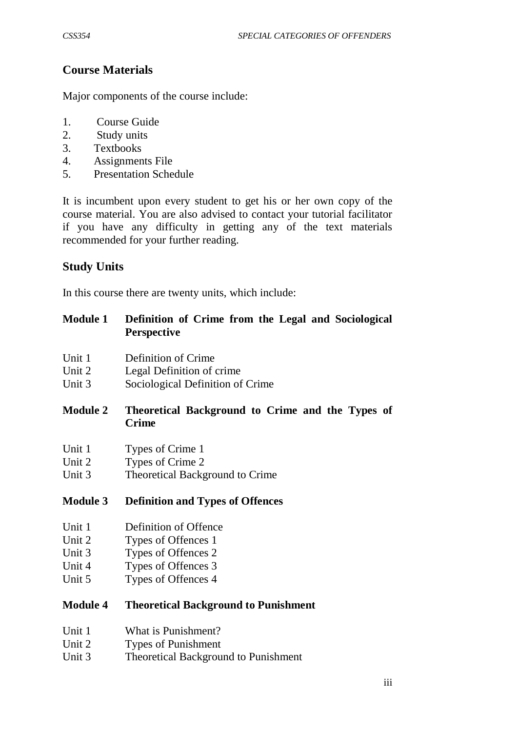# **Course Materials**

Major components of the course include:

- 1. Course Guide
- 2. Study units
- 3. Textbooks
- 4. Assignments File
- 5. Presentation Schedule

It is incumbent upon every student to get his or her own copy of the course material. You are also advised to contact your tutorial facilitator if you have any difficulty in getting any of the text materials recommended for your further reading.

# **Study Units**

In this course there are twenty units, which include:

| <b>Module 1</b> | Definition of Crime from the Legal and Sociological |
|-----------------|-----------------------------------------------------|
|                 | <b>Perspective</b>                                  |

- Unit 1 Definition of Crime
- Unit 2 Legal Definition of crime
- Unit 3 Sociological Definition of Crime

## **Module 2 Theoretical Background to Crime and the Types of Crime**

- Unit 1 Types of Crime 1
- Unit 2 Types of Crime 2
- Unit 3 Theoretical Background to Crime

#### **Module 3 Definition and Types of Offences**

- Unit 1 Definition of Offence
- Unit 2 Types of Offences 1
- Unit 3 Types of Offences 2
- Unit 4 Types of Offences 3
- Unit 5 Types of Offences 4

## **Module 4 Theoretical Background to Punishment**

- Unit 1 What is Punishment?
- Unit 2 Types of Punishment
- Unit 3 Theoretical Background to Punishment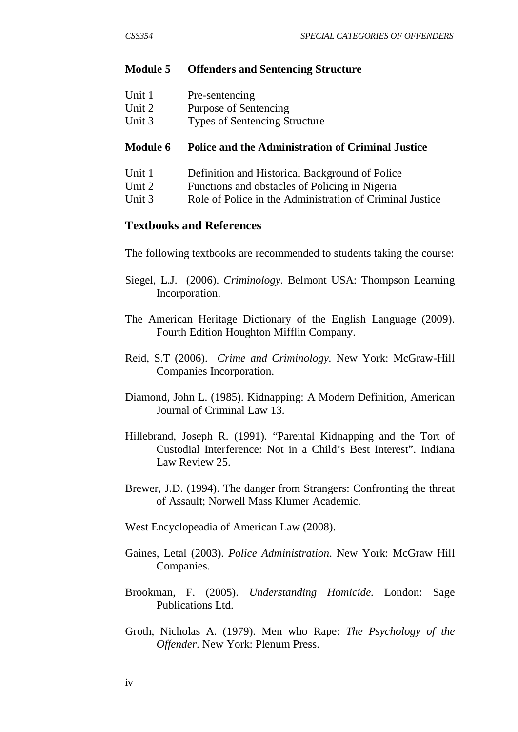#### **Module 5 Offenders and Sentencing Structure**

| Unit 1<br>Pre-sentencing |
|--------------------------|
|--------------------------|

- Unit 2 Purpose of Sentencing<br>
Unit 3 Types of Sentencing St
- Types of Sentencing Structure

#### **Module 6 Police and the Administration of Criminal Justice**

- Unit 1 Definition and Historical Background of Police
- Unit 2 Functions and obstacles of Policing in Nigeria
- Unit 3 Role of Police in the Administration of Criminal Justice

#### **Textbooks and References**

The following textbooks are recommended to students taking the course:

- Siegel, L.J. (2006). *Criminology.* Belmont USA: Thompson Learning Incorporation.
- The American Heritage Dictionary of the English Language (2009). Fourth Edition Houghton Mifflin Company.
- Reid, S.T (2006). *Crime and Criminology.* New York: McGraw-Hill Companies Incorporation.
- Diamond, John L. (1985). Kidnapping: A Modern Definition, American Journal of Criminal Law 13.
- Hillebrand, Joseph R. (1991). "Parental Kidnapping and the Tort of Custodial Interference: Not in a Child's Best Interest". Indiana Law Review 25.
- Brewer, J.D. (1994). The danger from Strangers: Confronting the threat of Assault; Norwell Mass Klumer Academic.

West Encyclopeadia of American Law (2008).

- Gaines, Letal (2003). *Police Administration*. New York: McGraw Hill Companies.
- Brookman, F. (2005). *Understanding Homicide.* London: Sage Publications Ltd.
- Groth, Nicholas A. (1979). Men who Rape: *The Psychology of the Offender*. New York: Plenum Press.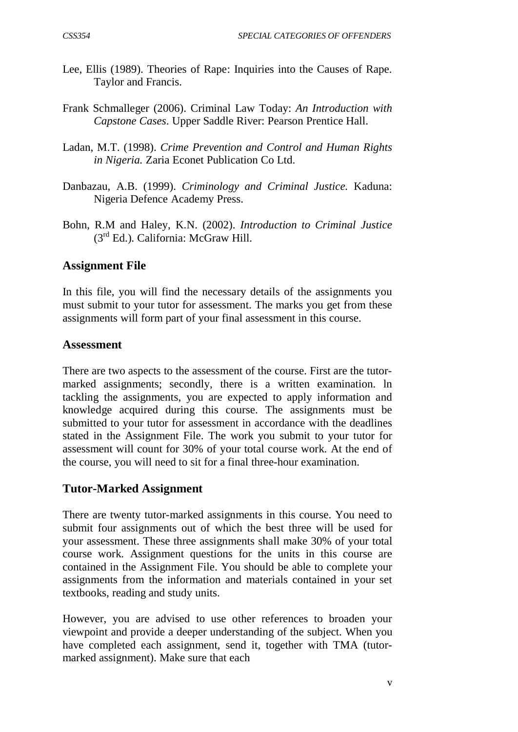- Lee, Ellis (1989). Theories of Rape: Inquiries into the Causes of Rape. Taylor and Francis.
- Frank Schmalleger (2006). Criminal Law Today: *An Introduction with Capstone Cases*. Upper Saddle River: Pearson Prentice Hall.
- Ladan, M.T. (1998). *Crime Prevention and Control and Human Rights in Nigeria.* Zaria Econet Publication Co Ltd.
- Danbazau, A.B. (1999). *Criminology and Criminal Justice.* Kaduna: Nigeria Defence Academy Press.
- Bohn, R.M and Haley, K.N. (2002). *Introduction to Criminal Justice* (3rd Ed.). California: McGraw Hill.

# **Assignment File**

In this file, you will find the necessary details of the assignments you must submit to your tutor for assessment. The marks you get from these assignments will form part of your final assessment in this course.

## **Assessment**

There are two aspects to the assessment of the course. First are the tutormarked assignments; secondly, there is a written examination. ln tackling the assignments, you are expected to apply information and knowledge acquired during this course. The assignments must be submitted to your tutor for assessment in accordance with the deadlines stated in the Assignment File. The work you submit to your tutor for assessment will count for 30% of your total course work. At the end of the course, you will need to sit for a final three-hour examination.

# **Tutor-Marked Assignment**

There are twenty tutor-marked assignments in this course. You need to submit four assignments out of which the best three will be used for your assessment. These three assignments shall make 30% of your total course work. Assignment questions for the units in this course are contained in the Assignment File. You should be able to complete your assignments from the information and materials contained in your set textbooks, reading and study units.

However, you are advised to use other references to broaden your viewpoint and provide a deeper understanding of the subject. When you have completed each assignment, send it, together with TMA (tutormarked assignment). Make sure that each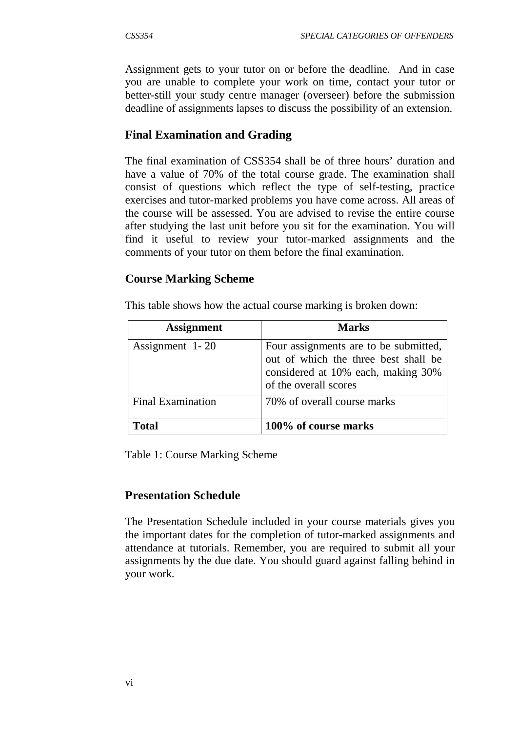Assignment gets to your tutor on or before the deadline. And in case you are unable to complete your work on time, contact your tutor or better-still your study centre manager (overseer) before the submission deadline of assignments lapses to discuss the possibility of an extension.

# **Final Examination and Grading**

The final examination of CSS354 shall be of three hours' duration and have a value of 70% of the total course grade. The examination shall consist of questions which reflect the type of self-testing, practice exercises and tutor-marked problems you have come across. All areas of the course will be assessed. You are advised to revise the entire course after studying the last unit before you sit for the examination. You will find it useful to review your tutor-marked assignments and the comments of your tutor on them before the final examination.

# **Course Marking Scheme**

This table shows how the actual course marking is broken down:

| <b>Assignment</b>        | <b>Marks</b>                                                                                                                                 |
|--------------------------|----------------------------------------------------------------------------------------------------------------------------------------------|
| Assignment 1-20          | Four assignments are to be submitted,<br>out of which the three best shall be<br>considered at 10% each, making 30%<br>of the overall scores |
| <b>Final Examination</b> | 70% of overall course marks                                                                                                                  |
| Total                    | 100% of course marks                                                                                                                         |

Table 1: Course Marking Scheme

# **Presentation Schedule**

The Presentation Schedule included in your course materials gives you the important dates for the completion of tutor-marked assignments and attendance at tutorials. Remember, you are required to submit all your assignments by the due date. You should guard against falling behind in your work.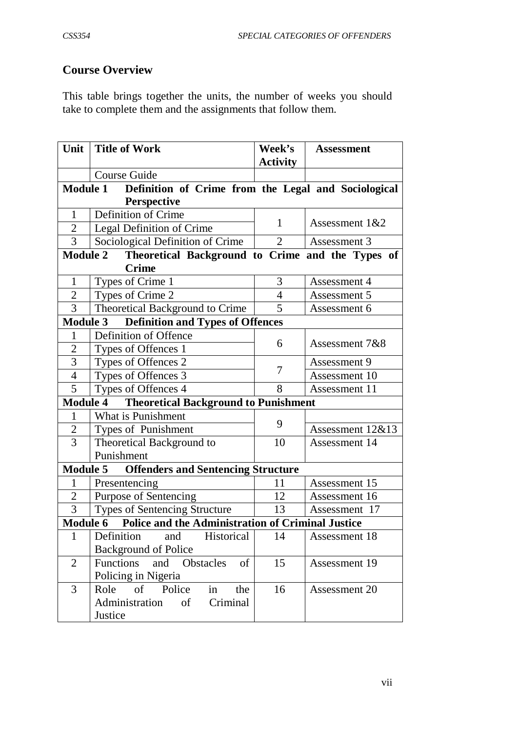# **Course Overview**

This table brings together the units, the number of weeks you should take to complete them and the assignments that follow them.

| Unit                                                                        | <b>Title of Work</b>                                                | <b>Week's</b>   | <b>Assessment</b>    |  |  |  |
|-----------------------------------------------------------------------------|---------------------------------------------------------------------|-----------------|----------------------|--|--|--|
|                                                                             |                                                                     | <b>Activity</b> |                      |  |  |  |
|                                                                             | Course Guide                                                        |                 |                      |  |  |  |
| <b>Module 1</b><br>Definition of Crime from the Legal and Sociological      |                                                                     |                 |                      |  |  |  |
|                                                                             | <b>Perspective</b>                                                  |                 |                      |  |  |  |
| 1                                                                           | Definition of Crime                                                 | 1               | Assessment 1&2       |  |  |  |
| $\overline{2}$                                                              | Legal Definition of Crime                                           |                 |                      |  |  |  |
| $\overline{3}$                                                              | Sociological Definition of Crime                                    | $\overline{2}$  | Assessment 3         |  |  |  |
|                                                                             | Theoretical Background to Crime and the Types of<br><b>Module 2</b> |                 |                      |  |  |  |
|                                                                             | <b>Crime</b>                                                        |                 |                      |  |  |  |
| $\mathbf{1}$                                                                | Types of Crime 1                                                    | 3               | Assessment 4         |  |  |  |
| $\overline{2}$                                                              | Types of Crime 2                                                    | $\overline{4}$  | Assessment 5         |  |  |  |
| 3                                                                           | Theoretical Background to Crime                                     | 5               | Assessment 6         |  |  |  |
| <b>Module 3</b>                                                             | <b>Definition and Types of Offences</b>                             |                 |                      |  |  |  |
|                                                                             | Definition of Offence                                               | 6               | Assessment 7&8       |  |  |  |
| $\overline{2}$                                                              | Types of Offences 1                                                 |                 |                      |  |  |  |
| 3                                                                           | Types of Offences 2                                                 | 7               | Assessment 9         |  |  |  |
| $\overline{4}$                                                              | Types of Offences 3                                                 |                 | Assessment 10        |  |  |  |
| 5                                                                           | Types of Offences 4                                                 | 8               | Assessment 11        |  |  |  |
| <b>Module 4</b>                                                             | <b>Theoretical Background to Punishment</b>                         |                 |                      |  |  |  |
| $\mathbf{1}$                                                                | What is Punishment                                                  | 9               |                      |  |  |  |
| $\overline{c}$                                                              | Types of Punishment                                                 |                 | Assessment $12&813$  |  |  |  |
| $\overline{3}$                                                              | Theoretical Background to                                           | 10              | Assessment 14        |  |  |  |
|                                                                             | Punishment                                                          |                 |                      |  |  |  |
|                                                                             | <b>Offenders and Sentencing Structure</b><br><b>Module 5</b>        |                 |                      |  |  |  |
| 1                                                                           | Presentencing                                                       | 11              | Assessment 15        |  |  |  |
| $\overline{2}$                                                              | Purpose of Sentencing                                               | 12              | Assessment 16        |  |  |  |
| 3                                                                           | Types of Sentencing Structure                                       | 13              | Assessment 17        |  |  |  |
| <b>Police and the Administration of Criminal Justice</b><br><b>Module 6</b> |                                                                     |                 |                      |  |  |  |
| 1                                                                           | Definition<br>and<br>Historical                                     | 14              | Assessment 18        |  |  |  |
|                                                                             | <b>Background of Police</b>                                         |                 |                      |  |  |  |
| $\overline{2}$                                                              | and Obstacles<br><b>Functions</b><br>of                             | 15              | Assessment 19        |  |  |  |
|                                                                             | Policing in Nigeria                                                 |                 |                      |  |  |  |
| 3                                                                           | in<br>Role of Police<br>the                                         | 16              | <b>Assessment 20</b> |  |  |  |
|                                                                             | Administration<br>of<br>Criminal                                    |                 |                      |  |  |  |
|                                                                             | Justice                                                             |                 |                      |  |  |  |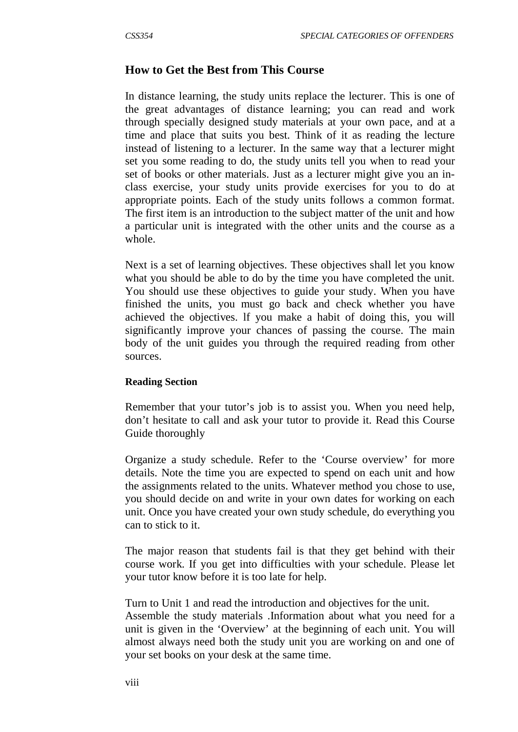#### **How to Get the Best from This Course**

In distance learning, the study units replace the lecturer. This is one of the great advantages of distance learning; you can read and work through specially designed study materials at your own pace, and at a time and place that suits you best. Think of it as reading the lecture instead of listening to a lecturer. In the same way that a lecturer might set you some reading to do, the study units tell you when to read your set of books or other materials. Just as a lecturer might give you an inclass exercise, your study units provide exercises for you to do at appropriate points. Each of the study units follows a common format. The first item is an introduction to the subject matter of the unit and how a particular unit is integrated with the other units and the course as a whole.

Next is a set of learning objectives. These objectives shall let you know what you should be able to do by the time you have completed the unit. You should use these objectives to guide your study. When you have finished the units, you must go back and check whether you have achieved the objectives. lf you make a habit of doing this, you will significantly improve your chances of passing the course. The main body of the unit guides you through the required reading from other sources.

#### **Reading Section**

Remember that your tutor's job is to assist you. When you need help, don't hesitate to call and ask your tutor to provide it. Read this Course Guide thoroughly

Organize a study schedule. Refer to the 'Course overview' for more details. Note the time you are expected to spend on each unit and how the assignments related to the units. Whatever method you chose to use, you should decide on and write in your own dates for working on each unit. Once you have created your own study schedule, do everything you can to stick to it.

The major reason that students fail is that they get behind with their course work. If you get into difficulties with your schedule. Please let your tutor know before it is too late for help.

Turn to Unit 1 and read the introduction and objectives for the unit. Assemble the study materials .Information about what you need for a unit is given in the 'Overview' at the beginning of each unit. You will almost always need both the study unit you are working on and one of your set books on your desk at the same time.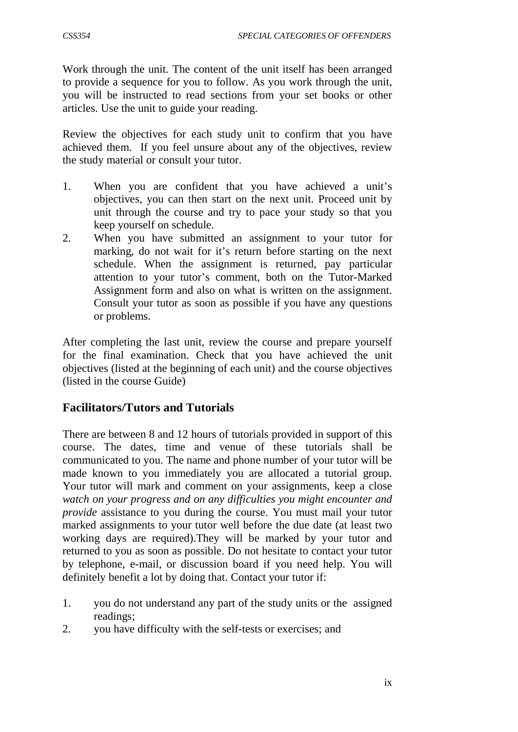Work through the unit. The content of the unit itself has been arranged to provide a sequence for you to follow. As you work through the unit, you will be instructed to read sections from your set books or other articles. Use the unit to guide your reading.

Review the objectives for each study unit to confirm that you have achieved them. If you feel unsure about any of the objectives, review the study material or consult your tutor.

- 1. When you are confident that you have achieved a unit's objectives, you can then start on the next unit. Proceed unit by unit through the course and try to pace your study so that you keep yourself on schedule.
- 2. When you have submitted an assignment to your tutor for marking, do not wait for it's return before starting on the next schedule. When the assignment is returned, pay particular attention to your tutor's comment, both on the Tutor-Marked Assignment form and also on what is written on the assignment. Consult your tutor as soon as possible if you have any questions or problems.

After completing the last unit, review the course and prepare yourself for the final examination. Check that you have achieved the unit objectives (listed at the beginning of each unit) and the course objectives (listed in the course Guide)

# **Facilitators/Tutors and Tutorials**

There are between 8 and 12 hours of tutorials provided in support of this course. The dates, time and venue of these tutorials shall be communicated to you. The name and phone number of your tutor will be made known to you immediately you are allocated a tutorial group. Your tutor will mark and comment on your assignments, keep a close *watch on your progress and on any difficulties you might encounter and provide* assistance to you during the course. You must mail your tutor marked assignments to your tutor well before the due date (at least two working days are required).They will be marked by your tutor and returned to you as soon as possible. Do not hesitate to contact your tutor by telephone, e-mail, or discussion board if you need help. You will definitely benefit a lot by doing that. Contact your tutor if:

- 1. you do not understand any part of the study units or the assigned readings;
- 2. you have difficulty with the self-tests or exercises; and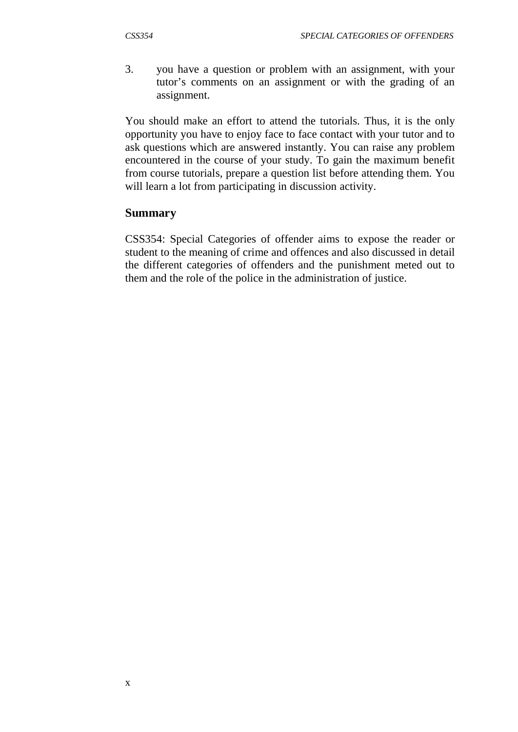3. you have a question or problem with an assignment, with your tutor's comments on an assignment or with the grading of an assignment.

You should make an effort to attend the tutorials. Thus, it is the only opportunity you have to enjoy face to face contact with your tutor and to ask questions which are answered instantly. You can raise any problem encountered in the course of your study. To gain the maximum benefit from course tutorials, prepare a question list before attending them. You will learn a lot from participating in discussion activity.

#### **Summary**

CSS354: Special Categories of offender aims to expose the reader or student to the meaning of crime and offences and also discussed in detail the different categories of offenders and the punishment meted out to them and the role of the police in the administration of justice.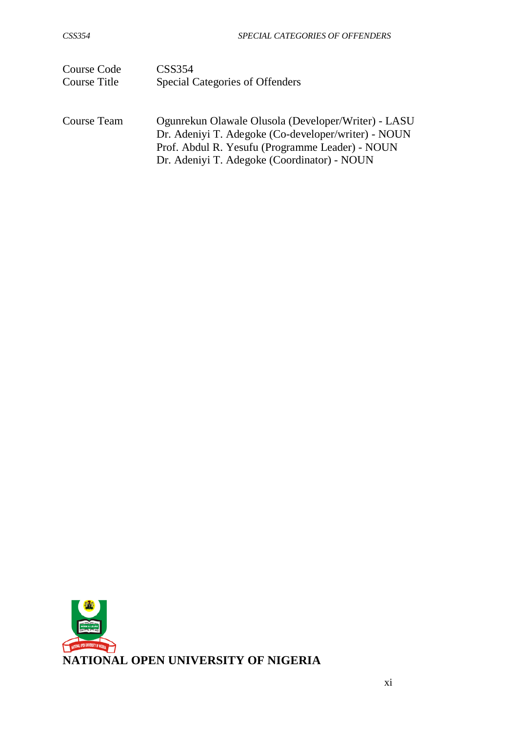| Course Code  | CSS <sub>354</sub>                                                                                                                                                                                           |
|--------------|--------------------------------------------------------------------------------------------------------------------------------------------------------------------------------------------------------------|
| Course Title | Special Categories of Offenders                                                                                                                                                                              |
| Course Team  | Ogunrekun Olawale Olusola (Developer/Writer) - LASU<br>Dr. Adeniyi T. Adegoke (Co-developer/writer) - NOUN<br>Prof. Abdul R. Yesufu (Programme Leader) - NOUN<br>Dr. Adeniyi T. Adegoke (Coordinator) - NOUN |

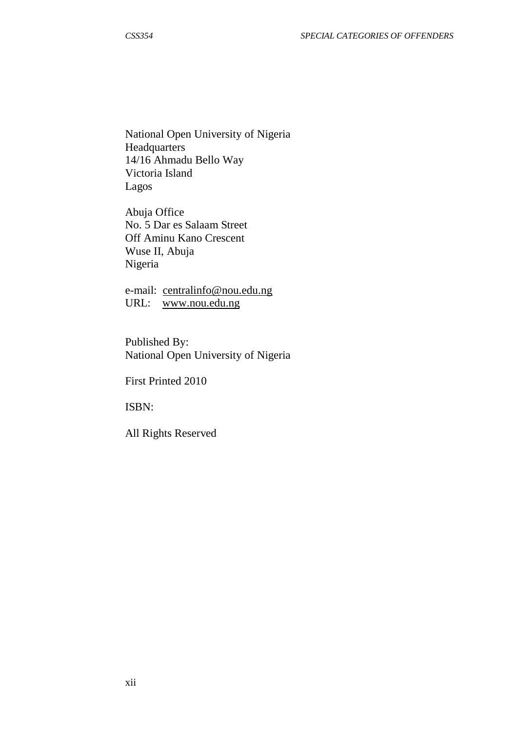National Open University of Nigeria Headquarters 14/16 Ahmadu Bello Way Victoria Island Lagos

Abuja Office No. 5 Dar es Salaam Street Off Aminu Kano Crescent Wuse II, Abuja Nigeria

e-mail: [centralinfo@nou.edu.ng](mailto:centralinfo@nou.edu.ng) URL: [www.nou.edu.ng](http://www.nou.edu.ng/)

Published By: National Open University of Nigeria

First Printed 2010

ISBN:

All Rights Reserved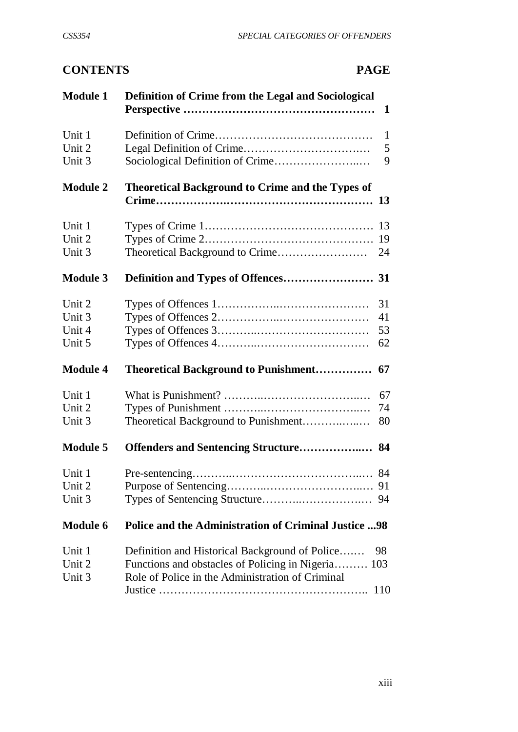# **CONTENTS PAGE**

| <b>Module 1</b>                      | Definition of Crime from the Legal and Sociological                                                                                                      | 1                      |
|--------------------------------------|----------------------------------------------------------------------------------------------------------------------------------------------------------|------------------------|
| Unit 1<br>Unit 2<br>Unit 3           |                                                                                                                                                          | $\mathbf{1}$<br>5<br>9 |
| <b>Module 2</b>                      | <b>Theoretical Background to Crime and the Types of</b>                                                                                                  |                        |
| Unit 1<br>Unit 2<br>Unit 3           |                                                                                                                                                          | 19<br>24               |
| <b>Module 3</b>                      |                                                                                                                                                          |                        |
| Unit 2<br>Unit 3<br>Unit 4<br>Unit 5 |                                                                                                                                                          | 31<br>41<br>53<br>62   |
| <b>Module 4</b>                      | <b>Theoretical Background to Punishment</b>                                                                                                              | 67                     |
| Unit 1<br>Unit 2<br>Unit 3           | Theoretical Background to Punishment                                                                                                                     | 67<br>74<br>80         |
| <b>Module 5</b>                      |                                                                                                                                                          |                        |
| Unit 1<br>Unit 2<br>Unit 3           |                                                                                                                                                          |                        |
| <b>Module 6</b>                      | <b>Police and the Administration of Criminal Justice 98</b>                                                                                              |                        |
| Unit 1<br>Unit 2<br>Unit 3           | Definition and Historical Background of Police<br>Functions and obstacles of Policing in Nigeria 103<br>Role of Police in the Administration of Criminal | 98<br>110              |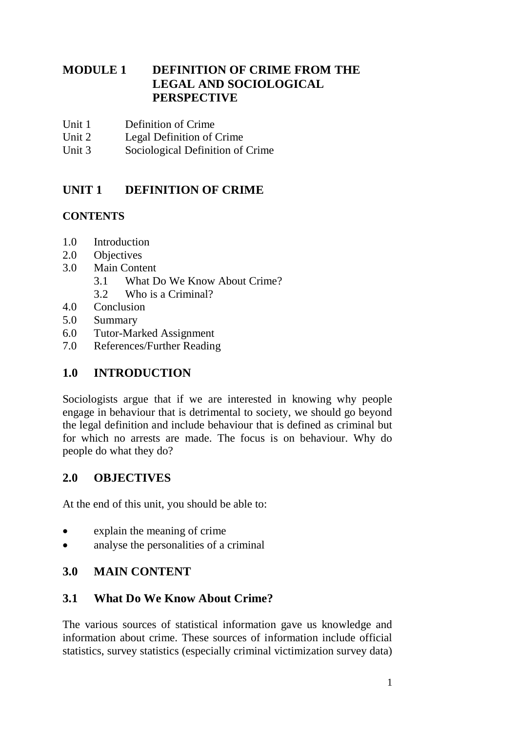# **MODULE 1 DEFINITION OF CRIME FROM THE LEGAL AND SOCIOLOGICAL PERSPECTIVE**

- Unit 1 Definition of Crime<br>Unit 2 Legal Definition of
- Legal Definition of Crime
- Unit 3 Sociological Definition of Crime

# **UNIT 1 DEFINITION OF CRIME**

#### **CONTENTS**

- 1.0 Introduction
- 2.0 Objectives
- 3.0 Main Content
	- 3.1 What Do We Know About Crime?
	- 3.2 Who is a Criminal?
- 4.0 Conclusion
- 5.0 Summary
- 6.0 Tutor-Marked Assignment
- 7.0 References/Further Reading

# **1.0 INTRODUCTION**

Sociologists argue that if we are interested in knowing why people engage in behaviour that is detrimental to society, we should go beyond the legal definition and include behaviour that is defined as criminal but for which no arrests are made. The focus is on behaviour. Why do people do what they do?

# **2.0 OBJECTIVES**

At the end of this unit, you should be able to:

- explain the meaning of crime
- analyse the personalities of a criminal

# **3.0 MAIN CONTENT**

# **3.1 What Do We Know About Crime?**

The various sources of statistical information gave us knowledge and information about crime. These sources of information include official statistics, survey statistics (especially criminal victimization survey data)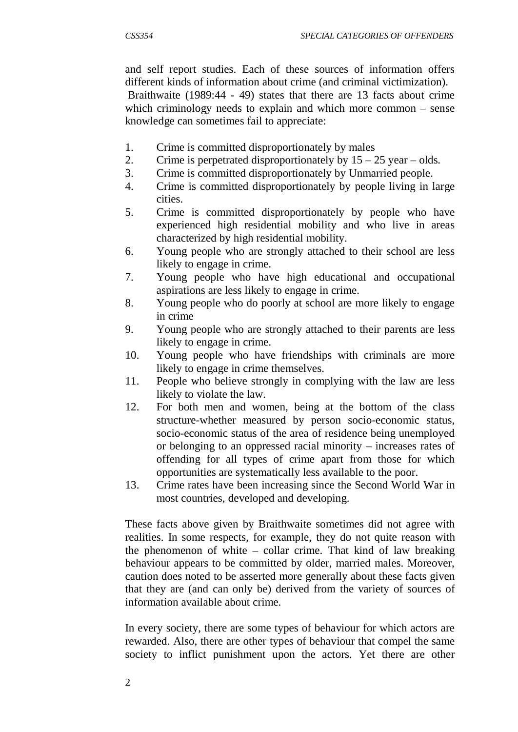and self report studies. Each of these sources of information offers different kinds of information about crime (and criminal victimization).

 Braithwaite (1989:44 - 49) states that there are 13 facts about crime which criminology needs to explain and which more common – sense knowledge can sometimes fail to appreciate:

- 1. Crime is committed disproportionately by males
- 2. Crime is perpetrated disproportionately by  $15 25$  year olds.
- 3. Crime is committed disproportionately by Unmarried people.
- 4. Crime is committed disproportionately by people living in large cities.
- 5. Crime is committed disproportionately by people who have experienced high residential mobility and who live in areas characterized by high residential mobility.
- 6. Young people who are strongly attached to their school are less likely to engage in crime.
- 7. Young people who have high educational and occupational aspirations are less likely to engage in crime.
- 8. Young people who do poorly at school are more likely to engage in crime
- 9. Young people who are strongly attached to their parents are less likely to engage in crime.
- 10. Young people who have friendships with criminals are more likely to engage in crime themselves.
- 11. People who believe strongly in complying with the law are less likely to violate the law.
- 12. For both men and women, being at the bottom of the class structure-whether measured by person socio-economic status, socio-economic status of the area of residence being unemployed or belonging to an oppressed racial minority – increases rates of offending for all types of crime apart from those for which opportunities are systematically less available to the poor.
- 13. Crime rates have been increasing since the Second World War in most countries, developed and developing.

These facts above given by Braithwaite sometimes did not agree with realities. In some respects, for example, they do not quite reason with the phenomenon of white – collar crime. That kind of law breaking behaviour appears to be committed by older, married males. Moreover, caution does noted to be asserted more generally about these facts given that they are (and can only be) derived from the variety of sources of information available about crime.

In every society, there are some types of behaviour for which actors are rewarded. Also, there are other types of behaviour that compel the same society to inflict punishment upon the actors. Yet there are other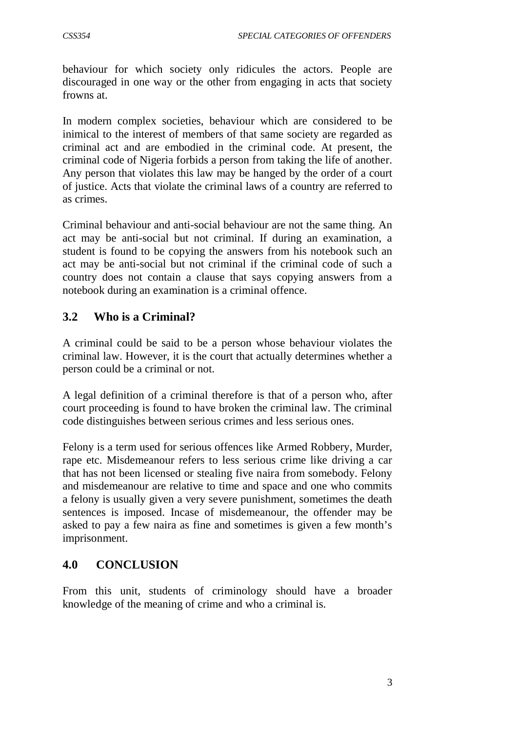behaviour for which society only ridicules the actors. People are discouraged in one way or the other from engaging in acts that society frowns at.

In modern complex societies, behaviour which are considered to be inimical to the interest of members of that same society are regarded as criminal act and are embodied in the criminal code. At present, the criminal code of Nigeria forbids a person from taking the life of another. Any person that violates this law may be hanged by the order of a court of justice. Acts that violate the criminal laws of a country are referred to as crimes.

Criminal behaviour and anti-social behaviour are not the same thing. An act may be anti-social but not criminal. If during an examination, a student is found to be copying the answers from his notebook such an act may be anti-social but not criminal if the criminal code of such a country does not contain a clause that says copying answers from a notebook during an examination is a criminal offence.

# **3.2 Who is a Criminal?**

A criminal could be said to be a person whose behaviour violates the criminal law. However, it is the court that actually determines whether a person could be a criminal or not.

A legal definition of a criminal therefore is that of a person who, after court proceeding is found to have broken the criminal law. The criminal code distinguishes between serious crimes and less serious ones.

Felony is a term used for serious offences like Armed Robbery, Murder, rape etc. Misdemeanour refers to less serious crime like driving a car that has not been licensed or stealing five naira from somebody. Felony and misdemeanour are relative to time and space and one who commits a felony is usually given a very severe punishment, sometimes the death sentences is imposed. Incase of misdemeanour, the offender may be asked to pay a few naira as fine and sometimes is given a few month's imprisonment.

# **4.0 CONCLUSION**

From this unit, students of criminology should have a broader knowledge of the meaning of crime and who a criminal is.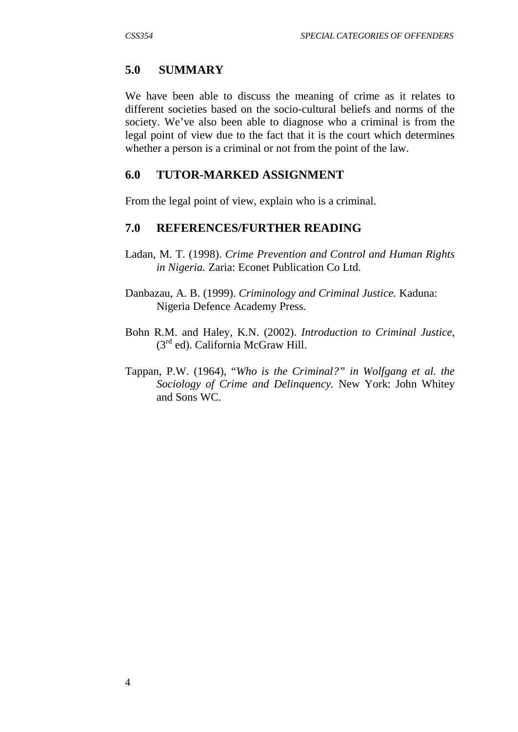#### **5.0 SUMMARY**

We have been able to discuss the meaning of crime as it relates to different societies based on the socio-cultural beliefs and norms of the society. We've also been able to diagnose who a criminal is from the legal point of view due to the fact that it is the court which determines whether a person is a criminal or not from the point of the law.

#### **6.0 TUTOR-MARKED ASSIGNMENT**

From the legal point of view, explain who is a criminal.

#### **7.0 REFERENCES/FURTHER READING**

- Ladan, M. T. (1998). *Crime Prevention and Control and Human Rights in Nigeria.* Zaria: Econet Publication Co Ltd.
- Danbazau, A. B. (1999). *Criminology and Criminal Justice.* Kaduna: Nigeria Defence Academy Press.
- Bohn R.M. and Haley, K.N. (2002). *Introduction to Criminal Justice*,  $(3<sup>rd</sup>$  ed). California McGraw Hill.
- Tappan, P.W. (1964), "*Who is the Criminal?" in Wolfgang et al. the Sociology of Crime and Delinquency.* New York: John Whitey and Sons WC.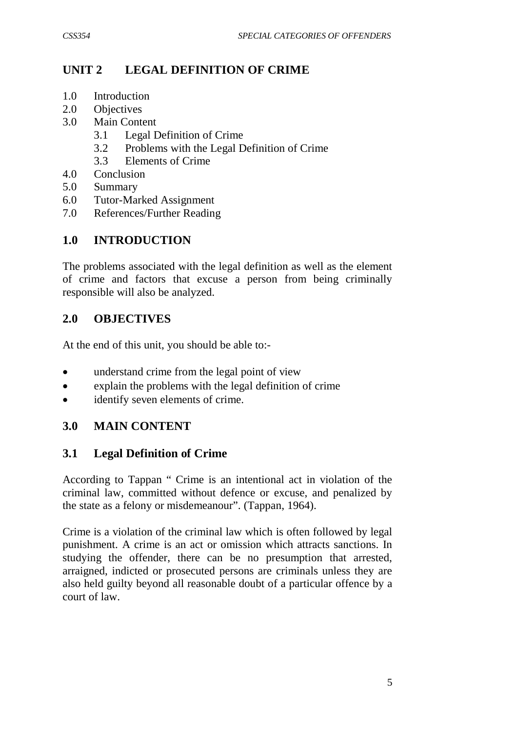# **UNIT 2 LEGAL DEFINITION OF CRIME**

- 1.0 Introduction
- 2.0 Objectives
- 3.0 Main Content
	- 3.1 Legal Definition of Crime
	- 3.2 Problems with the Legal Definition of Crime
	- 3.3 Elements of Crime
- 4.0 Conclusion
- 5.0 Summary
- 6.0 Tutor-Marked Assignment
- 7.0 References/Further Reading

# **1.0 INTRODUCTION**

The problems associated with the legal definition as well as the element of crime and factors that excuse a person from being criminally responsible will also be analyzed.

# **2.0 OBJECTIVES**

At the end of this unit, you should be able to:-

- understand crime from the legal point of view
- explain the problems with the legal definition of crime
- identify seven elements of crime.

# **3.0 MAIN CONTENT**

# **3.1 Legal Definition of Crime**

According to Tappan " Crime is an intentional act in violation of the criminal law, committed without defence or excuse, and penalized by the state as a felony or misdemeanour". (Tappan, 1964).

Crime is a violation of the criminal law which is often followed by legal punishment. A crime is an act or omission which attracts sanctions. In studying the offender, there can be no presumption that arrested, arraigned, indicted or prosecuted persons are criminals unless they are also held guilty beyond all reasonable doubt of a particular offence by a court of law.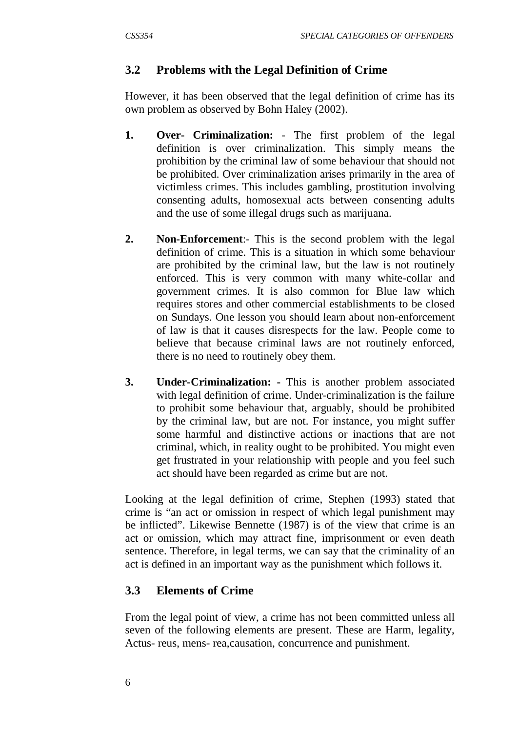# **3.2 Problems with the Legal Definition of Crime**

However, it has been observed that the legal definition of crime has its own problem as observed by Bohn Haley (2002).

- **1. Over- Criminalization:** The first problem of the legal definition is over criminalization. This simply means the prohibition by the criminal law of some behaviour that should not be prohibited. Over criminalization arises primarily in the area of victimless crimes. This includes gambling, prostitution involving consenting adults, homosexual acts between consenting adults and the use of some illegal drugs such as marijuana.
- **2. Non-Enforcement**:- This is the second problem with the legal definition of crime. This is a situation in which some behaviour are prohibited by the criminal law, but the law is not routinely enforced. This is very common with many white-collar and government crimes. It is also common for Blue law which requires stores and other commercial establishments to be closed on Sundays. One lesson you should learn about non-enforcement of law is that it causes disrespects for the law. People come to believe that because criminal laws are not routinely enforced, there is no need to routinely obey them.
- **3. Under-Criminalization: -** This is another problem associated with legal definition of crime. Under-criminalization is the failure to prohibit some behaviour that, arguably, should be prohibited by the criminal law, but are not. For instance, you might suffer some harmful and distinctive actions or inactions that are not criminal, which, in reality ought to be prohibited. You might even get frustrated in your relationship with people and you feel such act should have been regarded as crime but are not.

Looking at the legal definition of crime, Stephen (1993) stated that crime is "an act or omission in respect of which legal punishment may be inflicted". Likewise Bennette (1987) is of the view that crime is an act or omission, which may attract fine, imprisonment or even death sentence. Therefore, in legal terms, we can say that the criminality of an act is defined in an important way as the punishment which follows it.

# **3.3 Elements of Crime**

From the legal point of view, a crime has not been committed unless all seven of the following elements are present. These are Harm, legality, Actus- reus, mens- rea,causation, concurrence and punishment.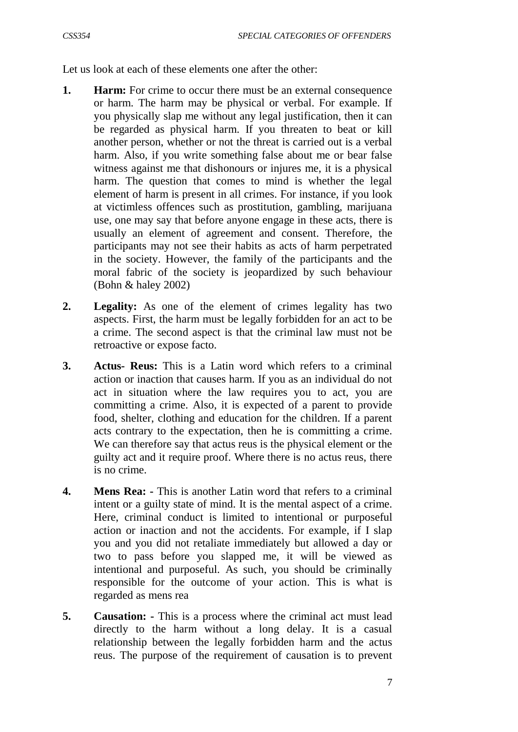Let us look at each of these elements one after the other:

- **1. Harm:** For crime to occur there must be an external consequence or harm. The harm may be physical or verbal. For example. If you physically slap me without any legal justification, then it can be regarded as physical harm. If you threaten to beat or kill another person, whether or not the threat is carried out is a verbal harm. Also, if you write something false about me or bear false witness against me that dishonours or injures me, it is a physical harm. The question that comes to mind is whether the legal element of harm is present in all crimes. For instance, if you look at victimless offences such as prostitution, gambling, marijuana use, one may say that before anyone engage in these acts, there is usually an element of agreement and consent. Therefore, the participants may not see their habits as acts of harm perpetrated in the society. However, the family of the participants and the moral fabric of the society is jeopardized by such behaviour (Bohn & haley 2002)
- **2. Legality:** As one of the element of crimes legality has two aspects. First, the harm must be legally forbidden for an act to be a crime. The second aspect is that the criminal law must not be retroactive or expose facto.
- **3. Actus- Reus:** This is a Latin word which refers to a criminal action or inaction that causes harm. If you as an individual do not act in situation where the law requires you to act, you are committing a crime. Also, it is expected of a parent to provide food, shelter, clothing and education for the children. If a parent acts contrary to the expectation, then he is committing a crime. We can therefore say that actus reus is the physical element or the guilty act and it require proof. Where there is no actus reus, there is no crime.
- **4. Mens Rea: -** This is another Latin word that refers to a criminal intent or a guilty state of mind. It is the mental aspect of a crime. Here, criminal conduct is limited to intentional or purposeful action or inaction and not the accidents. For example, if I slap you and you did not retaliate immediately but allowed a day or two to pass before you slapped me, it will be viewed as intentional and purposeful. As such, you should be criminally responsible for the outcome of your action. This is what is regarded as mens rea
- **5. Causation: -** This is a process where the criminal act must lead directly to the harm without a long delay. It is a casual relationship between the legally forbidden harm and the actus reus. The purpose of the requirement of causation is to prevent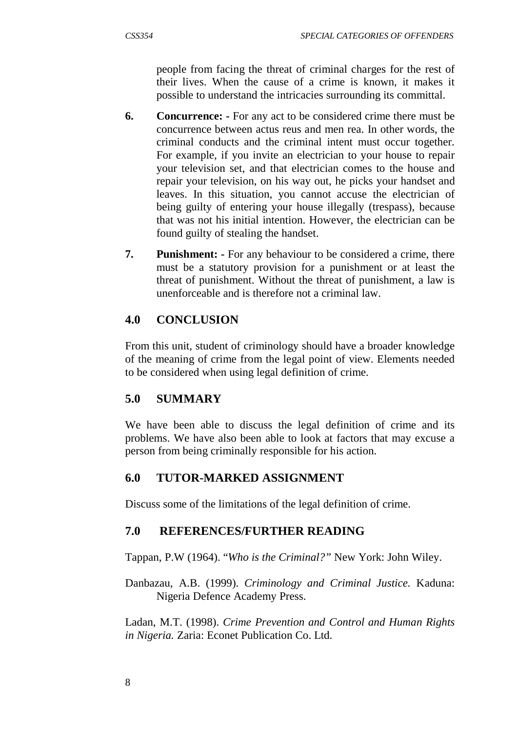people from facing the threat of criminal charges for the rest of their lives. When the cause of a crime is known, it makes it possible to understand the intricacies surrounding its committal.

- **6. Concurrence: -** For any act to be considered crime there must be concurrence between actus reus and men rea. In other words, the criminal conducts and the criminal intent must occur together. For example, if you invite an electrician to your house to repair your television set, and that electrician comes to the house and repair your television, on his way out, he picks your handset and leaves. In this situation, you cannot accuse the electrician of being guilty of entering your house illegally (trespass), because that was not his initial intention. However, the electrician can be found guilty of stealing the handset.
- **7. Punishment: -** For any behaviour to be considered a crime, there must be a statutory provision for a punishment or at least the threat of punishment. Without the threat of punishment, a law is unenforceable and is therefore not a criminal law.

# **4.0 CONCLUSION**

From this unit, student of criminology should have a broader knowledge of the meaning of crime from the legal point of view. Elements needed to be considered when using legal definition of crime.

# **5.0 SUMMARY**

We have been able to discuss the legal definition of crime and its problems. We have also been able to look at factors that may excuse a person from being criminally responsible for his action.

# **6.0 TUTOR-MARKED ASSIGNMENT**

Discuss some of the limitations of the legal definition of crime.

# **7.0 REFERENCES/FURTHER READING**

Tappan, P.W (1964). "*Who is the Criminal?"* New York: John Wiley.

Danbazau, A.B. (1999). *Criminology and Criminal Justice.* Kaduna: Nigeria Defence Academy Press.

Ladan, M.T. (1998). *Crime Prevention and Control and Human Rights in Nigeria.* Zaria: Econet Publication Co. Ltd.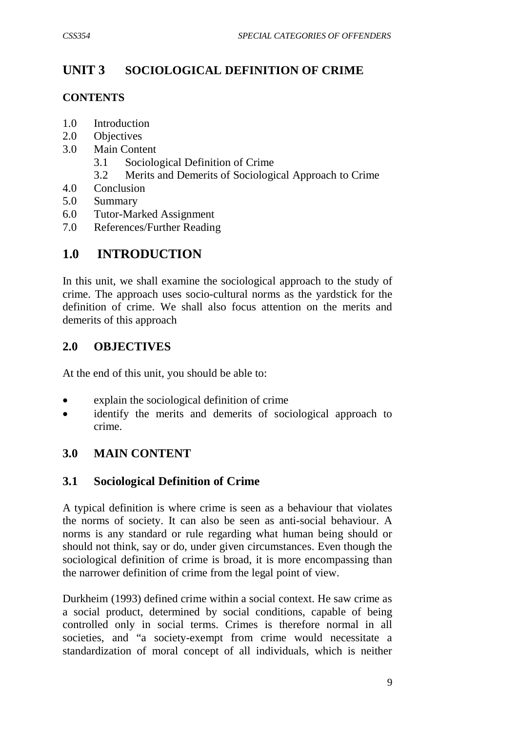# **UNIT 3 SOCIOLOGICAL DEFINITION OF CRIME**

#### **CONTENTS**

- 1.0 Introduction
- 2.0 Objectives
- 3.0 Main Content
	- 3.1 Sociological Definition of Crime
	- 3.2 Merits and Demerits of Sociological Approach to Crime
- 4.0 Conclusion
- 5.0 Summary
- 6.0 Tutor-Marked Assignment
- 7.0 References/Further Reading

# **1.0 INTRODUCTION**

In this unit, we shall examine the sociological approach to the study of crime. The approach uses socio-cultural norms as the yardstick for the definition of crime. We shall also focus attention on the merits and demerits of this approach

# **2.0 OBJECTIVES**

At the end of this unit, you should be able to:

- explain the sociological definition of crime
- identify the merits and demerits of sociological approach to crime.

# **3.0 MAIN CONTENT**

# **3.1 Sociological Definition of Crime**

A typical definition is where crime is seen as a behaviour that violates the norms of society. It can also be seen as anti-social behaviour. A norms is any standard or rule regarding what human being should or should not think, say or do, under given circumstances. Even though the sociological definition of crime is broad, it is more encompassing than the narrower definition of crime from the legal point of view.

Durkheim (1993) defined crime within a social context. He saw crime as a social product, determined by social conditions, capable of being controlled only in social terms. Crimes is therefore normal in all societies, and "a society-exempt from crime would necessitate a standardization of moral concept of all individuals, which is neither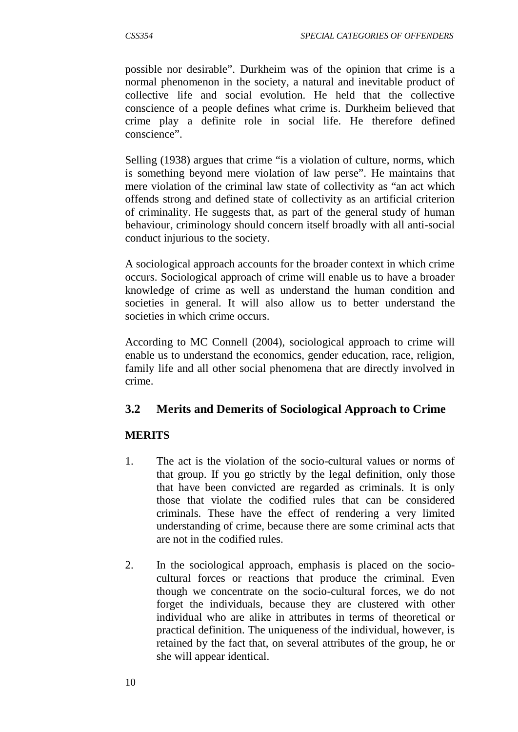possible nor desirable". Durkheim was of the opinion that crime is a normal phenomenon in the society, a natural and inevitable product of collective life and social evolution. He held that the collective conscience of a people defines what crime is. Durkheim believed that crime play a definite role in social life. He therefore defined conscience".

Selling (1938) argues that crime "is a violation of culture, norms, which is something beyond mere violation of law perse". He maintains that mere violation of the criminal law state of collectivity as "an act which offends strong and defined state of collectivity as an artificial criterion of criminality. He suggests that, as part of the general study of human behaviour, criminology should concern itself broadly with all anti-social conduct injurious to the society.

A sociological approach accounts for the broader context in which crime occurs. Sociological approach of crime will enable us to have a broader knowledge of crime as well as understand the human condition and societies in general. It will also allow us to better understand the societies in which crime occurs.

According to MC Connell (2004), sociological approach to crime will enable us to understand the economics, gender education, race, religion, family life and all other social phenomena that are directly involved in crime.

# **3.2 Merits and Demerits of Sociological Approach to Crime**

#### **MERITS**

- 1. The act is the violation of the socio-cultural values or norms of that group. If you go strictly by the legal definition, only those that have been convicted are regarded as criminals. It is only those that violate the codified rules that can be considered criminals. These have the effect of rendering a very limited understanding of crime, because there are some criminal acts that are not in the codified rules.
- 2. In the sociological approach, emphasis is placed on the sociocultural forces or reactions that produce the criminal. Even though we concentrate on the socio-cultural forces, we do not forget the individuals, because they are clustered with other individual who are alike in attributes in terms of theoretical or practical definition. The uniqueness of the individual, however, is retained by the fact that, on several attributes of the group, he or she will appear identical.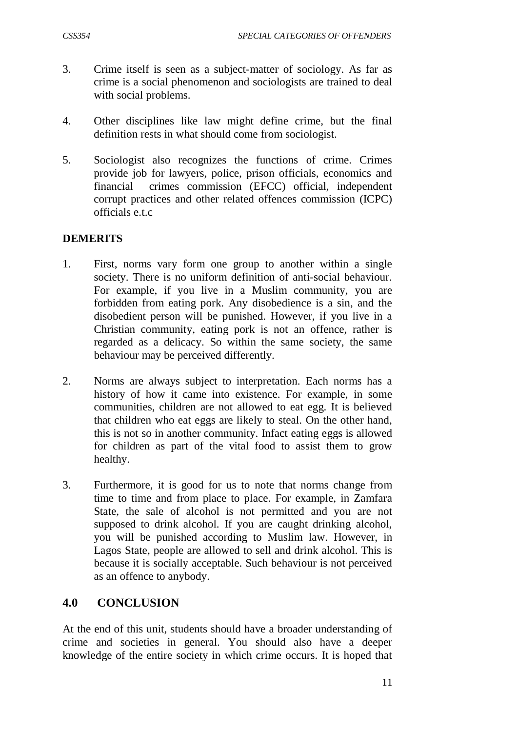- 3. Crime itself is seen as a subject-matter of sociology. As far as crime is a social phenomenon and sociologists are trained to deal with social problems.
- 4. Other disciplines like law might define crime, but the final definition rests in what should come from sociologist.
- 5. Sociologist also recognizes the functions of crime. Crimes provide job for lawyers, police, prison officials, economics and financial crimes commission (EFCC) official, independent corrupt practices and other related offences commission (ICPC) officials e.t.c

#### **DEMERITS**

- 1. First, norms vary form one group to another within a single society. There is no uniform definition of anti-social behaviour. For example, if you live in a Muslim community, you are forbidden from eating pork. Any disobedience is a sin, and the disobedient person will be punished. However, if you live in a Christian community, eating pork is not an offence, rather is regarded as a delicacy. So within the same society, the same behaviour may be perceived differently.
- 2. Norms are always subject to interpretation. Each norms has a history of how it came into existence. For example, in some communities, children are not allowed to eat egg. It is believed that children who eat eggs are likely to steal. On the other hand, this is not so in another community. Infact eating eggs is allowed for children as part of the vital food to assist them to grow healthy.
- 3. Furthermore, it is good for us to note that norms change from time to time and from place to place. For example, in Zamfara State, the sale of alcohol is not permitted and you are not supposed to drink alcohol. If you are caught drinking alcohol, you will be punished according to Muslim law. However, in Lagos State, people are allowed to sell and drink alcohol. This is because it is socially acceptable. Such behaviour is not perceived as an offence to anybody.

# **4.0 CONCLUSION**

At the end of this unit, students should have a broader understanding of crime and societies in general. You should also have a deeper knowledge of the entire society in which crime occurs. It is hoped that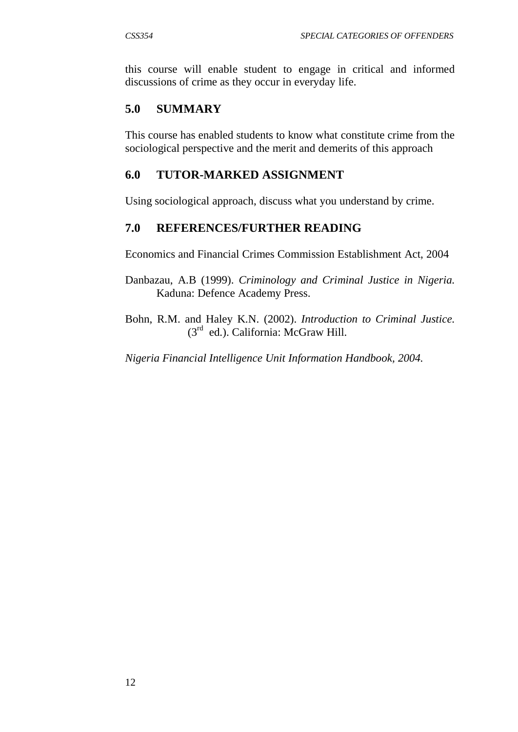this course will enable student to engage in critical and informed discussions of crime as they occur in everyday life.

# **5.0 SUMMARY**

This course has enabled students to know what constitute crime from the sociological perspective and the merit and demerits of this approach

# **6.0 TUTOR-MARKED ASSIGNMENT**

Using sociological approach, discuss what you understand by crime.

# **7.0 REFERENCES/FURTHER READING**

Economics and Financial Crimes Commission Establishment Act, 2004

- Danbazau, A.B (1999). *Criminology and Criminal Justice in Nigeria.* Kaduna: Defence Academy Press.
- Bohn, R.M. and Haley K.N. (2002). *Introduction to Criminal Justice.*  (3rd ed.). California: McGraw Hill.

*Nigeria Financial Intelligence Unit Information Handbook, 2004.*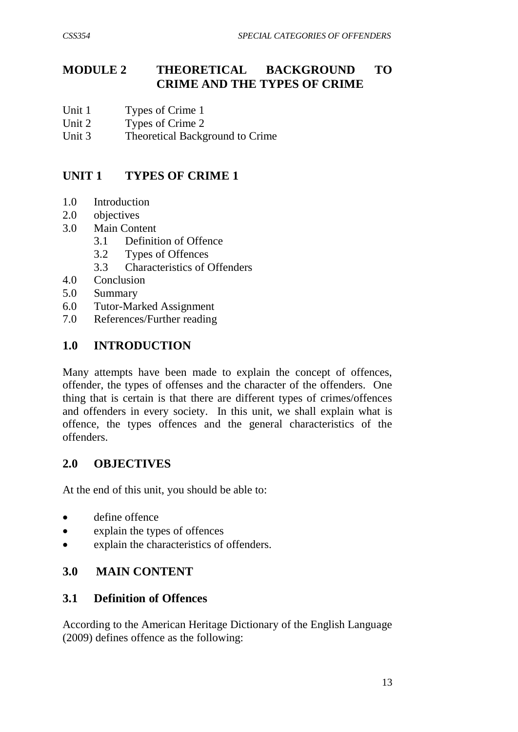# **MODULE 2 THEORETICAL BACKGROUND TO CRIME AND THE TYPES OF CRIME**

- Unit 1 Types of Crime 1
- Unit 2 Types of Crime 2
- Unit 3 Theoretical Background to Crime

# **UNIT 1 TYPES OF CRIME 1**

- 1.0 Introduction
- 2.0 objectives
- 3.0 Main Content
	- 3.1 Definition of Offence
	- 3.2 Types of Offences
	- 3.3 Characteristics of Offenders
- 4.0 Conclusion
- 5.0 Summary
- 6.0 Tutor-Marked Assignment
- 7.0 References/Further reading

## **1.0 INTRODUCTION**

Many attempts have been made to explain the concept of offences, offender, the types of offenses and the character of the offenders. One thing that is certain is that there are different types of crimes/offences and offenders in every society. In this unit, we shall explain what is offence, the types offences and the general characteristics of the offenders.

# **2.0 OBJECTIVES**

At the end of this unit, you should be able to:

- define offence
- explain the types of offences
- explain the characteristics of offenders.

# **3.0 MAIN CONTENT**

#### **3.1 Definition of Offences**

According to the American Heritage Dictionary of the English Language (2009) defines offence as the following: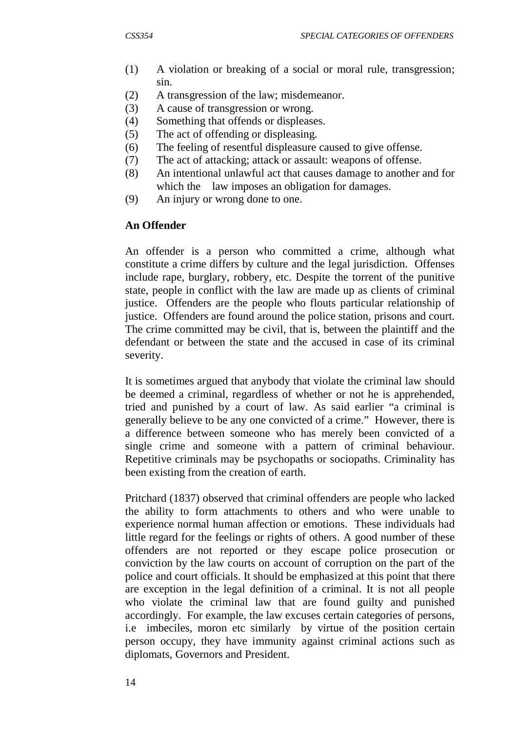- (1) A violation or breaking of a social or moral rule, transgression; sin.
- (2) A transgression of the law; misdemeanor.
- (3) A cause of transgression or wrong.
- (4) Something that offends or displeases.
- (5) The act of offending or displeasing.
- (6) The feeling of resentful displeasure caused to give offense.
- (7) The act of attacking; attack or assault: weapons of offense.
- (8) An intentional unlawful act that causes damage to another and for which the law imposes an obligation for damages.
- (9) An injury or wrong done to one.

# **An Offender**

An offender is a person who committed a crime, although what constitute a crime differs by culture and the legal jurisdiction. Offenses include rape, burglary, robbery, etc. Despite the torrent of the punitive state, people in conflict with the law are made up as clients of criminal justice. Offenders are the people who flouts particular relationship of justice. Offenders are found around the police station, prisons and court. The crime committed may be civil, that is, between the plaintiff and the defendant or between the state and the accused in case of its criminal severity.

It is sometimes argued that anybody that violate the criminal law should be deemed a criminal, regardless of whether or not he is apprehended, tried and punished by a court of law. As said earlier "a criminal is generally believe to be any one convicted of a crime." However, there is a difference between someone who has merely been convicted of a single crime and someone with a pattern of criminal behaviour. Repetitive criminals may be psychopaths or sociopaths. Criminality has been existing from the creation of earth.

Pritchard (1837) observed that criminal offenders are people who lacked the ability to form attachments to others and who were unable to experience normal human affection or emotions. These individuals had little regard for the feelings or rights of others. A good number of these offenders are not reported or they escape police prosecution or conviction by the law courts on account of corruption on the part of the police and court officials. It should be emphasized at this point that there are exception in the legal definition of a criminal. It is not all people who violate the criminal law that are found guilty and punished accordingly. For example, the law excuses certain categories of persons, i.e imbeciles, moron etc similarly by virtue of the position certain person occupy, they have immunity against criminal actions such as diplomats, Governors and President.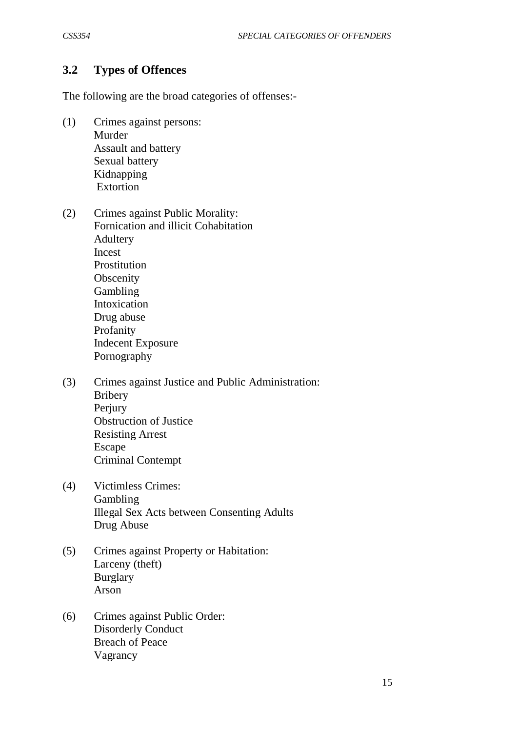## **3.2 Types of Offences**

The following are the broad categories of offenses:-

- (1) Crimes against persons: Murder Assault and battery Sexual battery Kidnapping Extortion
- (2) Crimes against Public Morality: Fornication and illicit Cohabitation Adultery Incest Prostitution **Obscenity** Gambling Intoxication Drug abuse Profanity Indecent Exposure Pornography
- (3) Crimes against Justice and Public Administration: Bribery Perjury Obstruction of Justice Resisting Arrest Escape Criminal Contempt
- (4) Victimless Crimes: Gambling Illegal Sex Acts between Consenting Adults Drug Abuse
- (5) Crimes against Property or Habitation: Larceny (theft) Burglary Arson
- (6) Crimes against Public Order: Disorderly Conduct Breach of Peace Vagrancy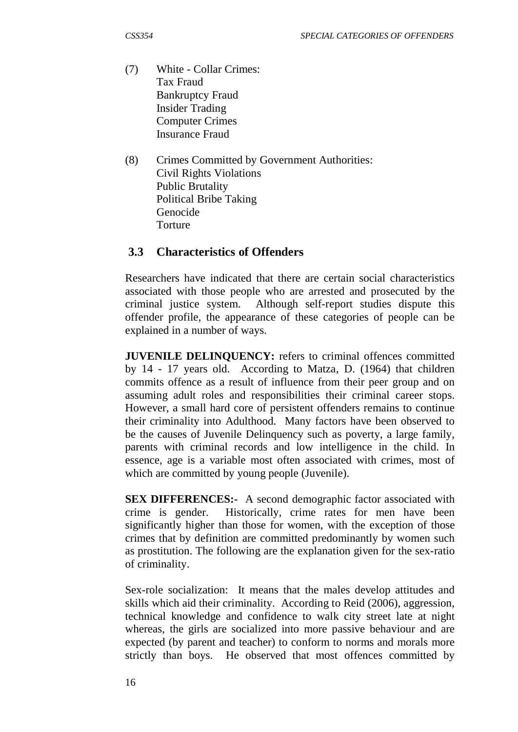- (7) White Collar Crimes: Tax Fraud Bankruptcy Fraud Insider Trading Computer Crimes Insurance Fraud
- (8) Crimes Committed by Government Authorities: Civil Rights Violations Public Brutality Political Bribe Taking Genocide Torture

## **3.3 Characteristics of Offenders**

Researchers have indicated that there are certain social characteristics associated with those people who are arrested and prosecuted by the criminal justice system. Although self-report studies dispute this offender profile, the appearance of these categories of people can be explained in a number of ways.

**JUVENILE DELINQUENCY:** refers to criminal offences committed by 14 - 17 years old. According to Matza, D. (1964) that children commits offence as a result of influence from their peer group and on assuming adult roles and responsibilities their criminal career stops. However, a small hard core of persistent offenders remains to continue their criminality into Adulthood. Many factors have been observed to be the causes of Juvenile Delinquency such as poverty, a large family, parents with criminal records and low intelligence in the child. In essence, age is a variable most often associated with crimes, most of which are committed by young people (Juvenile).

**SEX DIFFERENCES:-** A second demographic factor associated with crime is gender. Historically, crime rates for men have been significantly higher than those for women, with the exception of those crimes that by definition are committed predominantly by women such as prostitution. The following are the explanation given for the sex-ratio of criminality.

Sex-role socialization: It means that the males develop attitudes and skills which aid their criminality. According to Reid (2006), aggression, technical knowledge and confidence to walk city street late at night whereas, the girls are socialized into more passive behaviour and are expected (by parent and teacher) to conform to norms and morals more strictly than boys. He observed that most offences committed by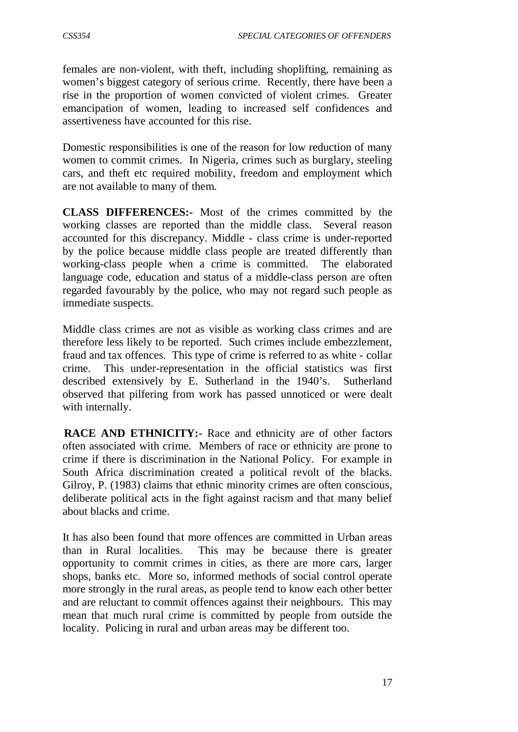females are non-violent, with theft, including shoplifting, remaining as women's biggest category of serious crime. Recently, there have been a rise in the proportion of women convicted of violent crimes. Greater emancipation of women, leading to increased self confidences and assertiveness have accounted for this rise.

Domestic responsibilities is one of the reason for low reduction of many women to commit crimes. In Nigeria, crimes such as burglary, steeling cars, and theft etc required mobility, freedom and employment which are not available to many of them.

**CLASS DIFFERENCES:-** Most of the crimes committed by the working classes are reported than the middle class. Several reason accounted for this discrepancy. Middle - class crime is under-reported by the police because middle class people are treated differently than working-class people when a crime is committed. The elaborated language code, education and status of a middle-class person are often regarded favourably by the police, who may not regard such people as immediate suspects.

Middle class crimes are not as visible as working class crimes and are therefore less likely to be reported. Such crimes include embezzlement, fraud and tax offences. This type of crime is referred to as white - collar crime. This under-representation in the official statistics was first described extensively by E. Sutherland in the 1940's. Sutherland observed that pilfering from work has passed unnoticed or were dealt with internally.

**RACE AND ETHNICITY:-** Race and ethnicity are of other factors often associated with crime. Members of race or ethnicity are prone to crime if there is discrimination in the National Policy. For example in South Africa discrimination created a political revolt of the blacks. Gilroy, P. (1983) claims that ethnic minority crimes are often conscious, deliberate political acts in the fight against racism and that many belief about blacks and crime.

It has also been found that more offences are committed in Urban areas than in Rural localities. This may be because there is greater opportunity to commit crimes in cities, as there are more cars, larger shops, banks etc. More so, informed methods of social control operate more strongly in the rural areas, as people tend to know each other better and are reluctant to commit offences against their neighbours. This may mean that much rural crime is committed by people from outside the locality. Policing in rural and urban areas may be different too.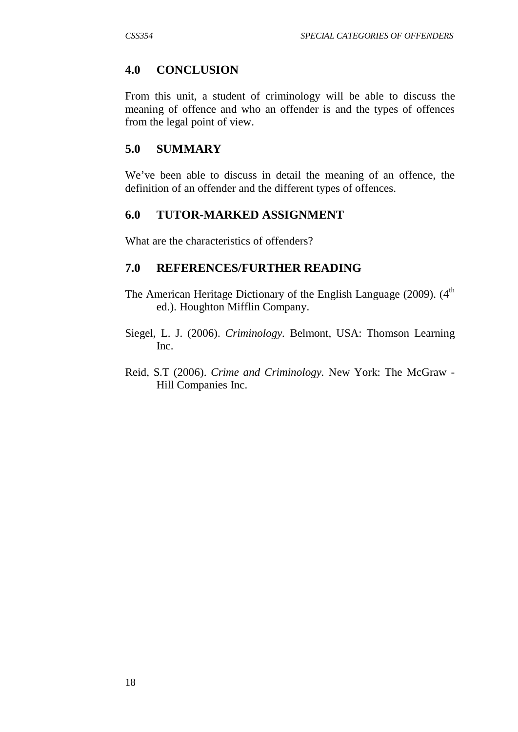#### **4.0 CONCLUSION**

From this unit, a student of criminology will be able to discuss the meaning of offence and who an offender is and the types of offences from the legal point of view.

## **5.0 SUMMARY**

We've been able to discuss in detail the meaning of an offence, the definition of an offender and the different types of offences.

#### **6.0 TUTOR-MARKED ASSIGNMENT**

What are the characteristics of offenders?

#### **7.0 REFERENCES/FURTHER READING**

- The American Heritage Dictionary of the English Language (2009). (4<sup>th</sup> ed.). Houghton Mifflin Company.
- Siegel, L. J. (2006). *Criminology.* Belmont, USA: Thomson Learning Inc.
- Reid, S.T (2006). *Crime and Criminology.* New York: The McGraw Hill Companies Inc.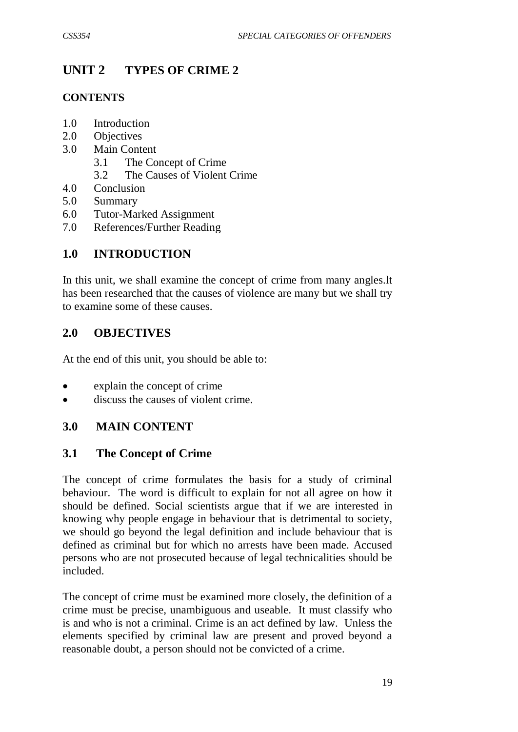# **UNIT 2 TYPES OF CRIME 2**

## **CONTENTS**

- 1.0 Introduction
- 2.0 Objectives
- 3.0 Main Content
	- 3.1 The Concept of Crime
	- 3.2 The Causes of Violent Crime
- 4.0 Conclusion
- 5.0 Summary
- 6.0 Tutor-Marked Assignment
- 7.0 References/Further Reading

# **1.0 INTRODUCTION**

In this unit, we shall examine the concept of crime from many angles.lt has been researched that the causes of violence are many but we shall try to examine some of these causes.

## **2.0 OBJECTIVES**

At the end of this unit, you should be able to:

- explain the concept of crime
- discuss the causes of violent crime.

## **3.0 MAIN CONTENT**

## **3.1 The Concept of Crime**

The concept of crime formulates the basis for a study of criminal behaviour. The word is difficult to explain for not all agree on how it should be defined. Social scientists argue that if we are interested in knowing why people engage in behaviour that is detrimental to society, we should go beyond the legal definition and include behaviour that is defined as criminal but for which no arrests have been made. Accused persons who are not prosecuted because of legal technicalities should be included.

The concept of crime must be examined more closely, the definition of a crime must be precise, unambiguous and useable. It must classify who is and who is not a criminal. Crime is an act defined by law. Unless the elements specified by criminal law are present and proved beyond a reasonable doubt, a person should not be convicted of a crime.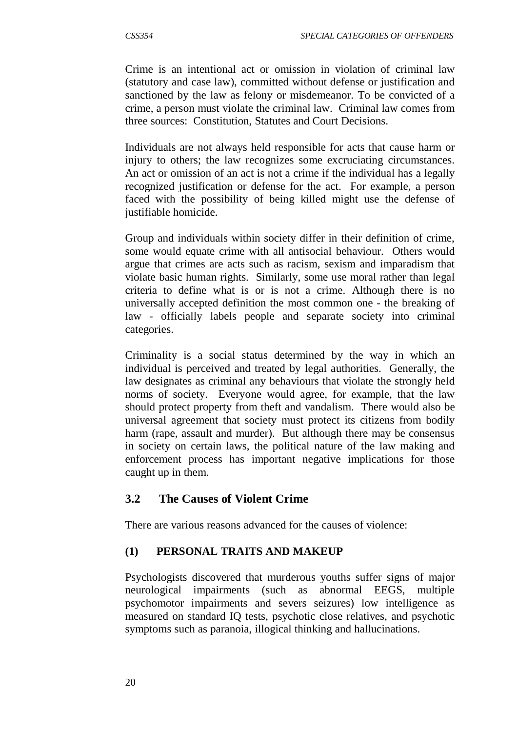Crime is an intentional act or omission in violation of criminal law (statutory and case law), committed without defense or justification and sanctioned by the law as felony or misdemeanor. To be convicted of a crime, a person must violate the criminal law. Criminal law comes from three sources: Constitution, Statutes and Court Decisions.

Individuals are not always held responsible for acts that cause harm or injury to others; the law recognizes some excruciating circumstances. An act or omission of an act is not a crime if the individual has a legally recognized justification or defense for the act. For example, a person faced with the possibility of being killed might use the defense of justifiable homicide.

Group and individuals within society differ in their definition of crime, some would equate crime with all antisocial behaviour. Others would argue that crimes are acts such as racism, sexism and imparadism that violate basic human rights. Similarly, some use moral rather than legal criteria to define what is or is not a crime. Although there is no universally accepted definition the most common one - the breaking of law - officially labels people and separate society into criminal categories.

Criminality is a social status determined by the way in which an individual is perceived and treated by legal authorities. Generally, the law designates as criminal any behaviours that violate the strongly held norms of society. Everyone would agree, for example, that the law should protect property from theft and vandalism. There would also be universal agreement that society must protect its citizens from bodily harm (rape, assault and murder). But although there may be consensus in society on certain laws, the political nature of the law making and enforcement process has important negative implications for those caught up in them.

## **3.2 The Causes of Violent Crime**

There are various reasons advanced for the causes of violence:

## **(1) PERSONAL TRAITS AND MAKEUP**

Psychologists discovered that murderous youths suffer signs of major neurological impairments (such as abnormal EEGS, multiple psychomotor impairments and severs seizures) low intelligence as measured on standard IQ tests, psychotic close relatives, and psychotic symptoms such as paranoia, illogical thinking and hallucinations.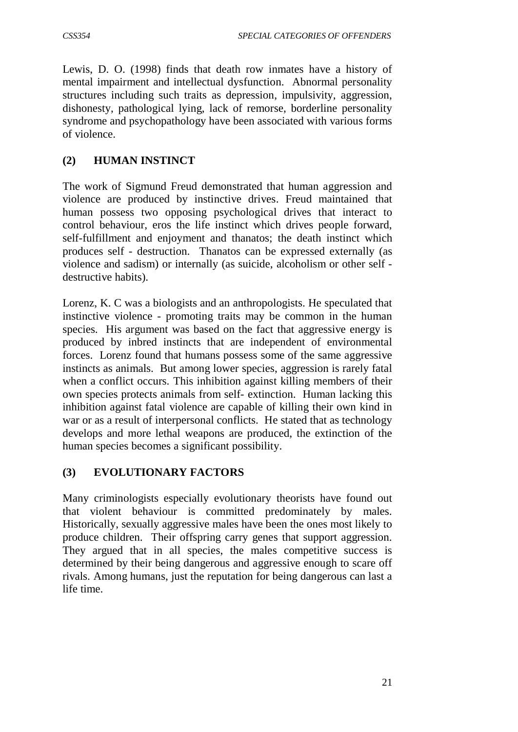Lewis, D. O. (1998) finds that death row inmates have a history of mental impairment and intellectual dysfunction. Abnormal personality structures including such traits as depression, impulsivity, aggression, dishonesty, pathological lying, lack of remorse, borderline personality syndrome and psychopathology have been associated with various forms of violence.

## **(2) HUMAN INSTINCT**

The work of Sigmund Freud demonstrated that human aggression and violence are produced by instinctive drives. Freud maintained that human possess two opposing psychological drives that interact to control behaviour, eros the life instinct which drives people forward, self-fulfillment and enjoyment and thanatos; the death instinct which produces self - destruction. Thanatos can be expressed externally (as violence and sadism) or internally (as suicide, alcoholism or other self destructive habits).

Lorenz, K. C was a biologists and an anthropologists. He speculated that instinctive violence - promoting traits may be common in the human species. His argument was based on the fact that aggressive energy is produced by inbred instincts that are independent of environmental forces. Lorenz found that humans possess some of the same aggressive instincts as animals. But among lower species, aggression is rarely fatal when a conflict occurs. This inhibition against killing members of their own species protects animals from self- extinction. Human lacking this inhibition against fatal violence are capable of killing their own kind in war or as a result of interpersonal conflicts. He stated that as technology develops and more lethal weapons are produced, the extinction of the human species becomes a significant possibility.

### **(3) EVOLUTIONARY FACTORS**

Many criminologists especially evolutionary theorists have found out that violent behaviour is committed predominately by males. Historically, sexually aggressive males have been the ones most likely to produce children. Their offspring carry genes that support aggression. They argued that in all species, the males competitive success is determined by their being dangerous and aggressive enough to scare off rivals. Among humans, just the reputation for being dangerous can last a life time.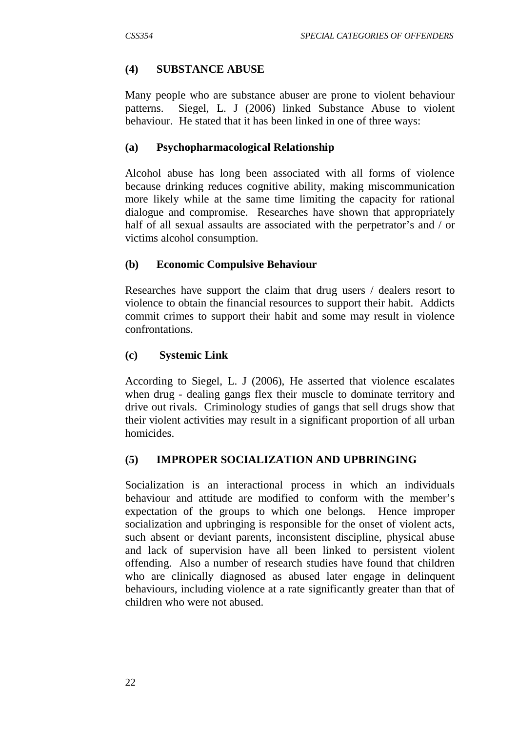## **(4) SUBSTANCE ABUSE**

Many people who are substance abuser are prone to violent behaviour patterns. Siegel, L. J (2006) linked Substance Abuse to violent behaviour. He stated that it has been linked in one of three ways:

## **(a) Psychopharmacological Relationship**

Alcohol abuse has long been associated with all forms of violence because drinking reduces cognitive ability, making miscommunication more likely while at the same time limiting the capacity for rational dialogue and compromise. Researches have shown that appropriately half of all sexual assaults are associated with the perpetrator's and / or victims alcohol consumption.

### **(b) Economic Compulsive Behaviour**

Researches have support the claim that drug users / dealers resort to violence to obtain the financial resources to support their habit. Addicts commit crimes to support their habit and some may result in violence confrontations.

### **(c) Systemic Link**

According to Siegel, L. J (2006), He asserted that violence escalates when drug - dealing gangs flex their muscle to dominate territory and drive out rivals. Criminology studies of gangs that sell drugs show that their violent activities may result in a significant proportion of all urban homicides.

### **(5) IMPROPER SOCIALIZATION AND UPBRINGING**

Socialization is an interactional process in which an individuals behaviour and attitude are modified to conform with the member's expectation of the groups to which one belongs. Hence improper socialization and upbringing is responsible for the onset of violent acts, such absent or deviant parents, inconsistent discipline, physical abuse and lack of supervision have all been linked to persistent violent offending. Also a number of research studies have found that children who are clinically diagnosed as abused later engage in delinquent behaviours, including violence at a rate significantly greater than that of children who were not abused.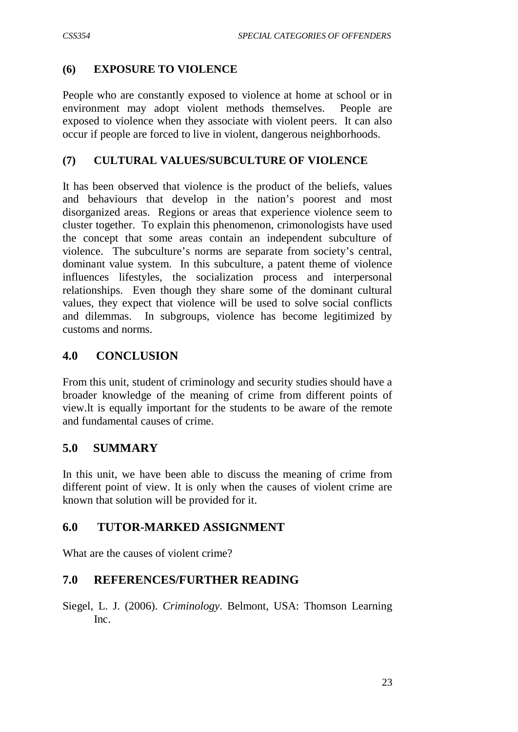### **(6) EXPOSURE TO VIOLENCE**

People who are constantly exposed to violence at home at school or in environment may adopt violent methods themselves. People are exposed to violence when they associate with violent peers. It can also occur if people are forced to live in violent, dangerous neighborhoods.

### **(7) CULTURAL VALUES/SUBCULTURE OF VIOLENCE**

It has been observed that violence is the product of the beliefs, values and behaviours that develop in the nation's poorest and most disorganized areas. Regions or areas that experience violence seem to cluster together. To explain this phenomenon, crimonologists have used the concept that some areas contain an independent subculture of violence. The subculture's norms are separate from society's central, dominant value system. In this subculture, a patent theme of violence influences lifestyles, the socialization process and interpersonal relationships. Even though they share some of the dominant cultural values, they expect that violence will be used to solve social conflicts and dilemmas. In subgroups, violence has become legitimized by customs and norms.

### **4.0 CONCLUSION**

From this unit, student of criminology and security studies should have a broader knowledge of the meaning of crime from different points of view.lt is equally important for the students to be aware of the remote and fundamental causes of crime.

## **5.0 SUMMARY**

In this unit, we have been able to discuss the meaning of crime from different point of view. It is only when the causes of violent crime are known that solution will be provided for it.

### **6.0 TUTOR-MARKED ASSIGNMENT**

What are the causes of violent crime?

## **7.0 REFERENCES/FURTHER READING**

Siegel, L. J. (2006). *Criminology*. Belmont, USA: Thomson Learning Inc.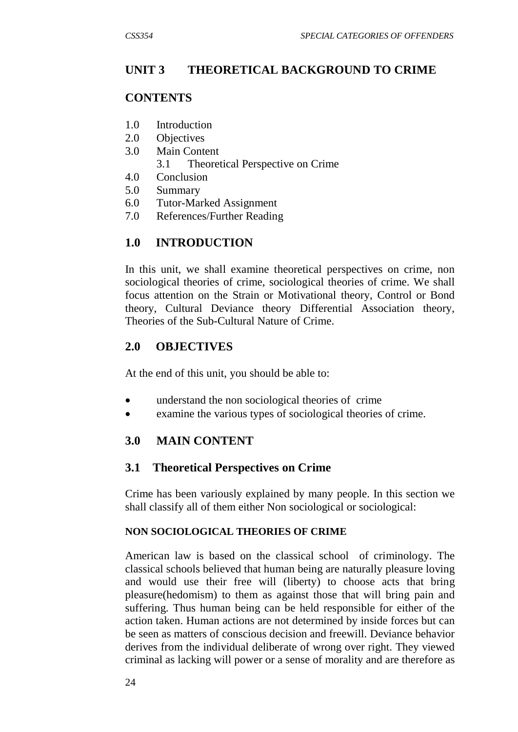## **UNIT 3 THEORETICAL BACKGROUND TO CRIME**

## **CONTENTS**

- 1.0 Introduction
- 2.0 Objectives
- 3.0 Main Content
	- 3.1 Theoretical Perspective on Crime
- 4.0 Conclusion
- 5.0 Summary
- 6.0 Tutor-Marked Assignment
- 7.0 References/Further Reading

## **1.0 INTRODUCTION**

In this unit, we shall examine theoretical perspectives on crime, non sociological theories of crime, sociological theories of crime. We shall focus attention on the Strain or Motivational theory, Control or Bond theory, Cultural Deviance theory Differential Association theory, Theories of the Sub-Cultural Nature of Crime.

## **2.0 OBJECTIVES**

At the end of this unit, you should be able to:

- understand the non sociological theories of crime
- examine the various types of sociological theories of crime.

## **3.0 MAIN CONTENT**

## **3.1 Theoretical Perspectives on Crime**

Crime has been variously explained by many people. In this section we shall classify all of them either Non sociological or sociological:

### **NON SOCIOLOGICAL THEORIES OF CRIME**

American law is based on the classical school of criminology. The classical schools believed that human being are naturally pleasure loving and would use their free will (liberty) to choose acts that bring pleasure(hedomism) to them as against those that will bring pain and suffering. Thus human being can be held responsible for either of the action taken. Human actions are not determined by inside forces but can be seen as matters of conscious decision and freewill. Deviance behavior derives from the individual deliberate of wrong over right. They viewed criminal as lacking will power or a sense of morality and are therefore as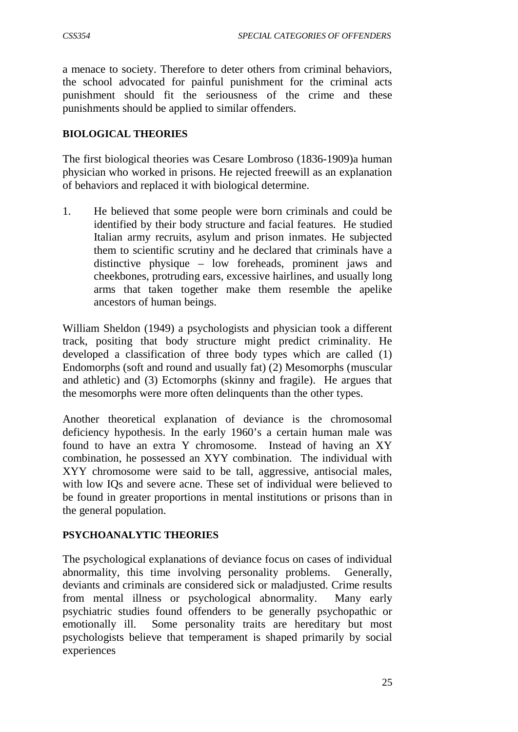a menace to society. Therefore to deter others from criminal behaviors, the school advocated for painful punishment for the criminal acts punishment should fit the seriousness of the crime and these punishments should be applied to similar offenders.

### **BIOLOGICAL THEORIES**

The first biological theories was Cesare Lombroso (1836-1909)a human physician who worked in prisons. He rejected freewill as an explanation of behaviors and replaced it with biological determine.

1. He believed that some people were born criminals and could be identified by their body structure and facial features. He studied Italian army recruits, asylum and prison inmates. He subjected them to scientific scrutiny and he declared that criminals have a distinctive physique – low foreheads, prominent jaws and cheekbones, protruding ears, excessive hairlines, and usually long arms that taken together make them resemble the apelike ancestors of human beings.

William Sheldon (1949) a psychologists and physician took a different track, positing that body structure might predict criminality. He developed a classification of three body types which are called (1) Endomorphs (soft and round and usually fat) (2) Mesomorphs (muscular and athletic) and (3) Ectomorphs (skinny and fragile). He argues that the mesomorphs were more often delinquents than the other types.

Another theoretical explanation of deviance is the chromosomal deficiency hypothesis. In the early 1960's a certain human male was found to have an extra Y chromosome. Instead of having an XY combination, he possessed an XYY combination. The individual with XYY chromosome were said to be tall, aggressive, antisocial males, with low IQs and severe acne. These set of individual were believed to be found in greater proportions in mental institutions or prisons than in the general population.

### **PSYCHOANALYTIC THEORIES**

The psychological explanations of deviance focus on cases of individual abnormality, this time involving personality problems. Generally, deviants and criminals are considered sick or maladjusted. Crime results from mental illness or psychological abnormality. Many early psychiatric studies found offenders to be generally psychopathic or emotionally ill. Some personality traits are hereditary but most psychologists believe that temperament is shaped primarily by social experiences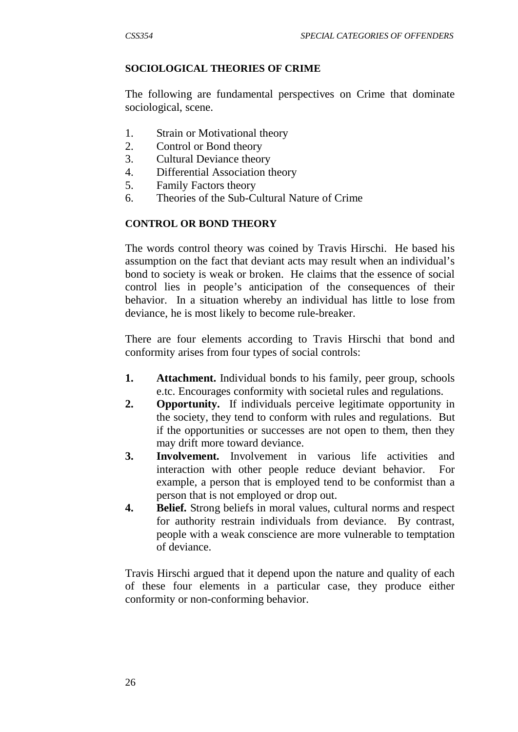### **SOCIOLOGICAL THEORIES OF CRIME**

The following are fundamental perspectives on Crime that dominate sociological, scene.

- 1. Strain or Motivational theory
- 2. Control or Bond theory
- 3. Cultural Deviance theory
- 4. Differential Association theory
- 5. Family Factors theory
- 6. Theories of the Sub-Cultural Nature of Crime

### **CONTROL OR BOND THEORY**

The words control theory was coined by Travis Hirschi. He based his assumption on the fact that deviant acts may result when an individual's bond to society is weak or broken. He claims that the essence of social control lies in people's anticipation of the consequences of their behavior. In a situation whereby an individual has little to lose from deviance, he is most likely to become rule-breaker.

There are four elements according to Travis Hirschi that bond and conformity arises from four types of social controls:

- **1. Attachment.** Individual bonds to his family, peer group, schools e.tc. Encourages conformity with societal rules and regulations.
- **2. Opportunity.** If individuals perceive legitimate opportunity in the society, they tend to conform with rules and regulations. But if the opportunities or successes are not open to them, then they may drift more toward deviance.
- **3. Involvement.** Involvement in various life activities and interaction with other people reduce deviant behavior. For example, a person that is employed tend to be conformist than a person that is not employed or drop out.
- **4. Belief.** Strong beliefs in moral values, cultural norms and respect for authority restrain individuals from deviance. By contrast, people with a weak conscience are more vulnerable to temptation of deviance.

Travis Hirschi argued that it depend upon the nature and quality of each of these four elements in a particular case, they produce either conformity or non-conforming behavior.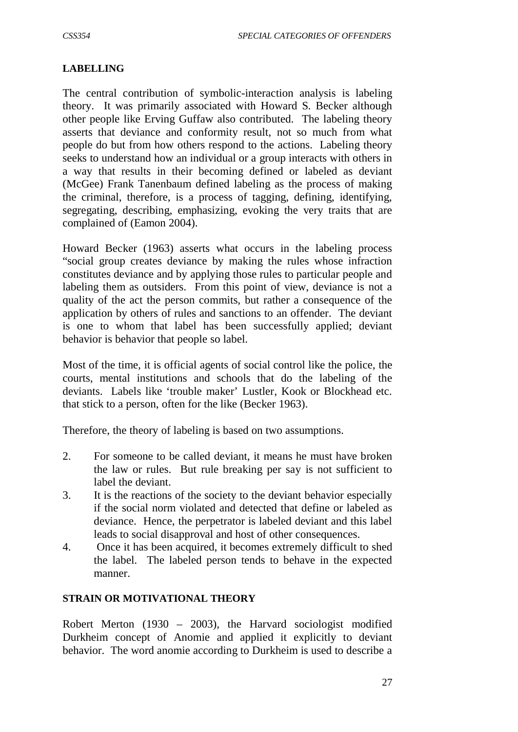#### **LABELLING**

The central contribution of symbolic-interaction analysis is labeling theory. It was primarily associated with Howard S. Becker although other people like Erving Guffaw also contributed. The labeling theory asserts that deviance and conformity result, not so much from what people do but from how others respond to the actions. Labeling theory seeks to understand how an individual or a group interacts with others in a way that results in their becoming defined or labeled as deviant (McGee) Frank Tanenbaum defined labeling as the process of making the criminal, therefore, is a process of tagging, defining, identifying, segregating, describing, emphasizing, evoking the very traits that are complained of (Eamon 2004).

Howard Becker (1963) asserts what occurs in the labeling process "social group creates deviance by making the rules whose infraction constitutes deviance and by applying those rules to particular people and labeling them as outsiders. From this point of view, deviance is not a quality of the act the person commits, but rather a consequence of the application by others of rules and sanctions to an offender. The deviant is one to whom that label has been successfully applied; deviant behavior is behavior that people so label.

Most of the time, it is official agents of social control like the police, the courts, mental institutions and schools that do the labeling of the deviants. Labels like 'trouble maker' Lustler, Kook or Blockhead etc. that stick to a person, often for the like (Becker 1963).

Therefore, the theory of labeling is based on two assumptions.

- 2. For someone to be called deviant, it means he must have broken the law or rules. But rule breaking per say is not sufficient to label the deviant.
- 3. It is the reactions of the society to the deviant behavior especially if the social norm violated and detected that define or labeled as deviance. Hence, the perpetrator is labeled deviant and this label leads to social disapproval and host of other consequences.
- 4. Once it has been acquired, it becomes extremely difficult to shed the label. The labeled person tends to behave in the expected manner.

#### **STRAIN OR MOTIVATIONAL THEORY**

Robert Merton (1930 – 2003), the Harvard sociologist modified Durkheim concept of Anomie and applied it explicitly to deviant behavior. The word anomie according to Durkheim is used to describe a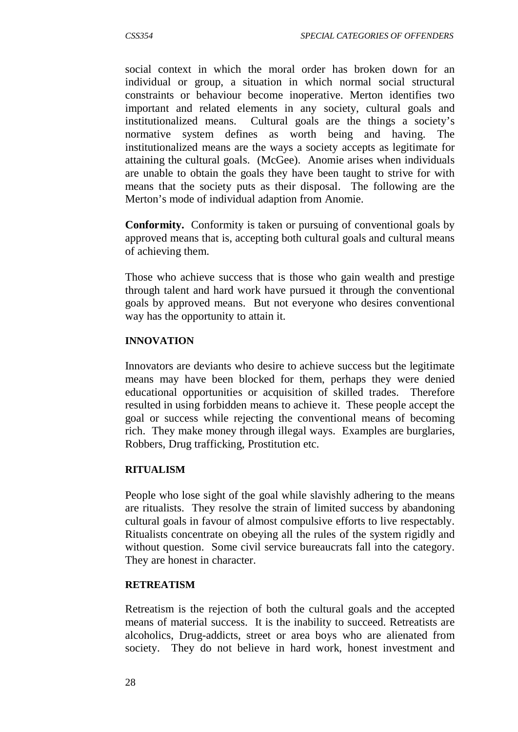social context in which the moral order has broken down for an individual or group, a situation in which normal social structural constraints or behaviour become inoperative. Merton identifies two important and related elements in any society, cultural goals and institutionalized means. Cultural goals are the things a society's normative system defines as worth being and having. The institutionalized means are the ways a society accepts as legitimate for attaining the cultural goals. (McGee). Anomie arises when individuals are unable to obtain the goals they have been taught to strive for with means that the society puts as their disposal. The following are the Merton's mode of individual adaption from Anomie.

**Conformity.** Conformity is taken or pursuing of conventional goals by approved means that is, accepting both cultural goals and cultural means of achieving them.

Those who achieve success that is those who gain wealth and prestige through talent and hard work have pursued it through the conventional goals by approved means. But not everyone who desires conventional way has the opportunity to attain it.

#### **INNOVATION**

Innovators are deviants who desire to achieve success but the legitimate means may have been blocked for them, perhaps they were denied educational opportunities or acquisition of skilled trades. Therefore resulted in using forbidden means to achieve it. These people accept the goal or success while rejecting the conventional means of becoming rich. They make money through illegal ways. Examples are burglaries, Robbers, Drug trafficking, Prostitution etc.

#### **RITUALISM**

People who lose sight of the goal while slavishly adhering to the means are ritualists. They resolve the strain of limited success by abandoning cultural goals in favour of almost compulsive efforts to live respectably. Ritualists concentrate on obeying all the rules of the system rigidly and without question. Some civil service bureaucrats fall into the category. They are honest in character.

#### **RETREATISM**

Retreatism is the rejection of both the cultural goals and the accepted means of material success. It is the inability to succeed. Retreatists are alcoholics, Drug-addicts, street or area boys who are alienated from society. They do not believe in hard work, honest investment and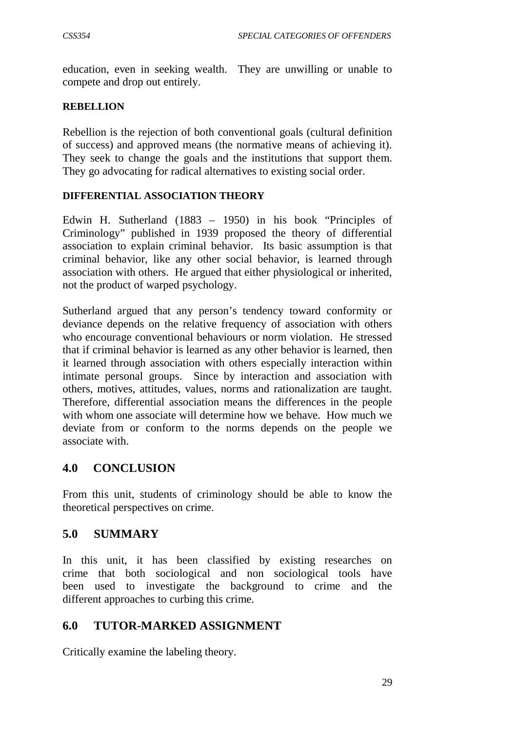education, even in seeking wealth. They are unwilling or unable to compete and drop out entirely.

#### **REBELLION**

Rebellion is the rejection of both conventional goals (cultural definition of success) and approved means (the normative means of achieving it). They seek to change the goals and the institutions that support them. They go advocating for radical alternatives to existing social order.

### **DIFFERENTIAL ASSOCIATION THEORY**

Edwin H. Sutherland (1883 – 1950) in his book "Principles of Criminology" published in 1939 proposed the theory of differential association to explain criminal behavior. Its basic assumption is that criminal behavior, like any other social behavior, is learned through association with others. He argued that either physiological or inherited, not the product of warped psychology.

Sutherland argued that any person's tendency toward conformity or deviance depends on the relative frequency of association with others who encourage conventional behaviours or norm violation. He stressed that if criminal behavior is learned as any other behavior is learned, then it learned through association with others especially interaction within intimate personal groups. Since by interaction and association with others, motives, attitudes, values, norms and rationalization are taught. Therefore, differential association means the differences in the people with whom one associate will determine how we behave. How much we deviate from or conform to the norms depends on the people we associate with.

## **4.0 CONCLUSION**

From this unit, students of criminology should be able to know the theoretical perspectives on crime.

### **5.0 SUMMARY**

In this unit, it has been classified by existing researches on crime that both sociological and non sociological tools have been used to investigate the background to crime and the different approaches to curbing this crime.

### **6.0 TUTOR-MARKED ASSIGNMENT**

Critically examine the labeling theory.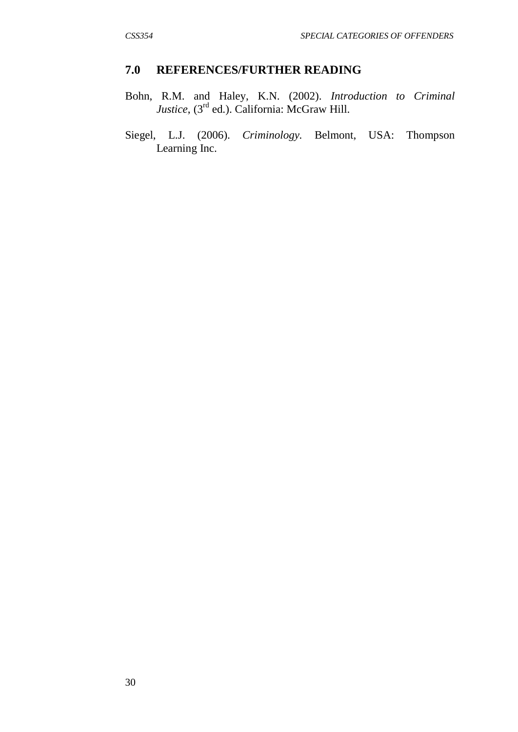### **7.0 REFERENCES/FURTHER READING**

- Bohn, R.M. and Haley, K.N. (2002). *Introduction to Criminal Justice*, (3rd ed.). California: McGraw Hill.
- Siegel, L.J. (2006). *Criminology.* Belmont, USA: Thompson Learning Inc.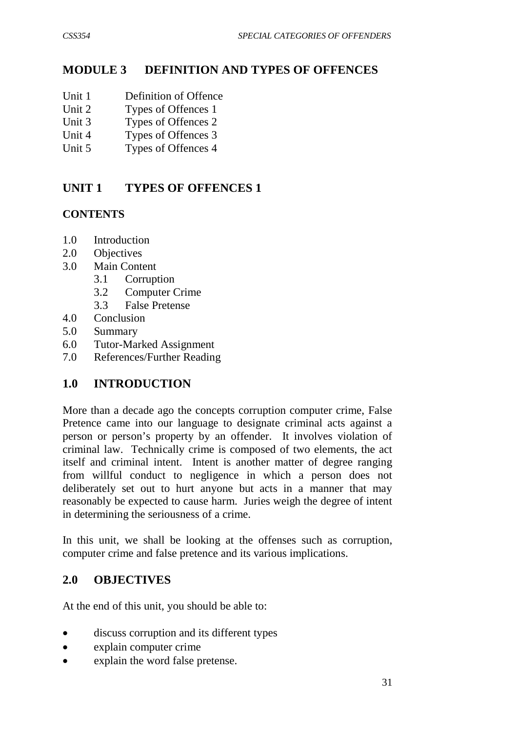# **MODULE 3 DEFINITION AND TYPES OF OFFENCES**

- Unit 1 Definition of Offence
- Unit 2 Types of Offences 1
- Unit 3 Types of Offences 2
- Unit 4 Types of Offences 3
- Unit 5 Types of Offences 4

# **UNIT 1 TYPES OF OFFENCES 1**

## **CONTENTS**

- 1.0 Introduction
- 2.0 Objectives
- 3.0 Main Content
	- 3.1 Corruption
	- 3.2 Computer Crime
	- 3.3 False Pretense
- 4.0 Conclusion
- 5.0 Summary
- 6.0 Tutor-Marked Assignment
- 7.0 References/Further Reading

## **1.0 INTRODUCTION**

More than a decade ago the concepts corruption computer crime, False Pretence came into our language to designate criminal acts against a person or person's property by an offender. It involves violation of criminal law. Technically crime is composed of two elements, the act itself and criminal intent. Intent is another matter of degree ranging from willful conduct to negligence in which a person does not deliberately set out to hurt anyone but acts in a manner that may reasonably be expected to cause harm. Juries weigh the degree of intent in determining the seriousness of a crime.

In this unit, we shall be looking at the offenses such as corruption, computer crime and false pretence and its various implications.

## **2.0 OBJECTIVES**

At the end of this unit, you should be able to:

- discuss corruption and its different types
- explain computer crime
- explain the word false pretense.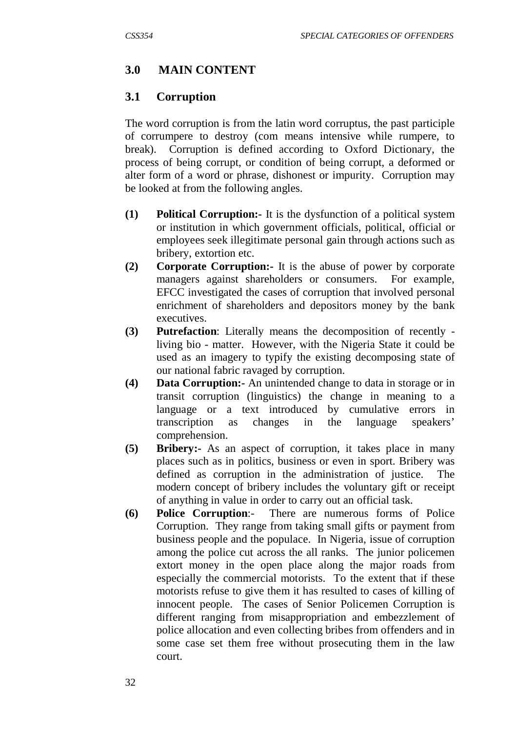## **3.0 MAIN CONTENT**

### **3.1 Corruption**

The word corruption is from the latin word corruptus, the past participle of corrumpere to destroy (com means intensive while rumpere, to break). Corruption is defined according to Oxford Dictionary, the process of being corrupt, or condition of being corrupt, a deformed or alter form of a word or phrase, dishonest or impurity. Corruption may be looked at from the following angles.

- **(1) Political Corruption:-** It is the dysfunction of a political system or institution in which government officials, political, official or employees seek illegitimate personal gain through actions such as bribery, extortion etc.
- **(2) Corporate Corruption:-** It is the abuse of power by corporate managers against shareholders or consumers. For example, EFCC investigated the cases of corruption that involved personal enrichment of shareholders and depositors money by the bank executives.
- **(3) Putrefaction**: Literally means the decomposition of recently living bio - matter. However, with the Nigeria State it could be used as an imagery to typify the existing decomposing state of our national fabric ravaged by corruption.
- **(4) Data Corruption:-** An unintended change to data in storage or in transit corruption (linguistics) the change in meaning to a language or a text introduced by cumulative errors in transcription as changes in the language speakers' comprehension.
- **(5) Bribery:-** As an aspect of corruption, it takes place in many places such as in politics, business or even in sport. Bribery was defined as corruption in the administration of justice. The modern concept of bribery includes the voluntary gift or receipt of anything in value in order to carry out an official task.
- **(6) Police Corruption**:- There are numerous forms of Police Corruption. They range from taking small gifts or payment from business people and the populace. In Nigeria, issue of corruption among the police cut across the all ranks. The junior policemen extort money in the open place along the major roads from especially the commercial motorists. To the extent that if these motorists refuse to give them it has resulted to cases of killing of innocent people. The cases of Senior Policemen Corruption is different ranging from misappropriation and embezzlement of police allocation and even collecting bribes from offenders and in some case set them free without prosecuting them in the law court.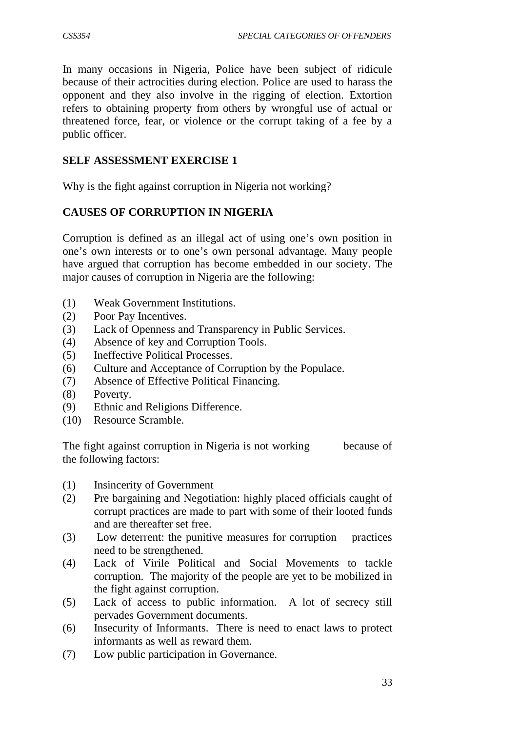In many occasions in Nigeria, Police have been subject of ridicule because of their actrocities during election. Police are used to harass the opponent and they also involve in the rigging of election. Extortion refers to obtaining property from others by wrongful use of actual or threatened force, fear, or violence or the corrupt taking of a fee by a public officer.

## **SELF ASSESSMENT EXERCISE 1**

Why is the fight against corruption in Nigeria not working?

## **CAUSES OF CORRUPTION IN NIGERIA**

Corruption is defined as an illegal act of using one's own position in one's own interests or to one's own personal advantage. Many people have argued that corruption has become embedded in our society. The major causes of corruption in Nigeria are the following:

- (1) Weak Government Institutions.
- (2) Poor Pay Incentives.
- (3) Lack of Openness and Transparency in Public Services.
- (4) Absence of key and Corruption Tools.
- (5) Ineffective Political Processes.
- (6) Culture and Acceptance of Corruption by the Populace.
- (7) Absence of Effective Political Financing.
- (8) Poverty.
- (9) Ethnic and Religions Difference.
- (10) Resource Scramble.

The fight against corruption in Nigeria is not working because of the following factors:

- (1) Insincerity of Government
- (2) Pre bargaining and Negotiation: highly placed officials caught of corrupt practices are made to part with some of their looted funds and are thereafter set free.
- (3) Low deterrent: the punitive measures for corruption practices need to be strengthened.
- (4) Lack of Virile Political and Social Movements to tackle corruption. The majority of the people are yet to be mobilized in the fight against corruption.
- (5) Lack of access to public information. A lot of secrecy still pervades Government documents.
- (6) Insecurity of Informants. There is need to enact laws to protect informants as well as reward them.
- (7) Low public participation in Governance.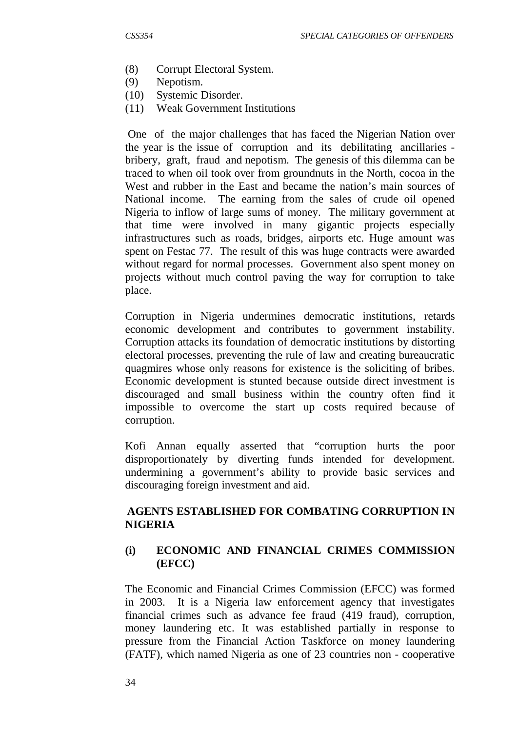- (8) Corrupt Electoral System.
- (9) Nepotism.
- (10) Systemic Disorder.
- (11) Weak Government Institutions

 One of the major challenges that has faced the Nigerian Nation over the year is the issue of corruption and its debilitating ancillaries bribery, graft, fraud and nepotism. The genesis of this dilemma can be traced to when oil took over from groundnuts in the North, cocoa in the West and rubber in the East and became the nation's main sources of National income. The earning from the sales of crude oil opened Nigeria to inflow of large sums of money. The military government at that time were involved in many gigantic projects especially infrastructures such as roads, bridges, airports etc. Huge amount was spent on Festac 77. The result of this was huge contracts were awarded without regard for normal processes. Government also spent money on projects without much control paving the way for corruption to take place.

Corruption in Nigeria undermines democratic institutions, retards economic development and contributes to government instability. Corruption attacks its foundation of democratic institutions by distorting electoral processes, preventing the rule of law and creating bureaucratic quagmires whose only reasons for existence is the soliciting of bribes. Economic development is stunted because outside direct investment is discouraged and small business within the country often find it impossible to overcome the start up costs required because of corruption.

Kofi Annan equally asserted that "corruption hurts the poor disproportionately by diverting funds intended for development. undermining a government's ability to provide basic services and discouraging foreign investment and aid.

### **AGENTS ESTABLISHED FOR COMBATING CORRUPTION IN NIGERIA**

### **(i) ECONOMIC AND FINANCIAL CRIMES COMMISSION (EFCC)**

The Economic and Financial Crimes Commission (EFCC) was formed in 2003. It is a Nigeria law enforcement agency that investigates financial crimes such as advance fee fraud (419 fraud), corruption, money laundering etc. It was established partially in response to pressure from the Financial Action Taskforce on money laundering (FATF), which named Nigeria as one of 23 countries non - cooperative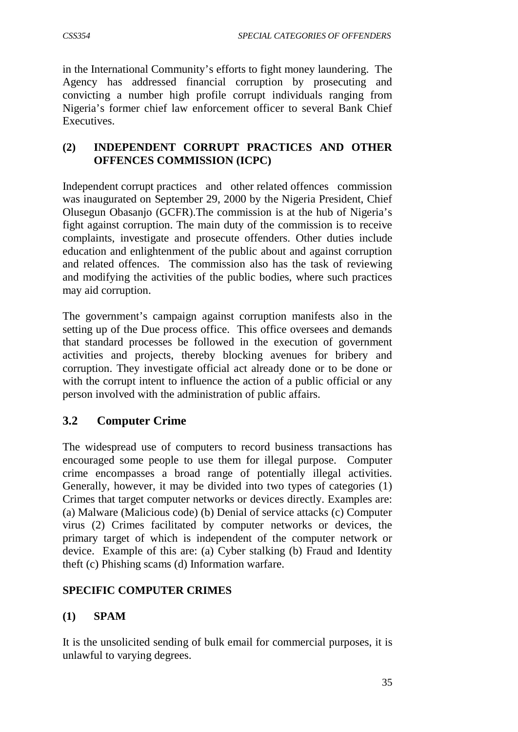in the International Community's efforts to fight money laundering. The Agency has addressed financial corruption by prosecuting and convicting a number high profile corrupt individuals ranging from Nigeria's former chief law enforcement officer to several Bank Chief **Executives** 

## **(2) INDEPENDENT CORRUPT PRACTICES AND OTHER OFFENCES COMMISSION (ICPC)**

Independent corrupt practices and other related offences commission was inaugurated on September 29, 2000 by the Nigeria President, Chief Olusegun Obasanjo (GCFR).The commission is at the hub of Nigeria's fight against corruption. The main duty of the commission is to receive complaints, investigate and prosecute offenders. Other duties include education and enlightenment of the public about and against corruption and related offences. The commission also has the task of reviewing and modifying the activities of the public bodies, where such practices may aid corruption.

The government's campaign against corruption manifests also in the setting up of the Due process office. This office oversees and demands that standard processes be followed in the execution of government activities and projects, thereby blocking avenues for bribery and corruption. They investigate official act already done or to be done or with the corrupt intent to influence the action of a public official or any person involved with the administration of public affairs.

## **3.2 Computer Crime**

The widespread use of computers to record business transactions has encouraged some people to use them for illegal purpose. Computer crime encompasses a broad range of potentially illegal activities. Generally, however, it may be divided into two types of categories (1) Crimes that target computer networks or devices directly. Examples are: (a) Malware (Malicious code) (b) Denial of service attacks (c) Computer virus (2) Crimes facilitated by computer networks or devices, the primary target of which is independent of the computer network or device. Example of this are: (a) Cyber stalking (b) Fraud and Identity theft (c) Phishing scams (d) Information warfare.

## **SPECIFIC COMPUTER CRIMES**

## **(1) SPAM**

It is the unsolicited sending of bulk email for commercial purposes, it is unlawful to varying degrees.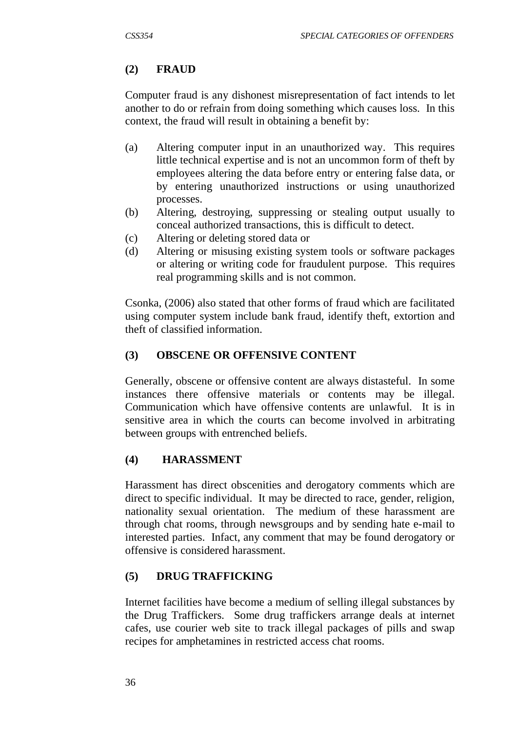## **(2) FRAUD**

Computer fraud is any dishonest misrepresentation of fact intends to let another to do or refrain from doing something which causes loss. In this context, the fraud will result in obtaining a benefit by:

- (a) Altering computer input in an unauthorized way. This requires little technical expertise and is not an uncommon form of theft by employees altering the data before entry or entering false data, or by entering unauthorized instructions or using unauthorized processes.
- (b) Altering, destroying, suppressing or stealing output usually to conceal authorized transactions, this is difficult to detect.
- (c) Altering or deleting stored data or
- (d) Altering or misusing existing system tools or software packages or altering or writing code for fraudulent purpose. This requires real programming skills and is not common.

Csonka, (2006) also stated that other forms of fraud which are facilitated using computer system include bank fraud, identify theft, extortion and theft of classified information.

## **(3) OBSCENE OR OFFENSIVE CONTENT**

Generally, obscene or offensive content are always distasteful. In some instances there offensive materials or contents may be illegal. Communication which have offensive contents are unlawful. It is in sensitive area in which the courts can become involved in arbitrating between groups with entrenched beliefs.

## **(4) HARASSMENT**

Harassment has direct obscenities and derogatory comments which are direct to specific individual. It may be directed to race, gender, religion, nationality sexual orientation. The medium of these harassment are through chat rooms, through newsgroups and by sending hate e-mail to interested parties. Infact, any comment that may be found derogatory or offensive is considered harassment.

## **(5) DRUG TRAFFICKING**

Internet facilities have become a medium of selling illegal substances by the Drug Traffickers. Some drug traffickers arrange deals at internet cafes, use courier web site to track illegal packages of pills and swap recipes for amphetamines in restricted access chat rooms.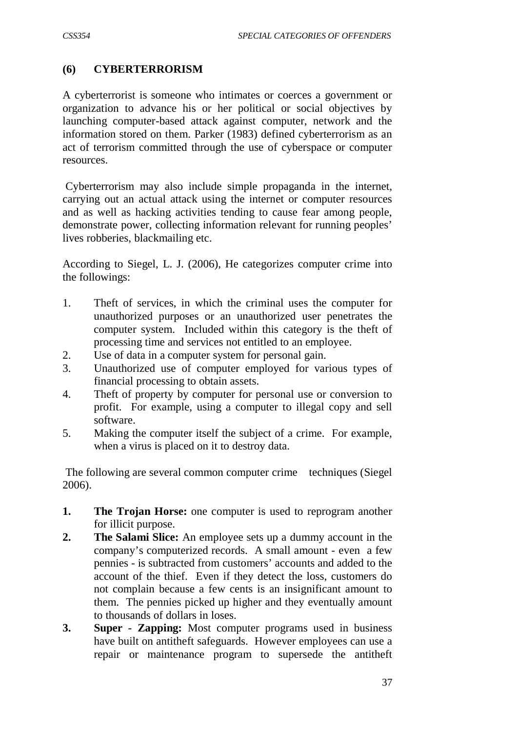### **(6) CYBERTERRORISM**

A cyberterrorist is someone who intimates or coerces a government or organization to advance his or her political or social objectives by launching computer-based attack against computer, network and the information stored on them. Parker (1983) defined cyberterrorism as an act of terrorism committed through the use of cyberspace or computer resources.

Cyberterrorism may also include simple propaganda in the internet, carrying out an actual attack using the internet or computer resources and as well as hacking activities tending to cause fear among people, demonstrate power, collecting information relevant for running peoples' lives robberies, blackmailing etc.

According to Siegel, L. J. (2006), He categorizes computer crime into the followings:

- 1. Theft of services, in which the criminal uses the computer for unauthorized purposes or an unauthorized user penetrates the computer system. Included within this category is the theft of processing time and services not entitled to an employee.
- 2. Use of data in a computer system for personal gain.
- 3. Unauthorized use of computer employed for various types of financial processing to obtain assets.
- 4. Theft of property by computer for personal use or conversion to profit. For example, using a computer to illegal copy and sell software.
- 5. Making the computer itself the subject of a crime. For example, when a virus is placed on it to destroy data.

The following are several common computer crime techniques (Siegel 2006).

- **1. The Trojan Horse:** one computer is used to reprogram another for illicit purpose.
- **2. The Salami Slice:** An employee sets up a dummy account in the company's computerized records. A small amount - even a few pennies - is subtracted from customers' accounts and added to the account of the thief. Even if they detect the loss, customers do not complain because a few cents is an insignificant amount to them. The pennies picked up higher and they eventually amount to thousands of dollars in loses.
- **3. Super - Zapping:** Most computer programs used in business have built on antitheft safeguards. However employees can use a repair or maintenance program to supersede the antitheft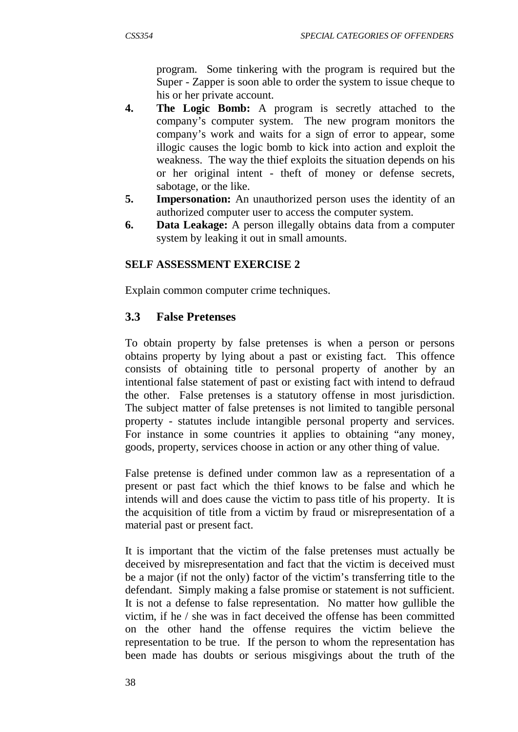program. Some tinkering with the program is required but the Super - Zapper is soon able to order the system to issue cheque to his or her private account.

- **4. The Logic Bomb:** A program is secretly attached to the company's computer system. The new program monitors the company's work and waits for a sign of error to appear, some illogic causes the logic bomb to kick into action and exploit the weakness. The way the thief exploits the situation depends on his or her original intent - theft of money or defense secrets, sabotage, or the like.
- **5. Impersonation:** An unauthorized person uses the identity of an authorized computer user to access the computer system.
- **6. Data Leakage:** A person illegally obtains data from a computer system by leaking it out in small amounts.

### **SELF ASSESSMENT EXERCISE 2**

Explain common computer crime techniques.

## **3.3 False Pretenses**

To obtain property by false pretenses is when a person or persons obtains property by lying about a past or existing fact. This offence consists of obtaining title to personal property of another by an intentional false statement of past or existing fact with intend to defraud the other. False pretenses is a statutory offense in most jurisdiction. The subject matter of false pretenses is not limited to tangible personal property - statutes include intangible personal property and services. For instance in some countries it applies to obtaining "any money, goods, property, services choose in action or any other thing of value.

False pretense is defined under common law as a representation of a present or past fact which the thief knows to be false and which he intends will and does cause the victim to pass title of his property. It is the acquisition of title from a victim by fraud or misrepresentation of a material past or present fact.

It is important that the victim of the false pretenses must actually be deceived by misrepresentation and fact that the victim is deceived must be a major (if not the only) factor of the victim's transferring title to the defendant. Simply making a false promise or statement is not sufficient. It is not a defense to false representation. No matter how gullible the victim, if he / she was in fact deceived the offense has been committed on the other hand the offense requires the victim believe the representation to be true. If the person to whom the representation has been made has doubts or serious misgivings about the truth of the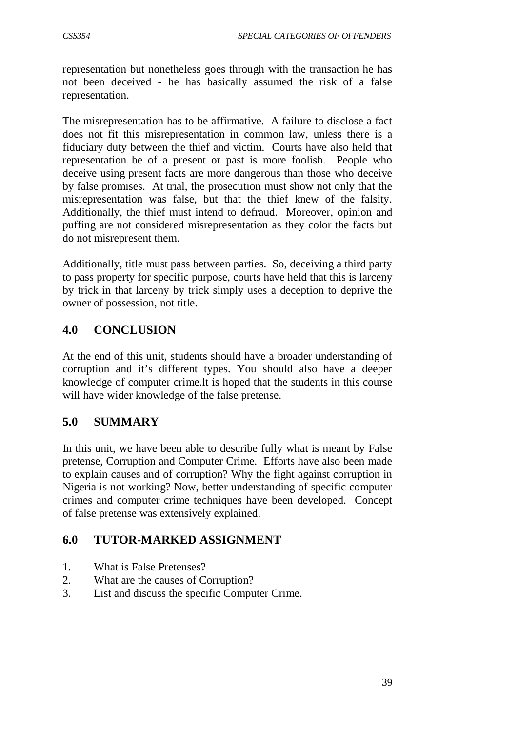representation but nonetheless goes through with the transaction he has not been deceived - he has basically assumed the risk of a false representation.

The misrepresentation has to be affirmative. A failure to disclose a fact does not fit this misrepresentation in common law, unless there is a fiduciary duty between the thief and victim. Courts have also held that representation be of a present or past is more foolish. People who deceive using present facts are more dangerous than those who deceive by false promises. At trial, the prosecution must show not only that the misrepresentation was false, but that the thief knew of the falsity. Additionally, the thief must intend to defraud. Moreover, opinion and puffing are not considered misrepresentation as they color the facts but do not misrepresent them.

Additionally, title must pass between parties. So, deceiving a third party to pass property for specific purpose, courts have held that this is larceny by trick in that larceny by trick simply uses a deception to deprive the owner of possession, not title.

# **4.0 CONCLUSION**

At the end of this unit, students should have a broader understanding of corruption and it's different types. You should also have a deeper knowledge of computer crime.lt is hoped that the students in this course will have wider knowledge of the false pretense.

## **5.0 SUMMARY**

In this unit, we have been able to describe fully what is meant by False pretense, Corruption and Computer Crime. Efforts have also been made to explain causes and of corruption? Why the fight against corruption in Nigeria is not working? Now, better understanding of specific computer crimes and computer crime techniques have been developed. Concept of false pretense was extensively explained.

## **6.0 TUTOR-MARKED ASSIGNMENT**

- 1. What is False Pretenses?
- 2. What are the causes of Corruption?
- 3. List and discuss the specific Computer Crime.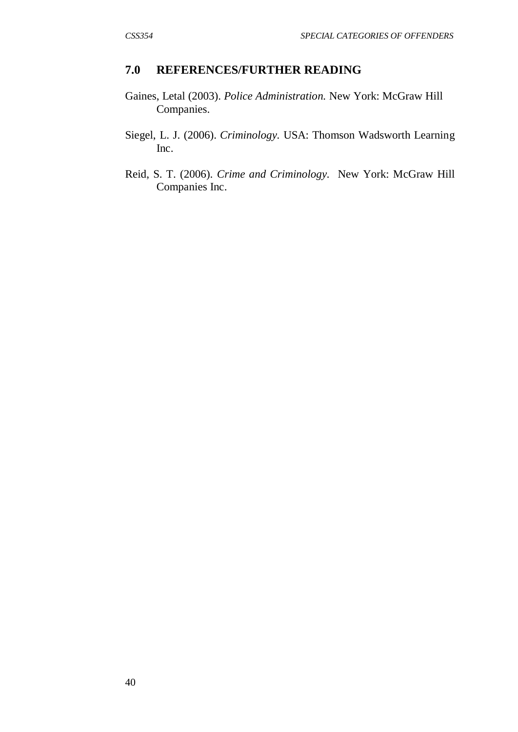### **7.0 REFERENCES/FURTHER READING**

- Gaines, Letal (2003). *Police Administration.* New York: McGraw Hill Companies.
- Siegel, L. J. (2006). *Criminology.* USA: Thomson Wadsworth Learning Inc.
- Reid, S. T. (2006). *Crime and Criminology.* New York: McGraw Hill Companies Inc.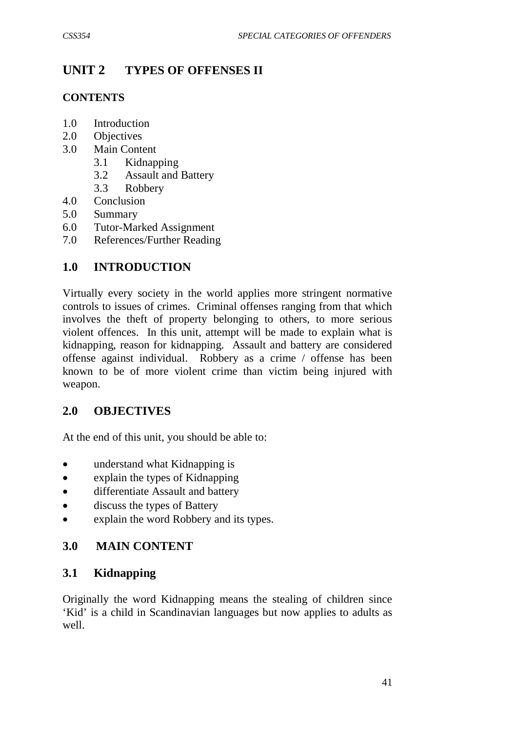# **UNIT 2 TYPES OF OFFENSES II**

### **CONTENTS**

- 1.0 Introduction
- 2.0 Objectives
- 3.0 Main Content
	- 3.1 Kidnapping
	- 3.2 Assault and Battery
	- 3.3 Robbery
- 4.0 Conclusion
- 5.0 Summary
- 6.0 Tutor-Marked Assignment
- 7.0 References/Further Reading

## **1.0 INTRODUCTION**

Virtually every society in the world applies more stringent normative controls to issues of crimes. Criminal offenses ranging from that which involves the theft of property belonging to others, to more serious violent offences. In this unit, attempt will be made to explain what is kidnapping, reason for kidnapping. Assault and battery are considered offense against individual. Robbery as a crime / offense has been known to be of more violent crime than victim being injured with weapon.

## **2.0 OBJECTIVES**

At the end of this unit, you should be able to:

- understand what Kidnapping is
- explain the types of Kidnapping
- differentiate Assault and battery
- discuss the types of Battery
- explain the word Robbery and its types.

## **3.0 MAIN CONTENT**

## **3.1 Kidnapping**

Originally the word Kidnapping means the stealing of children since 'Kid' is a child in Scandinavian languages but now applies to adults as well.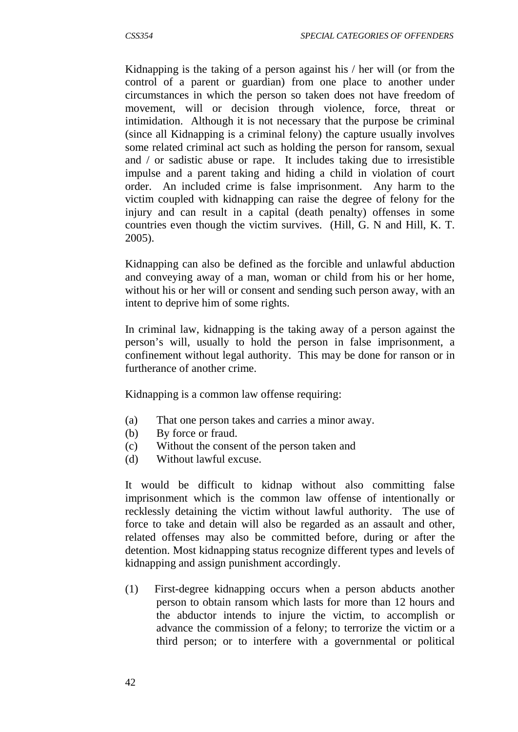Kidnapping is the taking of a person against his / her will (or from the control of a parent or guardian) from one place to another under circumstances in which the person so taken does not have freedom of movement, will or decision through violence, force, threat or intimidation. Although it is not necessary that the purpose be criminal (since all Kidnapping is a criminal felony) the capture usually involves some related criminal act such as holding the person for ransom, sexual and / or sadistic abuse or rape. It includes taking due to irresistible impulse and a parent taking and hiding a child in violation of court order. An included crime is false imprisonment. Any harm to the victim coupled with kidnapping can raise the degree of felony for the injury and can result in a capital (death penalty) offenses in some countries even though the victim survives. (Hill, G. N and Hill, K. T. 2005).

Kidnapping can also be defined as the forcible and unlawful abduction and conveying away of a man, woman or child from his or her home, without his or her will or consent and sending such person away, with an intent to deprive him of some rights.

In criminal law, kidnapping is the taking away of a person against the person's will, usually to hold the person in false imprisonment, a confinement without legal authority. This may be done for ranson or in furtherance of another crime.

Kidnapping is a common law offense requiring:

- (a) That one person takes and carries a minor away.
- (b) By force or fraud.
- (c) Without the consent of the person taken and
- (d) Without lawful excuse.

It would be difficult to kidnap without also committing false imprisonment which is the common law offense of intentionally or recklessly detaining the victim without lawful authority. The use of force to take and detain will also be regarded as an assault and other, related offenses may also be committed before, during or after the detention. Most kidnapping status recognize different types and levels of kidnapping and assign punishment accordingly.

(1) First-degree kidnapping occurs when a person abducts another person to obtain ransom which lasts for more than 12 hours and the abductor intends to injure the victim, to accomplish or advance the commission of a felony; to terrorize the victim or a third person; or to interfere with a governmental or political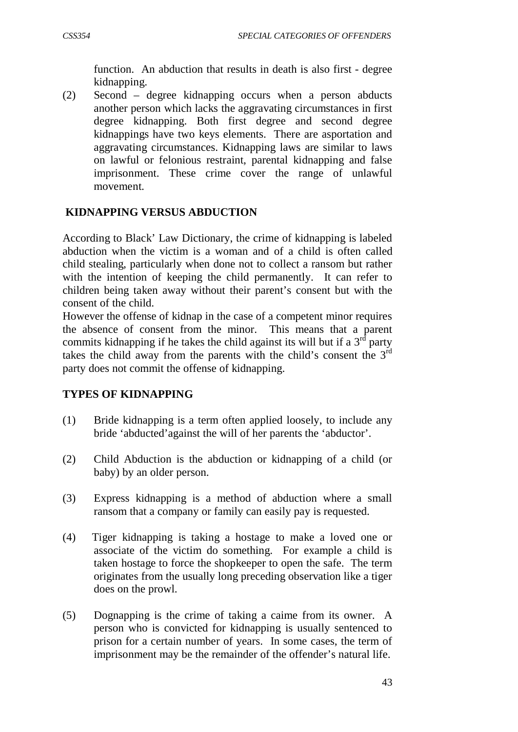function. An abduction that results in death is also first - degree kidnapping.

(2) Second – degree kidnapping occurs when a person abducts another person which lacks the aggravating circumstances in first degree kidnapping. Both first degree and second degree kidnappings have two keys elements. There are asportation and aggravating circumstances. Kidnapping laws are similar to laws on lawful or felonious restraint, parental kidnapping and false imprisonment. These crime cover the range of unlawful movement.

### **KIDNAPPING VERSUS ABDUCTION**

According to Black' Law Dictionary, the crime of kidnapping is labeled abduction when the victim is a woman and of a child is often called child stealing, particularly when done not to collect a ransom but rather with the intention of keeping the child permanently. It can refer to children being taken away without their parent's consent but with the consent of the child.

However the offense of kidnap in the case of a competent minor requires the absence of consent from the minor. This means that a parent commits kidnapping if he takes the child against its will but if a  $3<sup>rd</sup>$  party takes the child away from the parents with the child's consent the  $3<sup>rd</sup>$ party does not commit the offense of kidnapping.

### **TYPES OF KIDNAPPING**

- (1) Bride kidnapping is a term often applied loosely, to include any bride 'abducted'against the will of her parents the 'abductor'.
- (2) Child Abduction is the abduction or kidnapping of a child (or baby) by an older person.
- (3) Express kidnapping is a method of abduction where a small ransom that a company or family can easily pay is requested.
- (4) Tiger kidnapping is taking a hostage to make a loved one or associate of the victim do something. For example a child is taken hostage to force the shopkeeper to open the safe. The term originates from the usually long preceding observation like a tiger does on the prowl.
- (5) Dognapping is the crime of taking a caime from its owner. A person who is convicted for kidnapping is usually sentenced to prison for a certain number of years. In some cases, the term of imprisonment may be the remainder of the offender's natural life.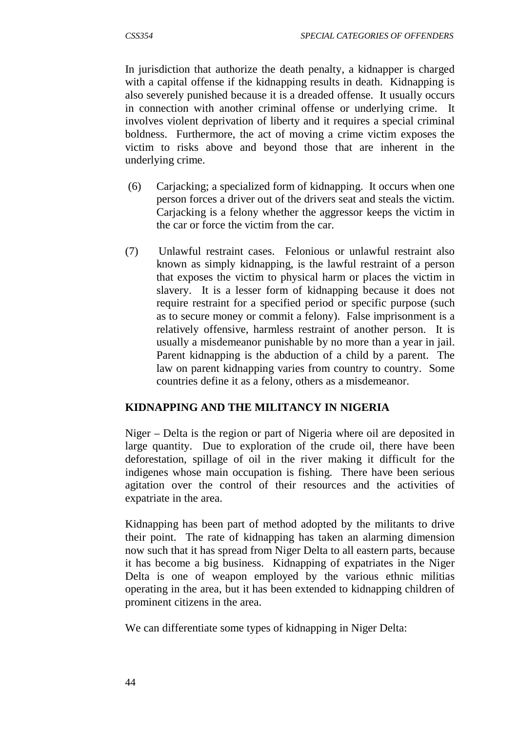In jurisdiction that authorize the death penalty, a kidnapper is charged with a capital offense if the kidnapping results in death. Kidnapping is also severely punished because it is a dreaded offense. It usually occurs in connection with another criminal offense or underlying crime. It involves violent deprivation of liberty and it requires a special criminal boldness. Furthermore, the act of moving a crime victim exposes the victim to risks above and beyond those that are inherent in the underlying crime.

- (6) Carjacking; a specialized form of kidnapping. It occurs when one person forces a driver out of the drivers seat and steals the victim. Carjacking is a felony whether the aggressor keeps the victim in the car or force the victim from the car.
- (7) Unlawful restraint cases. Felonious or unlawful restraint also known as simply kidnapping, is the lawful restraint of a person that exposes the victim to physical harm or places the victim in slavery. It is a lesser form of kidnapping because it does not require restraint for a specified period or specific purpose (such as to secure money or commit a felony). False imprisonment is a relatively offensive, harmless restraint of another person. It is usually a misdemeanor punishable by no more than a year in jail. Parent kidnapping is the abduction of a child by a parent. The law on parent kidnapping varies from country to country. Some countries define it as a felony, others as a misdemeanor.

## **KIDNAPPING AND THE MILITANCY IN NIGERIA**

Niger – Delta is the region or part of Nigeria where oil are deposited in large quantity. Due to exploration of the crude oil, there have been deforestation, spillage of oil in the river making it difficult for the indigenes whose main occupation is fishing. There have been serious agitation over the control of their resources and the activities of expatriate in the area.

Kidnapping has been part of method adopted by the militants to drive their point. The rate of kidnapping has taken an alarming dimension now such that it has spread from Niger Delta to all eastern parts, because it has become a big business. Kidnapping of expatriates in the Niger Delta is one of weapon employed by the various ethnic militias operating in the area, but it has been extended to kidnapping children of prominent citizens in the area.

We can differentiate some types of kidnapping in Niger Delta: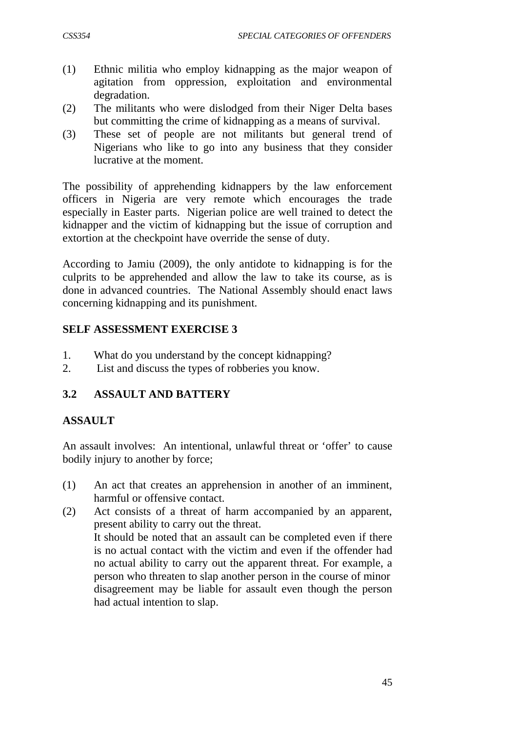- 
- (1) Ethnic militia who employ kidnapping as the major weapon of agitation from oppression, exploitation and environmental degradation.
- (2) The militants who were dislodged from their Niger Delta bases but committing the crime of kidnapping as a means of survival.
- (3) These set of people are not militants but general trend of Nigerians who like to go into any business that they consider lucrative at the moment.

The possibility of apprehending kidnappers by the law enforcement officers in Nigeria are very remote which encourages the trade especially in Easter parts. Nigerian police are well trained to detect the kidnapper and the victim of kidnapping but the issue of corruption and extortion at the checkpoint have override the sense of duty.

According to Jamiu (2009), the only antidote to kidnapping is for the culprits to be apprehended and allow the law to take its course, as is done in advanced countries. The National Assembly should enact laws concerning kidnapping and its punishment.

## **SELF ASSESSMENT EXERCISE 3**

- 1. What do you understand by the concept kidnapping?
- 2. List and discuss the types of robberies you know.

## **3.2 ASSAULT AND BATTERY**

## **ASSAULT**

An assault involves: An intentional, unlawful threat or 'offer' to cause bodily injury to another by force;

- (1) An act that creates an apprehension in another of an imminent, harmful or offensive contact.
- (2) Act consists of a threat of harm accompanied by an apparent, present ability to carry out the threat. It should be noted that an assault can be completed even if there is no actual contact with the victim and even if the offender had no actual ability to carry out the apparent threat. For example, a person who threaten to slap another person in the course of minor disagreement may be liable for assault even though the person had actual intention to slap.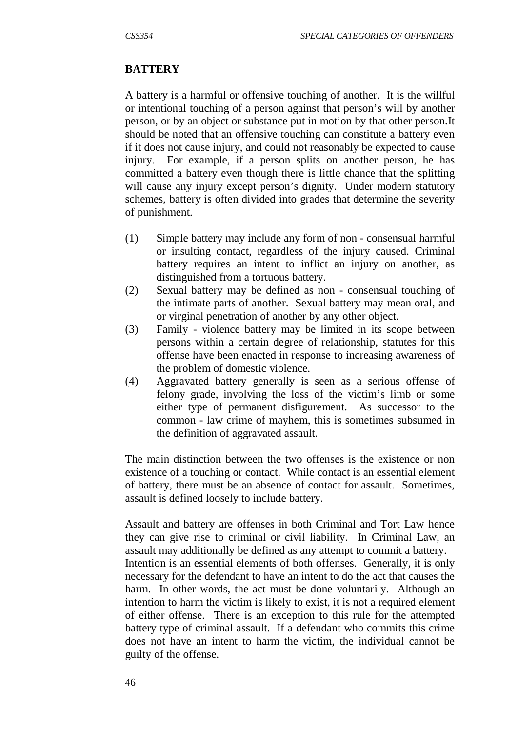### **BATTERY**

A battery is a harmful or offensive touching of another. It is the willful or intentional touching of a person against that person's will by another person, or by an object or substance put in motion by that other person.It should be noted that an offensive touching can constitute a battery even if it does not cause injury, and could not reasonably be expected to cause injury. For example, if a person splits on another person, he has committed a battery even though there is little chance that the splitting will cause any injury except person's dignity. Under modern statutory schemes, battery is often divided into grades that determine the severity of punishment.

- (1) Simple battery may include any form of non consensual harmful or insulting contact, regardless of the injury caused. Criminal battery requires an intent to inflict an injury on another, as distinguished from a tortuous battery.
- (2) Sexual battery may be defined as non consensual touching of the intimate parts of another. Sexual battery may mean oral, and or virginal penetration of another by any other object.
- (3) Family violence battery may be limited in its scope between persons within a certain degree of relationship, statutes for this offense have been enacted in response to increasing awareness of the problem of domestic violence.
- (4) Aggravated battery generally is seen as a serious offense of felony grade, involving the loss of the victim's limb or some either type of permanent disfigurement. As successor to the common - law crime of mayhem, this is sometimes subsumed in the definition of aggravated assault.

The main distinction between the two offenses is the existence or non existence of a touching or contact. While contact is an essential element of battery, there must be an absence of contact for assault. Sometimes, assault is defined loosely to include battery.

Assault and battery are offenses in both Criminal and Tort Law hence they can give rise to criminal or civil liability. In Criminal Law, an assault may additionally be defined as any attempt to commit a battery. Intention is an essential elements of both offenses. Generally, it is only necessary for the defendant to have an intent to do the act that causes the harm. In other words, the act must be done voluntarily. Although an intention to harm the victim is likely to exist, it is not a required element of either offense. There is an exception to this rule for the attempted battery type of criminal assault. If a defendant who commits this crime does not have an intent to harm the victim, the individual cannot be guilty of the offense.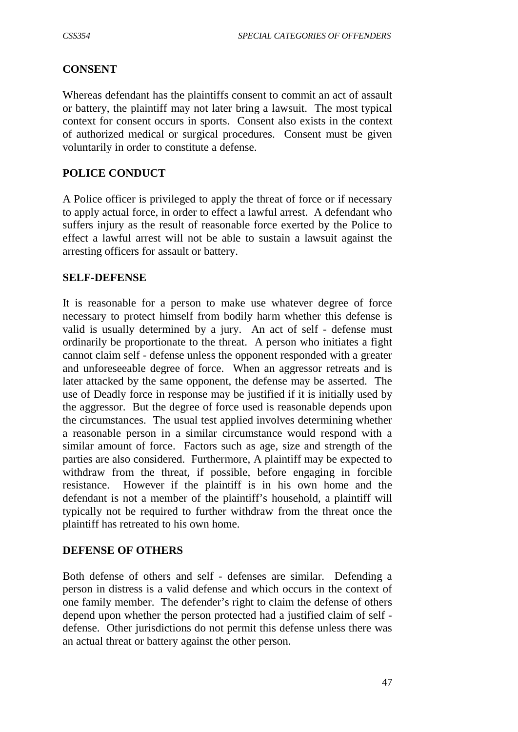### **CONSENT**

Whereas defendant has the plaintiffs consent to commit an act of assault or battery, the plaintiff may not later bring a lawsuit. The most typical context for consent occurs in sports. Consent also exists in the context of authorized medical or surgical procedures. Consent must be given voluntarily in order to constitute a defense.

### **POLICE CONDUCT**

A Police officer is privileged to apply the threat of force or if necessary to apply actual force, in order to effect a lawful arrest. A defendant who suffers injury as the result of reasonable force exerted by the Police to effect a lawful arrest will not be able to sustain a lawsuit against the arresting officers for assault or battery.

#### **SELF-DEFENSE**

It is reasonable for a person to make use whatever degree of force necessary to protect himself from bodily harm whether this defense is valid is usually determined by a jury. An act of self - defense must ordinarily be proportionate to the threat. A person who initiates a fight cannot claim self - defense unless the opponent responded with a greater and unforeseeable degree of force. When an aggressor retreats and is later attacked by the same opponent, the defense may be asserted. The use of Deadly force in response may be justified if it is initially used by the aggressor. But the degree of force used is reasonable depends upon the circumstances. The usual test applied involves determining whether a reasonable person in a similar circumstance would respond with a similar amount of force. Factors such as age, size and strength of the parties are also considered. Furthermore, A plaintiff may be expected to withdraw from the threat, if possible, before engaging in forcible resistance. However if the plaintiff is in his own home and the defendant is not a member of the plaintiff's household, a plaintiff will typically not be required to further withdraw from the threat once the plaintiff has retreated to his own home.

#### **DEFENSE OF OTHERS**

Both defense of others and self - defenses are similar. Defending a person in distress is a valid defense and which occurs in the context of one family member. The defender's right to claim the defense of others depend upon whether the person protected had a justified claim of self defense. Other jurisdictions do not permit this defense unless there was an actual threat or battery against the other person.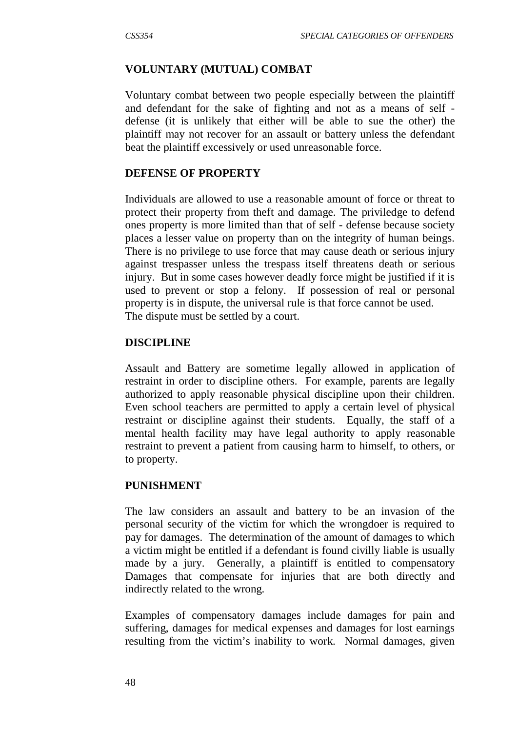### **VOLUNTARY (MUTUAL) COMBAT**

Voluntary combat between two people especially between the plaintiff and defendant for the sake of fighting and not as a means of self defense (it is unlikely that either will be able to sue the other) the plaintiff may not recover for an assault or battery unless the defendant beat the plaintiff excessively or used unreasonable force.

#### **DEFENSE OF PROPERTY**

Individuals are allowed to use a reasonable amount of force or threat to protect their property from theft and damage. The priviledge to defend ones property is more limited than that of self - defense because society places a lesser value on property than on the integrity of human beings. There is no privilege to use force that may cause death or serious injury against trespasser unless the trespass itself threatens death or serious injury. But in some cases however deadly force might be justified if it is used to prevent or stop a felony. If possession of real or personal property is in dispute, the universal rule is that force cannot be used. The dispute must be settled by a court.

#### **DISCIPLINE**

Assault and Battery are sometime legally allowed in application of restraint in order to discipline others. For example, parents are legally authorized to apply reasonable physical discipline upon their children. Even school teachers are permitted to apply a certain level of physical restraint or discipline against their students. Equally, the staff of a mental health facility may have legal authority to apply reasonable restraint to prevent a patient from causing harm to himself, to others, or to property.

#### **PUNISHMENT**

The law considers an assault and battery to be an invasion of the personal security of the victim for which the wrongdoer is required to pay for damages. The determination of the amount of damages to which a victim might be entitled if a defendant is found civilly liable is usually made by a jury. Generally, a plaintiff is entitled to compensatory Damages that compensate for injuries that are both directly and indirectly related to the wrong.

Examples of compensatory damages include damages for pain and suffering, damages for medical expenses and damages for lost earnings resulting from the victim's inability to work. Normal damages, given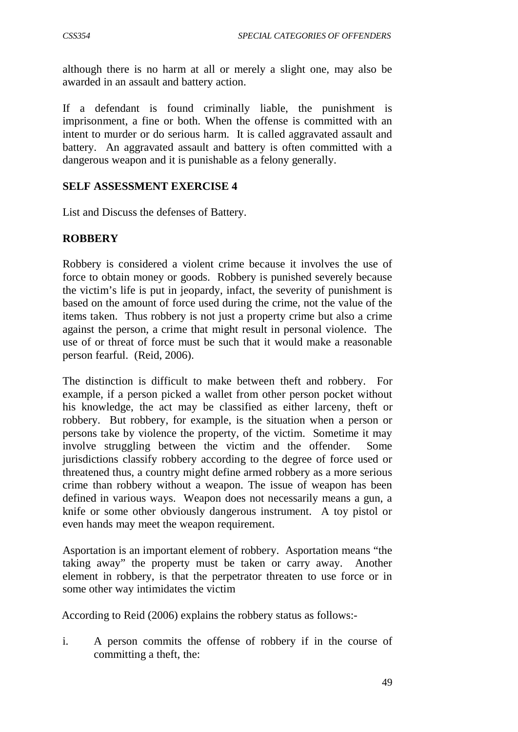although there is no harm at all or merely a slight one, may also be awarded in an assault and battery action.

If a defendant is found criminally liable, the punishment is imprisonment, a fine or both. When the offense is committed with an intent to murder or do serious harm. It is called aggravated assault and battery. An aggravated assault and battery is often committed with a dangerous weapon and it is punishable as a felony generally.

### **SELF ASSESSMENT EXERCISE 4**

List and Discuss the defenses of Battery.

### **ROBBERY**

Robbery is considered a violent crime because it involves the use of force to obtain money or goods. Robbery is punished severely because the victim's life is put in jeopardy, infact, the severity of punishment is based on the amount of force used during the crime, not the value of the items taken. Thus robbery is not just a property crime but also a crime against the person, a crime that might result in personal violence. The use of or threat of force must be such that it would make a reasonable person fearful. (Reid, 2006).

The distinction is difficult to make between theft and robbery. For example, if a person picked a wallet from other person pocket without his knowledge, the act may be classified as either larceny, theft or robbery. But robbery, for example, is the situation when a person or persons take by violence the property, of the victim. Sometime it may involve struggling between the victim and the offender. Some jurisdictions classify robbery according to the degree of force used or threatened thus, a country might define armed robbery as a more serious crime than robbery without a weapon. The issue of weapon has been defined in various ways. Weapon does not necessarily means a gun, a knife or some other obviously dangerous instrument. A toy pistol or even hands may meet the weapon requirement.

Asportation is an important element of robbery. Asportation means "the taking away" the property must be taken or carry away. Another element in robbery, is that the perpetrator threaten to use force or in some other way intimidates the victim

According to Reid (2006) explains the robbery status as follows:-

i. A person commits the offense of robbery if in the course of committing a theft, the: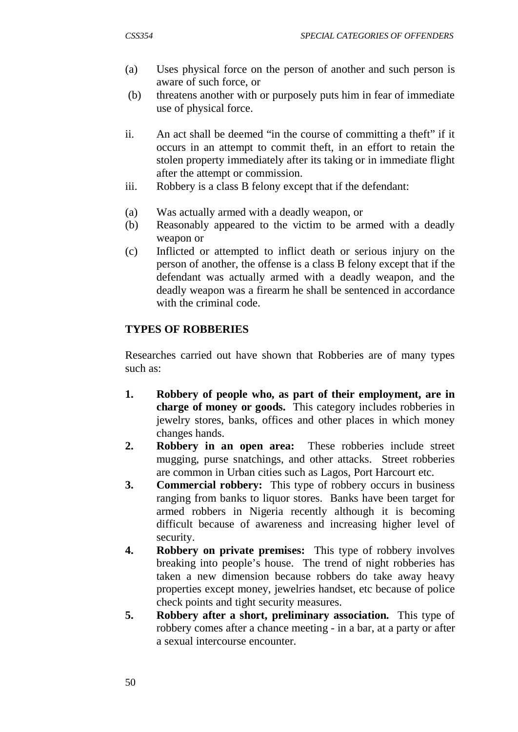- (a) Uses physical force on the person of another and such person is aware of such force, or
- (b) threatens another with or purposely puts him in fear of immediate use of physical force.
- ii. An act shall be deemed "in the course of committing a theft" if it occurs in an attempt to commit theft, in an effort to retain the stolen property immediately after its taking or in immediate flight after the attempt or commission.
- iii. Robbery is a class B felony except that if the defendant:
- (a) Was actually armed with a deadly weapon, or
- (b) Reasonably appeared to the victim to be armed with a deadly weapon or
- (c) Inflicted or attempted to inflict death or serious injury on the person of another, the offense is a class B felony except that if the defendant was actually armed with a deadly weapon, and the deadly weapon was a firearm he shall be sentenced in accordance with the criminal code.

## **TYPES OF ROBBERIES**

Researches carried out have shown that Robberies are of many types such as:

- **1. Robbery of people who, as part of their employment, are in charge of money or goods.** This category includes robberies in jewelry stores, banks, offices and other places in which money changes hands.
- **2. Robbery in an open area:** These robberies include street mugging, purse snatchings, and other attacks. Street robberies are common in Urban cities such as Lagos, Port Harcourt etc.
- **3. Commercial robbery:** This type of robbery occurs in business ranging from banks to liquor stores. Banks have been target for armed robbers in Nigeria recently although it is becoming difficult because of awareness and increasing higher level of security.
- **4. Robbery on private premises:** This type of robbery involves breaking into people's house. The trend of night robberies has taken a new dimension because robbers do take away heavy properties except money, jewelries handset, etc because of police check points and tight security measures.
- **5. Robbery after a short, preliminary association.** This type of robbery comes after a chance meeting - in a bar, at a party or after a sexual intercourse encounter.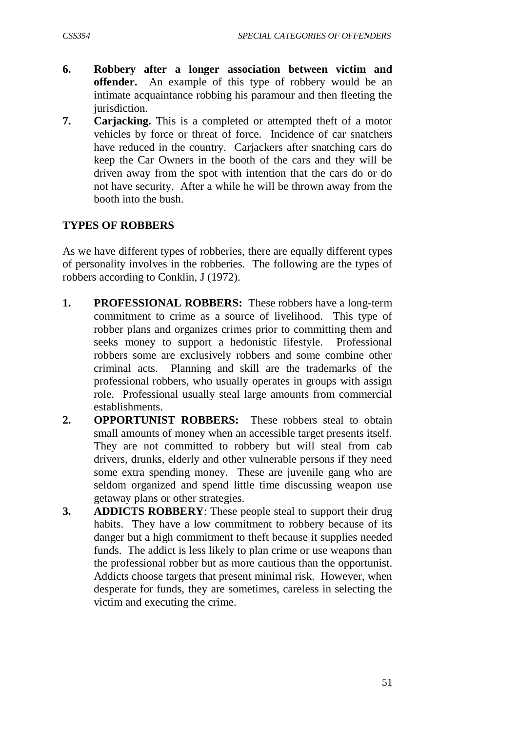- **6. Robbery after a longer association between victim and offender.** An example of this type of robbery would be an intimate acquaintance robbing his paramour and then fleeting the jurisdiction.
- **7. Carjacking.** This is a completed or attempted theft of a motor vehicles by force or threat of force. Incidence of car snatchers have reduced in the country. Carjackers after snatching cars do keep the Car Owners in the booth of the cars and they will be driven away from the spot with intention that the cars do or do not have security. After a while he will be thrown away from the booth into the bush.

### **TYPES OF ROBBERS**

As we have different types of robberies, there are equally different types of personality involves in the robberies. The following are the types of robbers according to Conklin, J (1972).

- **1. PROFESSIONAL ROBBERS:** These robbers have a long-term commitment to crime as a source of livelihood. This type of robber plans and organizes crimes prior to committing them and seeks money to support a hedonistic lifestyle. Professional robbers some are exclusively robbers and some combine other criminal acts. Planning and skill are the trademarks of the professional robbers, who usually operates in groups with assign role. Professional usually steal large amounts from commercial establishments.
- **2. OPPORTUNIST ROBBERS:** These robbers steal to obtain small amounts of money when an accessible target presents itself. They are not committed to robbery but will steal from cab drivers, drunks, elderly and other vulnerable persons if they need some extra spending money. These are juvenile gang who are seldom organized and spend little time discussing weapon use getaway plans or other strategies.
- **3. ADDICTS ROBBERY**: These people steal to support their drug habits. They have a low commitment to robbery because of its danger but a high commitment to theft because it supplies needed funds. The addict is less likely to plan crime or use weapons than the professional robber but as more cautious than the opportunist. Addicts choose targets that present minimal risk. However, when desperate for funds, they are sometimes, careless in selecting the victim and executing the crime.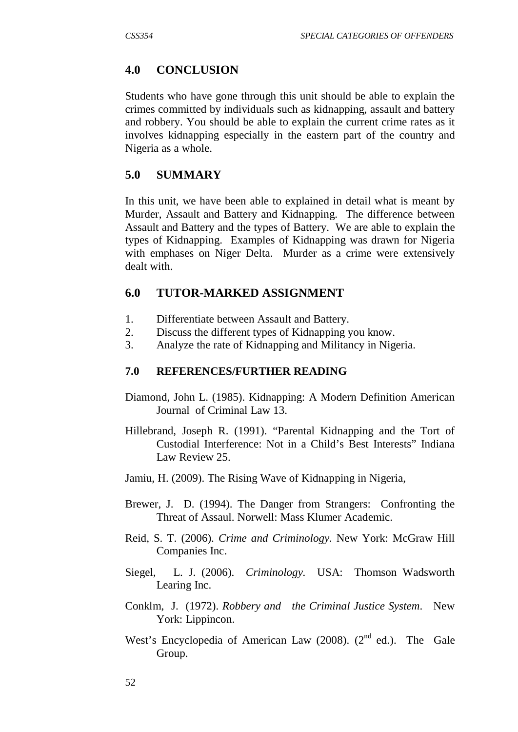### **4.0 CONCLUSION**

Students who have gone through this unit should be able to explain the crimes committed by individuals such as kidnapping, assault and battery and robbery. You should be able to explain the current crime rates as it involves kidnapping especially in the eastern part of the country and Nigeria as a whole.

### **5.0 SUMMARY**

In this unit, we have been able to explained in detail what is meant by Murder, Assault and Battery and Kidnapping. The difference between Assault and Battery and the types of Battery. We are able to explain the types of Kidnapping. Examples of Kidnapping was drawn for Nigeria with emphases on Niger Delta. Murder as a crime were extensively dealt with.

### **6.0 TUTOR-MARKED ASSIGNMENT**

- 1. Differentiate between Assault and Battery.
- 2. Discuss the different types of Kidnapping you know.
- 3. Analyze the rate of Kidnapping and Militancy in Nigeria.

#### **7.0 REFERENCES/FURTHER READING**

- Diamond, John L. (1985). Kidnapping: A Modern Definition American Journal of Criminal Law 13.
- Hillebrand, Joseph R. (1991). "Parental Kidnapping and the Tort of Custodial Interference: Not in a Child's Best Interests" Indiana Law Review 25.
- Jamiu, H. (2009). The Rising Wave of Kidnapping in Nigeria,
- Brewer, J. D. (1994). The Danger from Strangers: Confronting the Threat of Assaul. Norwell: Mass Klumer Academic.
- Reid, S. T. (2006). *Crime and Criminology.* New York: McGraw Hill Companies Inc.
- Siegel, L. J. (2006). *Criminology.* USA: Thomson Wadsworth Learing Inc.
- Conklm, J. (1972). *Robbery and the Criminal Justice System*. New York: Lippincon.
- West's Encyclopedia of American Law (2008). ( $2<sup>nd</sup>$  ed.). The Gale Group.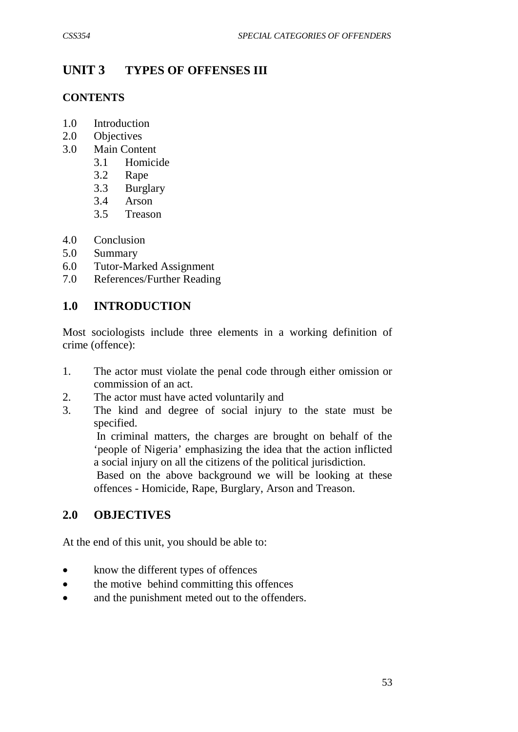# **UNIT 3 TYPES OF OFFENSES III**

### **CONTENTS**

- 1.0 Introduction
- 2.0 Objectives
- 3.0 Main Content
	- 3.1 Homicide
	- 3.2 Rape
	- 3.3 Burglary
	- 3.4 Arson
	- 3.5 Treason
- 4.0 Conclusion
- 5.0 Summary
- 6.0 Tutor-Marked Assignment
- 7.0 References/Further Reading

## **1.0 INTRODUCTION**

Most sociologists include three elements in a working definition of crime (offence):

- 1. The actor must violate the penal code through either omission or commission of an act.
- 2. The actor must have acted voluntarily and
- 3. The kind and degree of social injury to the state must be specified.

 In criminal matters, the charges are brought on behalf of the 'people of Nigeria' emphasizing the idea that the action inflicted a social injury on all the citizens of the political jurisdiction.

 Based on the above background we will be looking at these offences - Homicide, Rape, Burglary, Arson and Treason.

## **2.0 OBJECTIVES**

At the end of this unit, you should be able to:

- know the different types of offences
- the motive behind committing this offences
- and the punishment meted out to the offenders.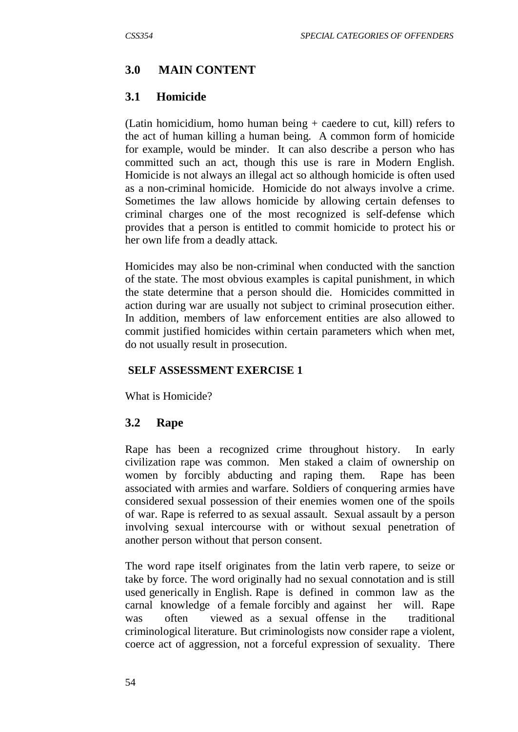## **3.0 MAIN CONTENT**

## **3.1 Homicide**

(Latin homicidium, homo human being + caedere to cut, kill) refers to the act of human killing a human being. A common form of homicide for example, would be minder. It can also describe a person who has committed such an act, though this use is rare in Modern English. Homicide is not always an illegal act so although homicide is often used as a non-criminal homicide. Homicide do not always involve a crime. Sometimes the law allows homicide by allowing certain defenses to criminal charges one of the most recognized is self-defense which provides that a person is entitled to commit homicide to protect his or her own life from a deadly attack.

Homicides may also be non-criminal when conducted with the sanction of the state. The most obvious examples is capital punishment, in which the state determine that a person should die. Homicides committed in action during war are usually not subject to criminal prosecution either. In addition, members of law enforcement entities are also allowed to commit justified homicides within certain parameters which when met, do not usually result in prosecution.

## **SELF ASSESSMENT EXERCISE 1**

What is Homicide?

## **3.2 Rape**

Rape has been a recognized crime throughout history. In early civilization rape was common. Men staked a claim of ownership on women by forcibly abducting and raping them. Rape has been associated with armies and warfare. Soldiers of conquering armies have considered sexual possession of their enemies women one of the spoils of war. Rape is referred to as sexual assault. Sexual assault by a person involving sexual intercourse with or without sexual penetration of another person without that person consent.

The word rape itself originates from the latin verb rapere, to seize or take by force. The word originally had no sexual connotation and is still used generically in English. Rape is defined in common law as the carnal knowledge of a female forcibly and against her will. Rape was often viewed as a sexual offense in the traditional criminological literature. But criminologists now consider rape a violent, coerce act of aggression, not a forceful expression of sexuality. There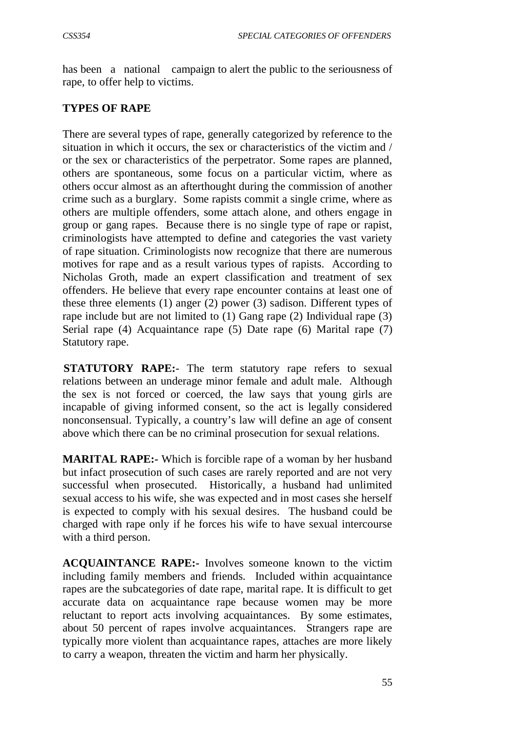has been a national campaign to alert the public to the seriousness of rape, to offer help to victims.

### **TYPES OF RAPE**

There are several types of rape, generally categorized by reference to the situation in which it occurs, the sex or characteristics of the victim and / or the sex or characteristics of the perpetrator. Some rapes are planned, others are spontaneous, some focus on a particular victim, where as others occur almost as an afterthought during the commission of another crime such as a burglary. Some rapists commit a single crime, where as others are multiple offenders, some attach alone, and others engage in group or gang rapes. Because there is no single type of rape or rapist, criminologists have attempted to define and categories the vast variety of rape situation. Criminologists now recognize that there are numerous motives for rape and as a result various types of rapists. According to Nicholas Groth, made an expert classification and treatment of sex offenders. He believe that every rape encounter contains at least one of these three elements (1) anger (2) power (3) sadison. Different types of rape include but are not limited to (1) Gang rape (2) Individual rape (3) Serial rape (4) Acquaintance rape (5) Date rape (6) Marital rape (7) Statutory rape.

**STATUTORY RAPE:**- The term statutory rape refers to sexual relations between an underage minor female and adult male. Although the sex is not forced or coerced, the law says that young girls are incapable of giving informed consent, so the act is legally considered nonconsensual. Typically, a country's law will define an age of consent above which there can be no criminal prosecution for sexual relations.

**MARITAL RAPE:** Which is forcible rape of a woman by her husband but infact prosecution of such cases are rarely reported and are not very successful when prosecuted. Historically, a husband had unlimited sexual access to his wife, she was expected and in most cases she herself is expected to comply with his sexual desires. The husband could be charged with rape only if he forces his wife to have sexual intercourse with a third person.

**ACQUAINTANCE RAPE:-** Involves someone known to the victim including family members and friends. Included within acquaintance rapes are the subcategories of date rape, marital rape. It is difficult to get accurate data on acquaintance rape because women may be more reluctant to report acts involving acquaintances. By some estimates, about 50 percent of rapes involve acquaintances. Strangers rape are typically more violent than acquaintance rapes, attaches are more likely to carry a weapon, threaten the victim and harm her physically.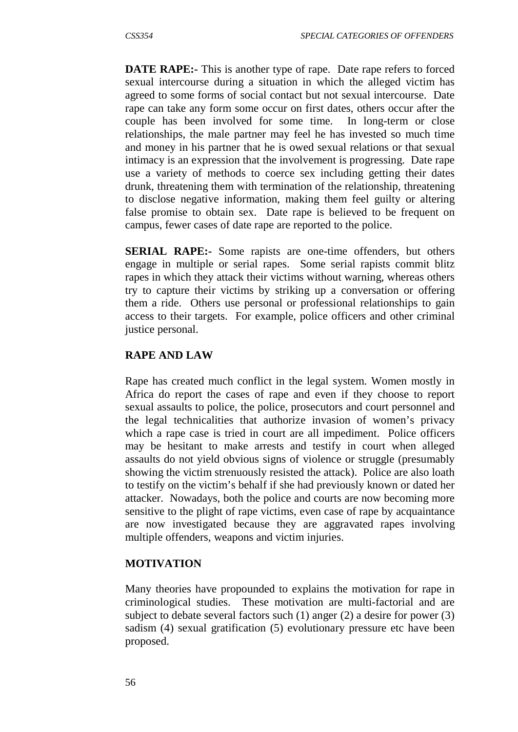**DATE RAPE:** This is another type of rape. Date rape refers to forced sexual intercourse during a situation in which the alleged victim has agreed to some forms of social contact but not sexual intercourse. Date rape can take any form some occur on first dates, others occur after the couple has been involved for some time. In long-term or close relationships, the male partner may feel he has invested so much time and money in his partner that he is owed sexual relations or that sexual intimacy is an expression that the involvement is progressing. Date rape use a variety of methods to coerce sex including getting their dates drunk, threatening them with termination of the relationship, threatening to disclose negative information, making them feel guilty or altering false promise to obtain sex. Date rape is believed to be frequent on campus, fewer cases of date rape are reported to the police.

**SERIAL RAPE:** Some rapists are one-time offenders, but others engage in multiple or serial rapes. Some serial rapists commit blitz rapes in which they attack their victims without warning, whereas others try to capture their victims by striking up a conversation or offering them a ride. Others use personal or professional relationships to gain access to their targets. For example, police officers and other criminal justice personal.

### **RAPE AND LAW**

Rape has created much conflict in the legal system. Women mostly in Africa do report the cases of rape and even if they choose to report sexual assaults to police, the police, prosecutors and court personnel and the legal technicalities that authorize invasion of women's privacy which a rape case is tried in court are all impediment. Police officers may be hesitant to make arrests and testify in court when alleged assaults do not yield obvious signs of violence or struggle (presumably showing the victim strenuously resisted the attack). Police are also loath to testify on the victim's behalf if she had previously known or dated her attacker. Nowadays, both the police and courts are now becoming more sensitive to the plight of rape victims, even case of rape by acquaintance are now investigated because they are aggravated rapes involving multiple offenders, weapons and victim injuries.

#### **MOTIVATION**

Many theories have propounded to explains the motivation for rape in criminological studies. These motivation are multi-factorial and are subject to debate several factors such (1) anger (2) a desire for power (3) sadism (4) sexual gratification (5) evolutionary pressure etc have been proposed.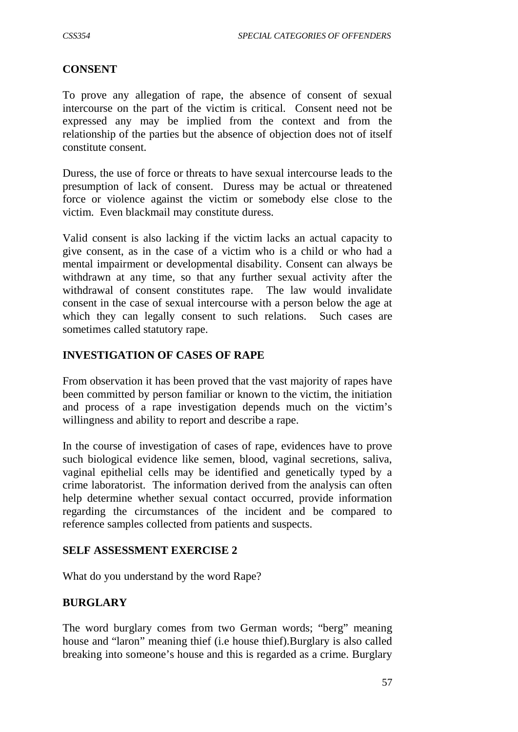#### **CONSENT**

To prove any allegation of rape, the absence of consent of sexual intercourse on the part of the victim is critical. Consent need not be expressed any may be implied from the context and from the relationship of the parties but the absence of objection does not of itself constitute consent.

Duress, the use of force or threats to have sexual intercourse leads to the presumption of lack of consent. Duress may be actual or threatened force or violence against the victim or somebody else close to the victim. Even blackmail may constitute duress.

Valid consent is also lacking if the victim lacks an actual capacity to give consent, as in the case of a victim who is a child or who had a mental impairment or developmental disability. Consent can always be withdrawn at any time, so that any further sexual activity after the withdrawal of consent constitutes rape. The law would invalidate consent in the case of sexual intercourse with a person below the age at which they can legally consent to such relations. Such cases are sometimes called statutory rape.

#### **INVESTIGATION OF CASES OF RAPE**

From observation it has been proved that the vast majority of rapes have been committed by person familiar or known to the victim, the initiation and process of a rape investigation depends much on the victim's willingness and ability to report and describe a rape.

In the course of investigation of cases of rape, evidences have to prove such biological evidence like semen, blood, vaginal secretions, saliva, vaginal epithelial cells may be identified and genetically typed by a crime laboratorist. The information derived from the analysis can often help determine whether sexual contact occurred, provide information regarding the circumstances of the incident and be compared to reference samples collected from patients and suspects.

#### **SELF ASSESSMENT EXERCISE 2**

What do you understand by the word Rape?

#### **BURGLARY**

The word burglary comes from two German words; "berg" meaning house and "laron" meaning thief (i.e house thief).Burglary is also called breaking into someone's house and this is regarded as a crime. Burglary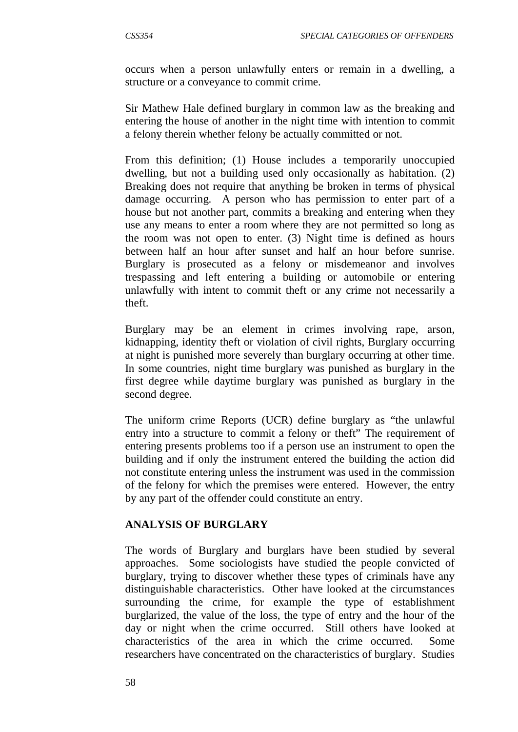occurs when a person unlawfully enters or remain in a dwelling, a structure or a conveyance to commit crime.

Sir Mathew Hale defined burglary in common law as the breaking and entering the house of another in the night time with intention to commit a felony therein whether felony be actually committed or not.

From this definition; (1) House includes a temporarily unoccupied dwelling, but not a building used only occasionally as habitation. (2) Breaking does not require that anything be broken in terms of physical damage occurring. A person who has permission to enter part of a house but not another part, commits a breaking and entering when they use any means to enter a room where they are not permitted so long as the room was not open to enter. (3) Night time is defined as hours between half an hour after sunset and half an hour before sunrise. Burglary is prosecuted as a felony or misdemeanor and involves trespassing and left entering a building or automobile or entering unlawfully with intent to commit theft or any crime not necessarily a theft.

Burglary may be an element in crimes involving rape, arson, kidnapping, identity theft or violation of civil rights, Burglary occurring at night is punished more severely than burglary occurring at other time. In some countries, night time burglary was punished as burglary in the first degree while daytime burglary was punished as burglary in the second degree.

The uniform crime Reports (UCR) define burglary as "the unlawful entry into a structure to commit a felony or theft" The requirement of entering presents problems too if a person use an instrument to open the building and if only the instrument entered the building the action did not constitute entering unless the instrument was used in the commission of the felony for which the premises were entered. However, the entry by any part of the offender could constitute an entry.

#### **ANALYSIS OF BURGLARY**

The words of Burglary and burglars have been studied by several approaches. Some sociologists have studied the people convicted of burglary, trying to discover whether these types of criminals have any distinguishable characteristics. Other have looked at the circumstances surrounding the crime, for example the type of establishment burglarized, the value of the loss, the type of entry and the hour of the day or night when the crime occurred. Still others have looked at characteristics of the area in which the crime occurred. Some researchers have concentrated on the characteristics of burglary. Studies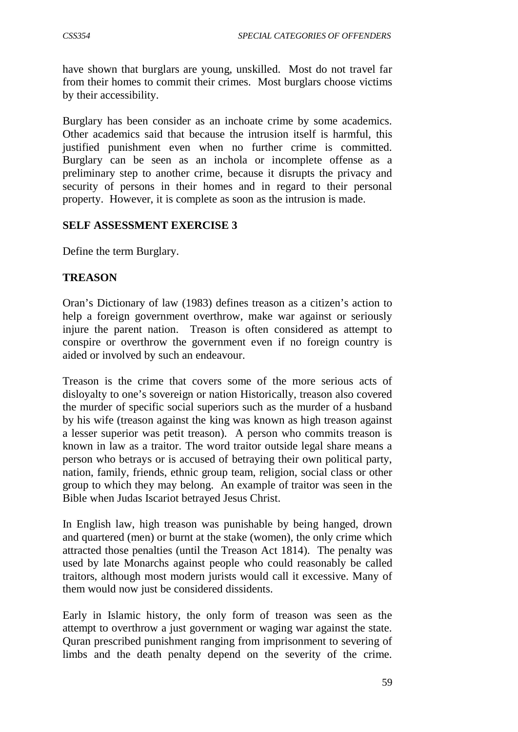have shown that burglars are young, unskilled. Most do not travel far from their homes to commit their crimes. Most burglars choose victims by their accessibility.

Burglary has been consider as an inchoate crime by some academics. Other academics said that because the intrusion itself is harmful, this justified punishment even when no further crime is committed. Burglary can be seen as an inchola or incomplete offense as a preliminary step to another crime, because it disrupts the privacy and security of persons in their homes and in regard to their personal property. However, it is complete as soon as the intrusion is made.

### **SELF ASSESSMENT EXERCISE 3**

Define the term Burglary.

### **TREASON**

Oran's Dictionary of law (1983) defines treason as a citizen's action to help a foreign government overthrow, make war against or seriously injure the parent nation. Treason is often considered as attempt to conspire or overthrow the government even if no foreign country is aided or involved by such an endeavour.

Treason is the crime that covers some of the more serious acts of disloyalty to one's sovereign or nation Historically, treason also covered the murder of specific social superiors such as the murder of a husband by his wife (treason against the king was known as high treason against a lesser superior was petit treason). A person who commits treason is known in law as a traitor. The word traitor outside legal share means a person who betrays or is accused of betraying their own political party, nation, family, friends, ethnic group team, religion, social class or other group to which they may belong. An example of traitor was seen in the Bible when Judas Iscariot betrayed Jesus Christ.

In English law, high treason was punishable by being hanged, drown and quartered (men) or burnt at the stake (women), the only crime which attracted those penalties (until the Treason Act 1814). The penalty was used by late Monarchs against people who could reasonably be called traitors, although most modern jurists would call it excessive. Many of them would now just be considered dissidents.

Early in Islamic history, the only form of treason was seen as the attempt to overthrow a just government or waging war against the state. Quran prescribed punishment ranging from imprisonment to severing of limbs and the death penalty depend on the severity of the crime.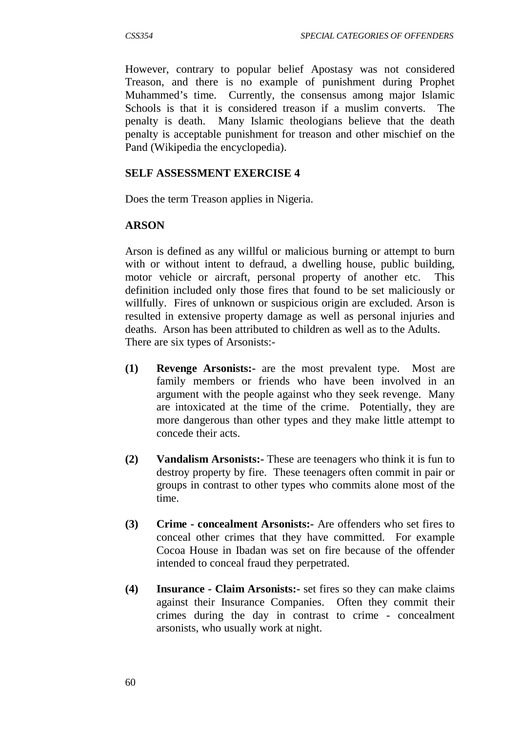However, contrary to popular belief Apostasy was not considered Treason, and there is no example of punishment during Prophet Muhammed's time. Currently, the consensus among major Islamic Schools is that it is considered treason if a muslim converts. The penalty is death. Many Islamic theologians believe that the death penalty is acceptable punishment for treason and other mischief on the Pand (Wikipedia the encyclopedia).

#### **SELF ASSESSMENT EXERCISE 4**

Does the term Treason applies in Nigeria.

### **ARSON**

Arson is defined as any willful or malicious burning or attempt to burn with or without intent to defraud, a dwelling house, public building, motor vehicle or aircraft, personal property of another etc. This definition included only those fires that found to be set maliciously or willfully. Fires of unknown or suspicious origin are excluded. Arson is resulted in extensive property damage as well as personal injuries and deaths. Arson has been attributed to children as well as to the Adults. There are six types of Arsonists:-

- **(1) Revenge Arsonists:-** are the most prevalent type. Most are family members or friends who have been involved in an argument with the people against who they seek revenge. Many are intoxicated at the time of the crime. Potentially, they are more dangerous than other types and they make little attempt to concede their acts.
- **(2) Vandalism Arsonists:-** These are teenagers who think it is fun to destroy property by fire. These teenagers often commit in pair or groups in contrast to other types who commits alone most of the time.
- **(3) Crime - concealment Arsonists:-** Are offenders who set fires to conceal other crimes that they have committed. For example Cocoa House in Ibadan was set on fire because of the offender intended to conceal fraud they perpetrated.
- **(4) Insurance - Claim Arsonists:-** set fires so they can make claims against their Insurance Companies. Often they commit their crimes during the day in contrast to crime - concealment arsonists, who usually work at night.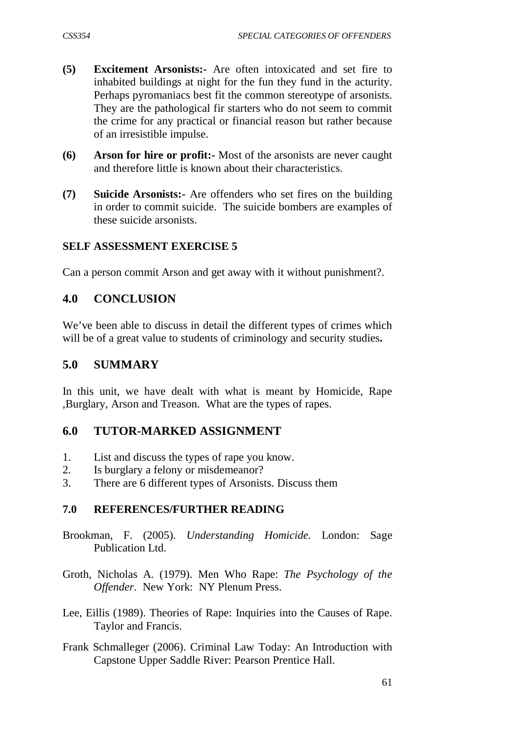- **(5) Excitement Arsonists:-** Are often intoxicated and set fire to inhabited buildings at night for the fun they fund in the acturity. Perhaps pyromaniacs best fit the common stereotype of arsonists. They are the pathological fir starters who do not seem to commit the crime for any practical or financial reason but rather because of an irresistible impulse.
- **(6) Arson for hire or profit:-** Most of the arsonists are never caught and therefore little is known about their characteristics.
- **(7) Suicide Arsonists:-** Are offenders who set fires on the building in order to commit suicide. The suicide bombers are examples of these suicide arsonists.

#### **SELF ASSESSMENT EXERCISE 5**

Can a person commit Arson and get away with it without punishment?.

# **4.0 CONCLUSION**

We've been able to discuss in detail the different types of crimes which will be of a great value to students of criminology and security studies**.**

# **5.0 SUMMARY**

In this unit, we have dealt with what is meant by Homicide, Rape ,Burglary, Arson and Treason. What are the types of rapes.

# **6.0 TUTOR-MARKED ASSIGNMENT**

- 1. List and discuss the types of rape you know.
- 2. Is burglary a felony or misdemeanor?
- 3. There are 6 different types of Arsonists. Discuss them

#### **7.0 REFERENCES/FURTHER READING**

- Brookman, F. (2005). *Understanding Homicide.* London: Sage Publication Ltd.
- Groth, Nicholas A. (1979). Men Who Rape: *The Psychology of the Offender*. New York: NY Plenum Press.
- Lee, Eillis (1989). Theories of Rape: Inquiries into the Causes of Rape. Taylor and Francis.
- Frank Schmalleger (2006). Criminal Law Today: An Introduction with Capstone Upper Saddle River: Pearson Prentice Hall.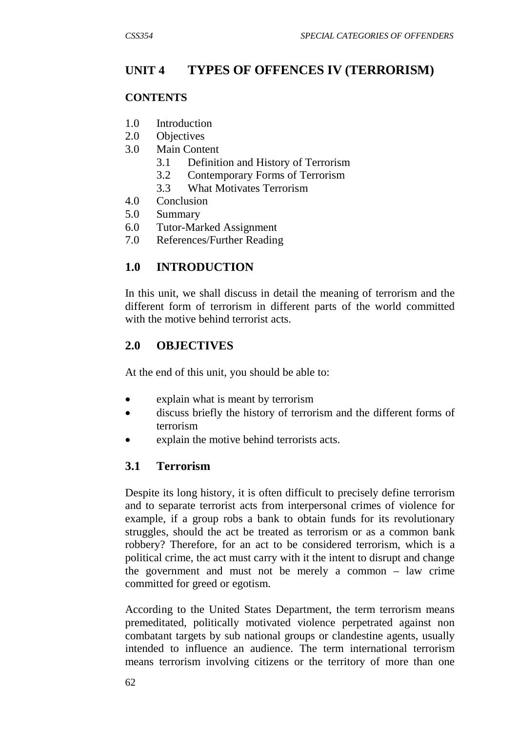# **UNIT 4 TYPES OF OFFENCES IV (TERRORISM)**

### **CONTENTS**

- 1.0 Introduction
- 2.0 Objectives
- 3.0 Main Content
	- 3.1 Definition and History of Terrorism
	- 3.2 Contemporary Forms of Terrorism
	- 3.3 What Motivates Terrorism
- 4.0 Conclusion
- 5.0 Summary
- 6.0 Tutor-Marked Assignment
- 7.0 References/Further Reading

# **1.0 INTRODUCTION**

In this unit, we shall discuss in detail the meaning of terrorism and the different form of terrorism in different parts of the world committed with the motive behind terrorist acts.

# **2.0 OBJECTIVES**

At the end of this unit, you should be able to:

- explain what is meant by terrorism
- discuss briefly the history of terrorism and the different forms of terrorism
- explain the motive behind terrorists acts.

# **3.1 Terrorism**

Despite its long history, it is often difficult to precisely define terrorism and to separate terrorist acts from interpersonal crimes of violence for example, if a group robs a bank to obtain funds for its revolutionary struggles, should the act be treated as terrorism or as a common bank robbery? Therefore, for an act to be considered terrorism, which is a political crime, the act must carry with it the intent to disrupt and change the government and must not be merely a common – law crime committed for greed or egotism.

According to the United States Department, the term terrorism means premeditated, politically motivated violence perpetrated against non combatant targets by sub national groups or clandestine agents, usually intended to influence an audience. The term international terrorism means terrorism involving citizens or the territory of more than one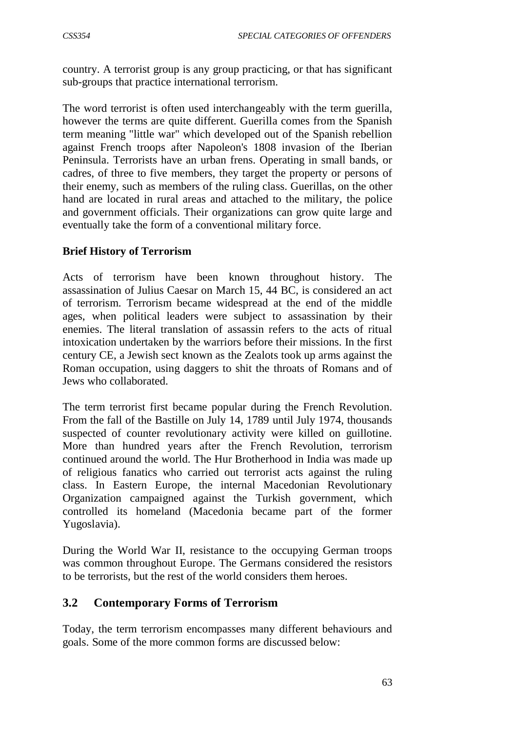country. A terrorist group is any group practicing, or that has significant sub-groups that practice international terrorism.

The word terrorist is often used interchangeably with the term guerilla, however the terms are quite different. Guerilla comes from the Spanish term meaning "little war" which developed out of the Spanish rebellion against French troops after Napoleon's 1808 invasion of the Iberian Peninsula. Terrorists have an urban frens. Operating in small bands, or cadres, of three to five members, they target the property or persons of their enemy, such as members of the ruling class. Guerillas, on the other hand are located in rural areas and attached to the military, the police and government officials. Their organizations can grow quite large and eventually take the form of a conventional military force.

### **Brief History of Terrorism**

Acts of terrorism have been known throughout history. The assassination of Julius Caesar on March 15, 44 BC, is considered an act of terrorism. Terrorism became widespread at the end of the middle ages, when political leaders were subject to assassination by their enemies. The literal translation of assassin refers to the acts of ritual intoxication undertaken by the warriors before their missions. In the first century CE, a Jewish sect known as the Zealots took up arms against the Roman occupation, using daggers to shit the throats of Romans and of Jews who collaborated.

The term terrorist first became popular during the French Revolution. From the fall of the Bastille on July 14, 1789 until July 1974, thousands suspected of counter revolutionary activity were killed on guillotine. More than hundred years after the French Revolution, terrorism continued around the world. The Hur Brotherhood in India was made up of religious fanatics who carried out terrorist acts against the ruling class. In Eastern Europe, the internal Macedonian Revolutionary Organization campaigned against the Turkish government, which controlled its homeland (Macedonia became part of the former Yugoslavia).

During the World War II, resistance to the occupying German troops was common throughout Europe. The Germans considered the resistors to be terrorists, but the rest of the world considers them heroes.

# **3.2 Contemporary Forms of Terrorism**

Today, the term terrorism encompasses many different behaviours and goals. Some of the more common forms are discussed below: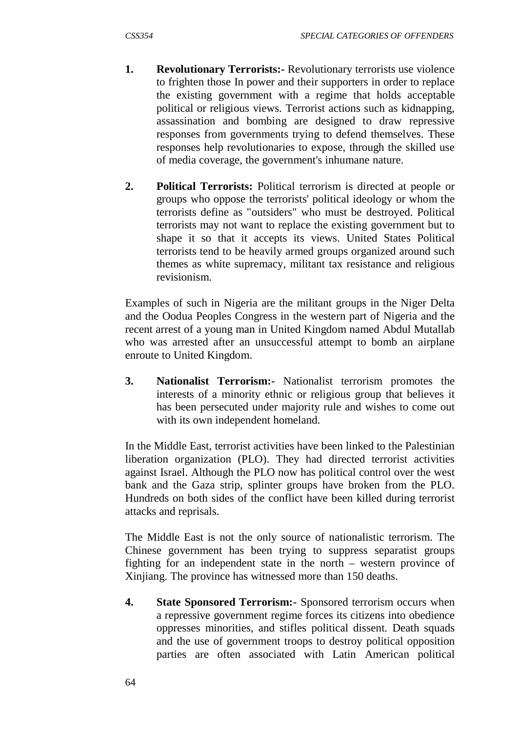- **1. Revolutionary Terrorists:-** Revolutionary terrorists use violence to frighten those In power and their supporters in order to replace the existing government with a regime that holds acceptable political or religious views. Terrorist actions such as kidnapping, assassination and bombing are designed to draw repressive responses from governments trying to defend themselves. These responses help revolutionaries to expose, through the skilled use of media coverage, the government's inhumane nature.
- **2. Political Terrorists:** Political terrorism is directed at people or groups who oppose the terrorists' political ideology or whom the terrorists define as "outsiders" who must be destroyed. Political terrorists may not want to replace the existing government but to shape it so that it accepts its views. United States Political terrorists tend to be heavily armed groups organized around such themes as white supremacy, militant tax resistance and religious revisionism.

Examples of such in Nigeria are the militant groups in the Niger Delta and the Oodua Peoples Congress in the western part of Nigeria and the recent arrest of a young man in United Kingdom named Abdul Mutallab who was arrested after an unsuccessful attempt to bomb an airplane enroute to United Kingdom.

**3. Nationalist Terrorism:-** Nationalist terrorism promotes the interests of a minority ethnic or religious group that believes it has been persecuted under majority rule and wishes to come out with its own independent homeland.

In the Middle East, terrorist activities have been linked to the Palestinian liberation organization (PLO). They had directed terrorist activities against Israel. Although the PLO now has political control over the west bank and the Gaza strip, splinter groups have broken from the PLO. Hundreds on both sides of the conflict have been killed during terrorist attacks and reprisals.

The Middle East is not the only source of nationalistic terrorism. The Chinese government has been trying to suppress separatist groups fighting for an independent state in the north – western province of Xinjiang. The province has witnessed more than 150 deaths.

**4. State Sponsored Terrorism:-** Sponsored terrorism occurs when a repressive government regime forces its citizens into obedience oppresses minorities, and stifles political dissent. Death squads and the use of government troops to destroy political opposition parties are often associated with Latin American political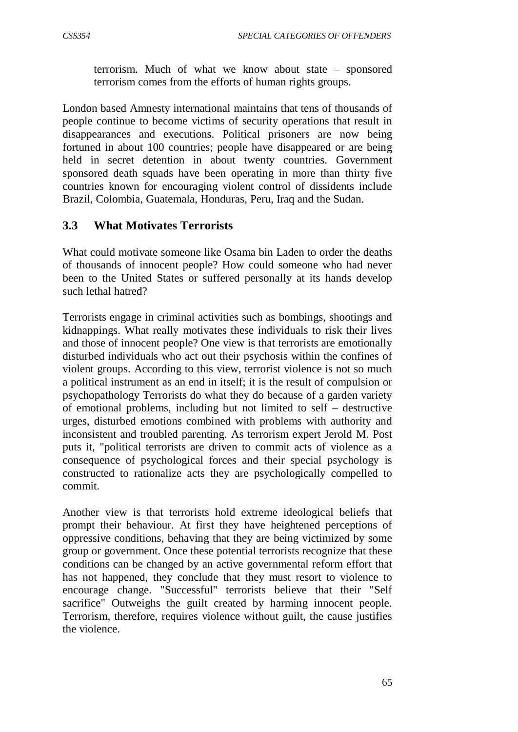terrorism. Much of what we know about state – sponsored terrorism comes from the efforts of human rights groups.

London based Amnesty international maintains that tens of thousands of people continue to become victims of security operations that result in disappearances and executions. Political prisoners are now being fortuned in about 100 countries; people have disappeared or are being held in secret detention in about twenty countries. Government sponsored death squads have been operating in more than thirty five countries known for encouraging violent control of dissidents include Brazil, Colombia, Guatemala, Honduras, Peru, Iraq and the Sudan.

# **3.3 What Motivates Terrorists**

What could motivate someone like Osama bin Laden to order the deaths of thousands of innocent people? How could someone who had never been to the United States or suffered personally at its hands develop such lethal hatred?

Terrorists engage in criminal activities such as bombings, shootings and kidnappings. What really motivates these individuals to risk their lives and those of innocent people? One view is that terrorists are emotionally disturbed individuals who act out their psychosis within the confines of violent groups. According to this view, terrorist violence is not so much a political instrument as an end in itself; it is the result of compulsion or psychopathology Terrorists do what they do because of a garden variety of emotional problems, including but not limited to self – destructive urges, disturbed emotions combined with problems with authority and inconsistent and troubled parenting. As terrorism expert Jerold M. Post puts it, "political terrorists are driven to commit acts of violence as a consequence of psychological forces and their special psychology is constructed to rationalize acts they are psychologically compelled to commit.

Another view is that terrorists hold extreme ideological beliefs that prompt their behaviour. At first they have heightened perceptions of oppressive conditions, behaving that they are being victimized by some group or government. Once these potential terrorists recognize that these conditions can be changed by an active governmental reform effort that has not happened, they conclude that they must resort to violence to encourage change. "Successful" terrorists believe that their "Self sacrifice" Outweighs the guilt created by harming innocent people. Terrorism, therefore, requires violence without guilt, the cause justifies the violence.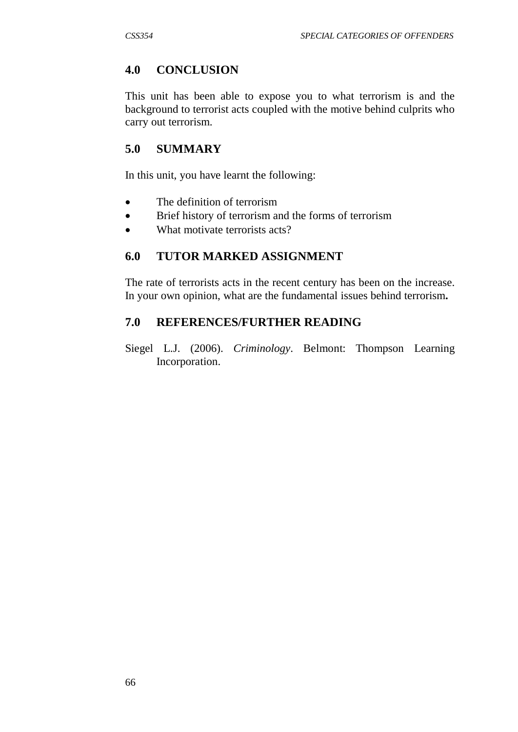# **4.0 CONCLUSION**

This unit has been able to expose you to what terrorism is and the background to terrorist acts coupled with the motive behind culprits who carry out terrorism.

# **5.0 SUMMARY**

In this unit, you have learnt the following:

- The definition of terrorism
- Brief history of terrorism and the forms of terrorism
- What motivate terrorists acts?

### **6.0 TUTOR MARKED ASSIGNMENT**

The rate of terrorists acts in the recent century has been on the increase. In your own opinion, what are the fundamental issues behind terrorism**.**

# **7.0 REFERENCES/FURTHER READING**

Siegel L.J. (2006). *Criminology*. Belmont: Thompson Learning Incorporation.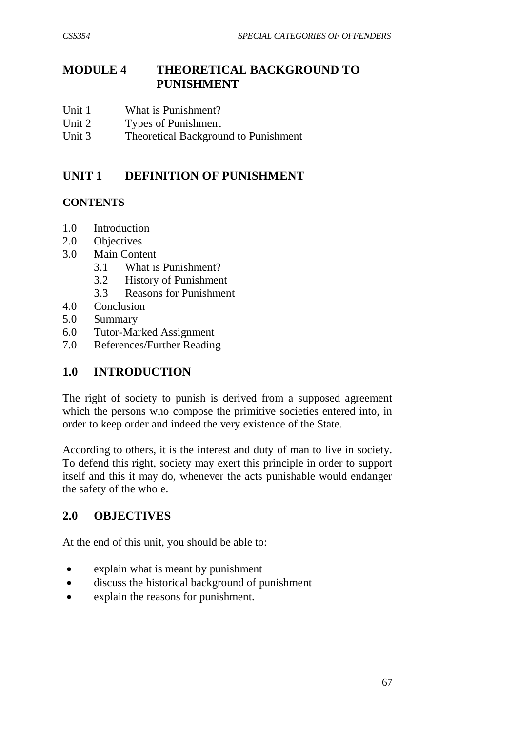# **MODULE 4 THEORETICAL BACKGROUND TO PUNISHMENT**

- Unit 1 What is Punishment?
- Unit 2 Types of Punishment
- Unit 3 Theoretical Background to Punishment

# **UNIT 1 DEFINITION OF PUNISHMENT**

### **CONTENTS**

- 1.0 Introduction
- 2.0 Objectives
- 3.0 Main Content
	- 3.1 What is Punishment?
	- 3.2 History of Punishment
	- 3.3 Reasons for Punishment
- 4.0 Conclusion
- 5.0 Summary
- 6.0 Tutor-Marked Assignment
- 7.0 References/Further Reading

# **1.0 INTRODUCTION**

The right of society to punish is derived from a supposed agreement which the persons who compose the primitive societies entered into, in order to keep order and indeed the very existence of the State.

According to others, it is the interest and duty of man to live in society. To defend this right, society may exert this principle in order to support itself and this it may do, whenever the acts punishable would endanger the safety of the whole.

# **2.0 OBJECTIVES**

At the end of this unit, you should be able to:

- explain what is meant by punishment
- discuss the historical background of punishment
- explain the reasons for punishment.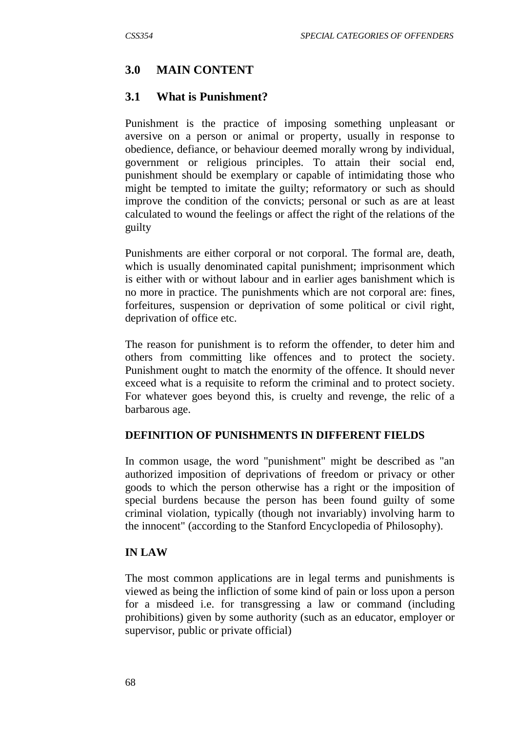# **3.0 MAIN CONTENT**

### **3.1 What is Punishment?**

Punishment is the practice of imposing something unpleasant or aversive on a person or animal or property, usually in response to obedience, defiance, or behaviour deemed morally wrong by individual, government or religious principles. To attain their social end, punishment should be exemplary or capable of intimidating those who might be tempted to imitate the guilty; reformatory or such as should improve the condition of the convicts; personal or such as are at least calculated to wound the feelings or affect the right of the relations of the guilty

Punishments are either corporal or not corporal. The formal are, death, which is usually denominated capital punishment; imprisonment which is either with or without labour and in earlier ages banishment which is no more in practice. The punishments which are not corporal are: fines, forfeitures, suspension or deprivation of some political or civil right, deprivation of office etc.

The reason for punishment is to reform the offender, to deter him and others from committing like offences and to protect the society. Punishment ought to match the enormity of the offence. It should never exceed what is a requisite to reform the criminal and to protect society. For whatever goes beyond this, is cruelty and revenge, the relic of a barbarous age.

#### **DEFINITION OF PUNISHMENTS IN DIFFERENT FIELDS**

In common usage, the word "punishment" might be described as "an authorized imposition of deprivations of freedom or privacy or other goods to which the person otherwise has a right or the imposition of special burdens because the person has been found guilty of some criminal violation, typically (though not invariably) involving harm to the innocent" (according to the Stanford Encyclopedia of Philosophy).

#### **IN LAW**

The most common applications are in legal terms and punishments is viewed as being the infliction of some kind of pain or loss upon a person for a misdeed i.e. for transgressing a law or command (including prohibitions) given by some authority (such as an educator, employer or supervisor, public or private official)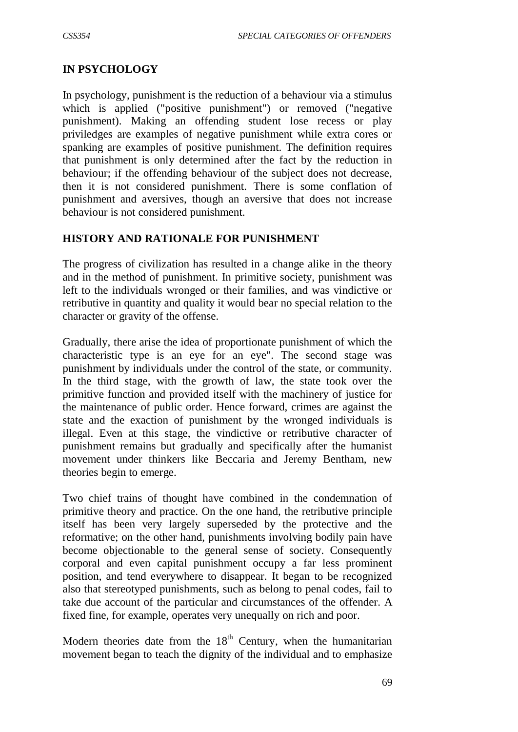### **IN PSYCHOLOGY**

In psychology, punishment is the reduction of a behaviour via a stimulus which is applied ("positive punishment") or removed ("negative punishment). Making an offending student lose recess or play priviledges are examples of negative punishment while extra cores or spanking are examples of positive punishment. The definition requires that punishment is only determined after the fact by the reduction in behaviour; if the offending behaviour of the subject does not decrease, then it is not considered punishment. There is some conflation of punishment and aversives, though an aversive that does not increase behaviour is not considered punishment.

#### **HISTORY AND RATIONALE FOR PUNISHMENT**

The progress of civilization has resulted in a change alike in the theory and in the method of punishment. In primitive society, punishment was left to the individuals wronged or their families, and was vindictive or retributive in quantity and quality it would bear no special relation to the character or gravity of the offense.

Gradually, there arise the idea of proportionate punishment of which the characteristic type is an eye for an eye". The second stage was punishment by individuals under the control of the state, or community. In the third stage, with the growth of law, the state took over the primitive function and provided itself with the machinery of justice for the maintenance of public order. Hence forward, crimes are against the state and the exaction of punishment by the wronged individuals is illegal. Even at this stage, the vindictive or retributive character of punishment remains but gradually and specifically after the humanist movement under thinkers like Beccaria and Jeremy Bentham, new theories begin to emerge.

Two chief trains of thought have combined in the condemnation of primitive theory and practice. On the one hand, the retributive principle itself has been very largely superseded by the protective and the reformative; on the other hand, punishments involving bodily pain have become objectionable to the general sense of society. Consequently corporal and even capital punishment occupy a far less prominent position, and tend everywhere to disappear. It began to be recognized also that stereotyped punishments, such as belong to penal codes, fail to take due account of the particular and circumstances of the offender. A fixed fine, for example, operates very unequally on rich and poor.

Modern theories date from the  $18<sup>th</sup>$  Century, when the humanitarian movement began to teach the dignity of the individual and to emphasize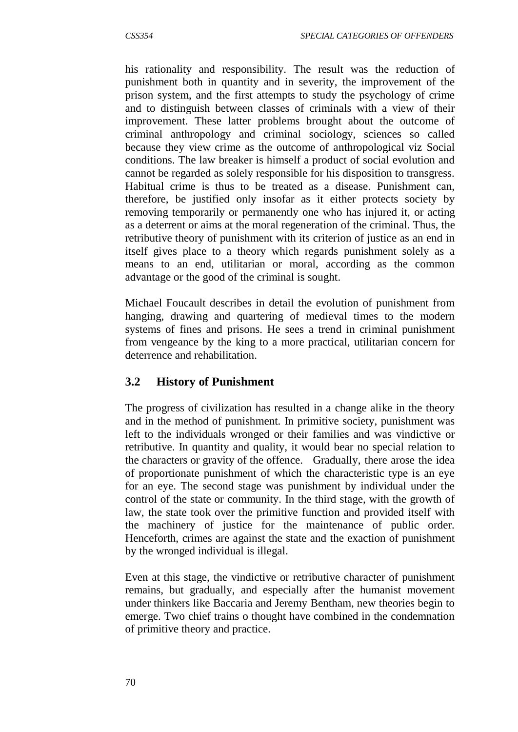his rationality and responsibility. The result was the reduction of punishment both in quantity and in severity, the improvement of the prison system, and the first attempts to study the psychology of crime and to distinguish between classes of criminals with a view of their improvement. These latter problems brought about the outcome of criminal anthropology and criminal sociology, sciences so called because they view crime as the outcome of anthropological viz Social conditions. The law breaker is himself a product of social evolution and cannot be regarded as solely responsible for his disposition to transgress. Habitual crime is thus to be treated as a disease. Punishment can, therefore, be justified only insofar as it either protects society by removing temporarily or permanently one who has injured it, or acting as a deterrent or aims at the moral regeneration of the criminal. Thus, the retributive theory of punishment with its criterion of justice as an end in itself gives place to a theory which regards punishment solely as a means to an end, utilitarian or moral, according as the common advantage or the good of the criminal is sought.

Michael Foucault describes in detail the evolution of punishment from hanging, drawing and quartering of medieval times to the modern systems of fines and prisons. He sees a trend in criminal punishment from vengeance by the king to a more practical, utilitarian concern for deterrence and rehabilitation.

# **3.2 History of Punishment**

The progress of civilization has resulted in a change alike in the theory and in the method of punishment. In primitive society, punishment was left to the individuals wronged or their families and was vindictive or retributive. In quantity and quality, it would bear no special relation to the characters or gravity of the offence. Gradually, there arose the idea of proportionate punishment of which the characteristic type is an eye for an eye. The second stage was punishment by individual under the control of the state or community. In the third stage, with the growth of law, the state took over the primitive function and provided itself with the machinery of justice for the maintenance of public order. Henceforth, crimes are against the state and the exaction of punishment by the wronged individual is illegal.

Even at this stage, the vindictive or retributive character of punishment remains, but gradually, and especially after the humanist movement under thinkers like Baccaria and Jeremy Bentham, new theories begin to emerge. Two chief trains o thought have combined in the condemnation of primitive theory and practice.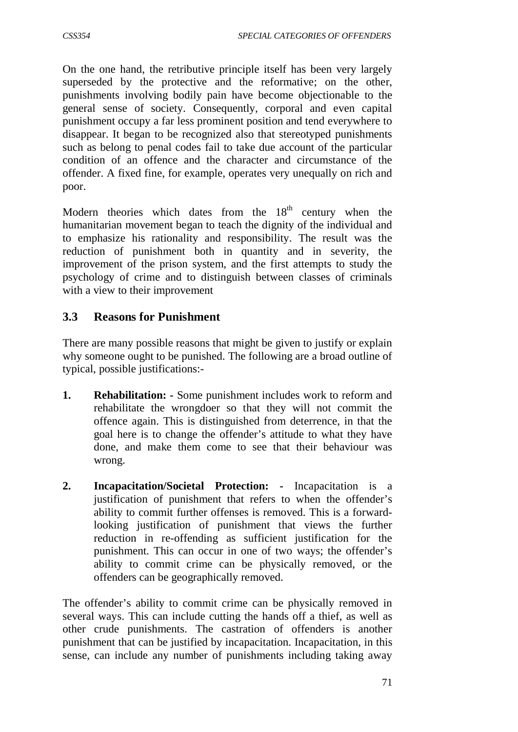On the one hand, the retributive principle itself has been very largely superseded by the protective and the reformative; on the other, punishments involving bodily pain have become objectionable to the general sense of society. Consequently, corporal and even capital punishment occupy a far less prominent position and tend everywhere to disappear. It began to be recognized also that stereotyped punishments such as belong to penal codes fail to take due account of the particular condition of an offence and the character and circumstance of the offender. A fixed fine, for example, operates very unequally on rich and poor.

Modern theories which dates from the  $18<sup>th</sup>$  century when the humanitarian movement began to teach the dignity of the individual and to emphasize his rationality and responsibility. The result was the reduction of punishment both in quantity and in severity, the improvement of the prison system, and the first attempts to study the psychology of crime and to distinguish between classes of criminals with a view to their improvement

### **3.3 Reasons for Punishment**

There are many possible reasons that might be given to justify or explain why someone ought to be punished. The following are a broad outline of typical, possible justifications:-

- **1. Rehabilitation: -** Some punishment includes work to reform and rehabilitate the wrongdoer so that they will not commit the offence again. This is distinguished from deterrence, in that the goal here is to change the offender's attitude to what they have done, and make them come to see that their behaviour was wrong.
- **2. Incapacitation/Societal Protection: -** Incapacitation is a justification of punishment that refers to when the offender's ability to commit further offenses is removed. This is a forwardlooking justification of punishment that views the further reduction in re-offending as sufficient justification for the punishment. This can occur in one of two ways; the offender's ability to commit crime can be physically removed, or the offenders can be geographically removed.

The offender's ability to commit crime can be physically removed in several ways. This can include cutting the hands off a thief, as well as other crude punishments. The castration of offenders is another punishment that can be justified by incapacitation. Incapacitation, in this sense, can include any number of punishments including taking away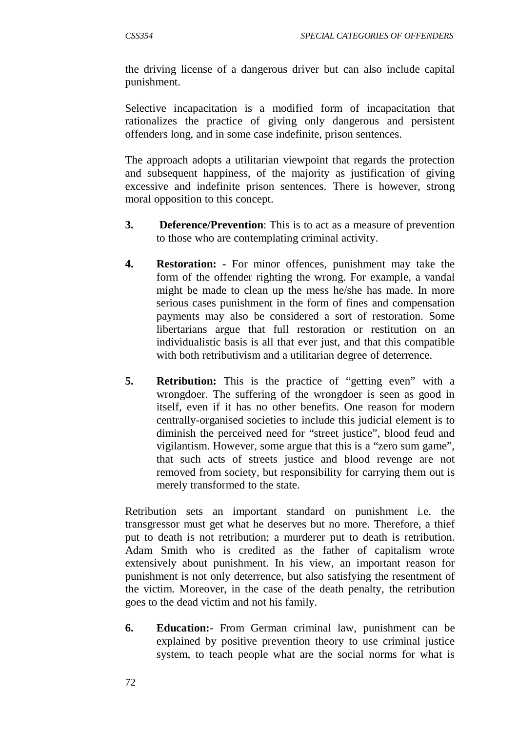the driving license of a dangerous driver but can also include capital punishment.

Selective incapacitation is a modified form of incapacitation that rationalizes the practice of giving only dangerous and persistent offenders long, and in some case indefinite, prison sentences.

The approach adopts a utilitarian viewpoint that regards the protection and subsequent happiness, of the majority as justification of giving excessive and indefinite prison sentences. There is however, strong moral opposition to this concept.

- **3. Deference/Prevention**: This is to act as a measure of prevention to those who are contemplating criminal activity.
- **4. Restoration: -** For minor offences, punishment may take the form of the offender righting the wrong. For example, a vandal might be made to clean up the mess he/she has made. In more serious cases punishment in the form of fines and compensation payments may also be considered a sort of restoration. Some libertarians argue that full restoration or restitution on an individualistic basis is all that ever just, and that this compatible with both retributivism and a utilitarian degree of deterrence.
- **5. Retribution:** This is the practice of "getting even" with a wrongdoer. The suffering of the wrongdoer is seen as good in itself, even if it has no other benefits. One reason for modern centrally-organised societies to include this judicial element is to diminish the perceived need for "street justice", blood feud and vigilantism. However, some argue that this is a "zero sum game", that such acts of streets justice and blood revenge are not removed from society, but responsibility for carrying them out is merely transformed to the state.

Retribution sets an important standard on punishment i.e. the transgressor must get what he deserves but no more. Therefore, a thief put to death is not retribution; a murderer put to death is retribution. Adam Smith who is credited as the father of capitalism wrote extensively about punishment. In his view, an important reason for punishment is not only deterrence, but also satisfying the resentment of the victim. Moreover, in the case of the death penalty, the retribution goes to the dead victim and not his family.

**6. Education:**- From German criminal law, punishment can be explained by positive prevention theory to use criminal justice system, to teach people what are the social norms for what is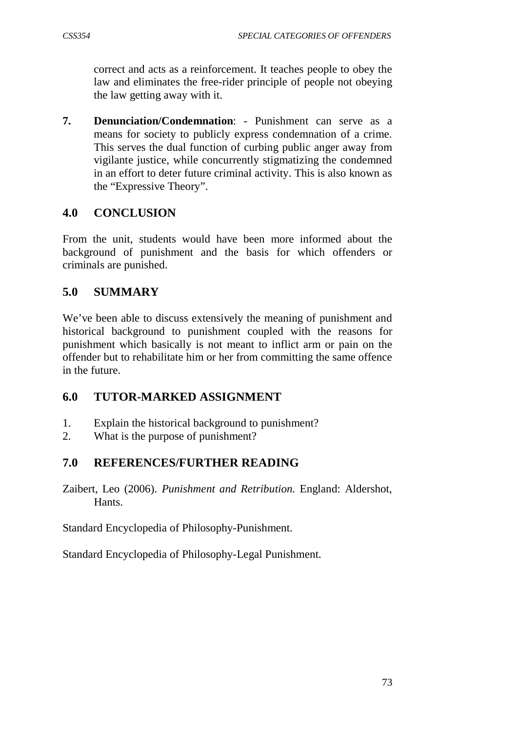correct and acts as a reinforcement. It teaches people to obey the law and eliminates the free-rider principle of people not obeying the law getting away with it.

**7. Denunciation/Condemnation**: - Punishment can serve as a means for society to publicly express condemnation of a crime. This serves the dual function of curbing public anger away from vigilante justice, while concurrently stigmatizing the condemned in an effort to deter future criminal activity. This is also known as the "Expressive Theory".

# **4.0 CONCLUSION**

From the unit, students would have been more informed about the background of punishment and the basis for which offenders or criminals are punished.

# **5.0 SUMMARY**

We've been able to discuss extensively the meaning of punishment and historical background to punishment coupled with the reasons for punishment which basically is not meant to inflict arm or pain on the offender but to rehabilitate him or her from committing the same offence in the future.

# **6.0 TUTOR-MARKED ASSIGNMENT**

- 1. Explain the historical background to punishment?
- 2. What is the purpose of punishment?

# **7.0 REFERENCES/FURTHER READING**

Zaibert, Leo (2006). *Punishment and Retribution.* England: Aldershot, Hants.

Standard Encyclopedia of Philosophy-Punishment.

Standard Encyclopedia of Philosophy-Legal Punishment.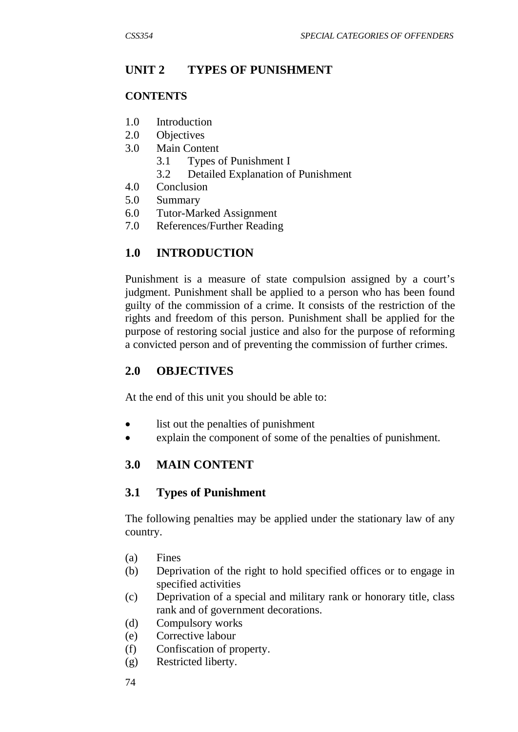# **UNIT 2 TYPES OF PUNISHMENT**

# **CONTENTS**

- 1.0 Introduction
- 2.0 Objectives
- 3.0 Main Content
	- 3.1 Types of Punishment I
	- 3.2 Detailed Explanation of Punishment
- 4.0 Conclusion
- 5.0 Summary
- 6.0 Tutor-Marked Assignment
- 7.0 References/Further Reading

# **1.0 INTRODUCTION**

Punishment is a measure of state compulsion assigned by a court's judgment. Punishment shall be applied to a person who has been found guilty of the commission of a crime. It consists of the restriction of the rights and freedom of this person. Punishment shall be applied for the purpose of restoring social justice and also for the purpose of reforming a convicted person and of preventing the commission of further crimes.

# **2.0 OBJECTIVES**

At the end of this unit you should be able to:

- list out the penalties of punishment
- explain the component of some of the penalties of punishment.

# **3.0 MAIN CONTENT**

# **3.1 Types of Punishment**

The following penalties may be applied under the stationary law of any country.

- (a) Fines
- (b) Deprivation of the right to hold specified offices or to engage in specified activities
- (c) Deprivation of a special and military rank or honorary title, class rank and of government decorations.
- (d) Compulsory works
- (e) Corrective labour
- (f) Confiscation of property.
- (g) Restricted liberty.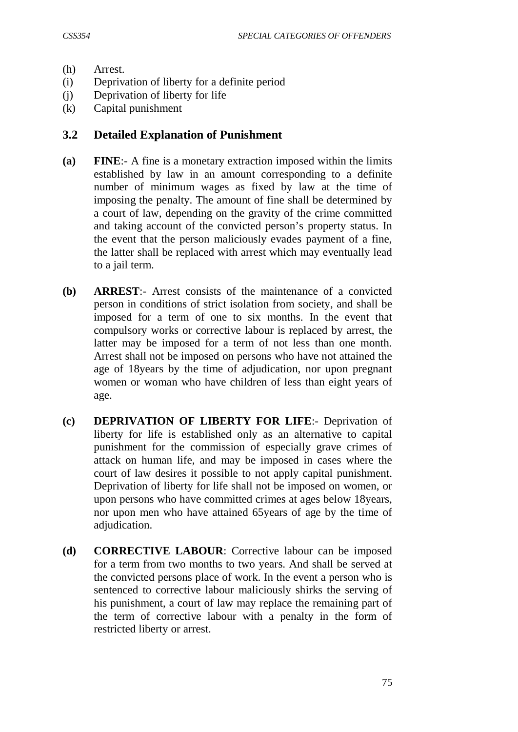- (h) Arrest.
- (i) Deprivation of liberty for a definite period
- (j) Deprivation of liberty for life
- (k) Capital punishment

#### **3.2 Detailed Explanation of Punishment**

- **(a) FINE**:- A fine is a monetary extraction imposed within the limits established by law in an amount corresponding to a definite number of minimum wages as fixed by law at the time of imposing the penalty. The amount of fine shall be determined by a court of law, depending on the gravity of the crime committed and taking account of the convicted person's property status. In the event that the person maliciously evades payment of a fine, the latter shall be replaced with arrest which may eventually lead to a jail term.
- **(b) ARREST**:- Arrest consists of the maintenance of a convicted person in conditions of strict isolation from society, and shall be imposed for a term of one to six months. In the event that compulsory works or corrective labour is replaced by arrest, the latter may be imposed for a term of not less than one month. Arrest shall not be imposed on persons who have not attained the age of 18years by the time of adjudication, nor upon pregnant women or woman who have children of less than eight years of age.
- **(c) DEPRIVATION OF LIBERTY FOR LIFE**:- Deprivation of liberty for life is established only as an alternative to capital punishment for the commission of especially grave crimes of attack on human life, and may be imposed in cases where the court of law desires it possible to not apply capital punishment. Deprivation of liberty for life shall not be imposed on women, or upon persons who have committed crimes at ages below 18years, nor upon men who have attained 65years of age by the time of adjudication.
- **(d) CORRECTIVE LABOUR**: Corrective labour can be imposed for a term from two months to two years. And shall be served at the convicted persons place of work. In the event a person who is sentenced to corrective labour maliciously shirks the serving of his punishment, a court of law may replace the remaining part of the term of corrective labour with a penalty in the form of restricted liberty or arrest.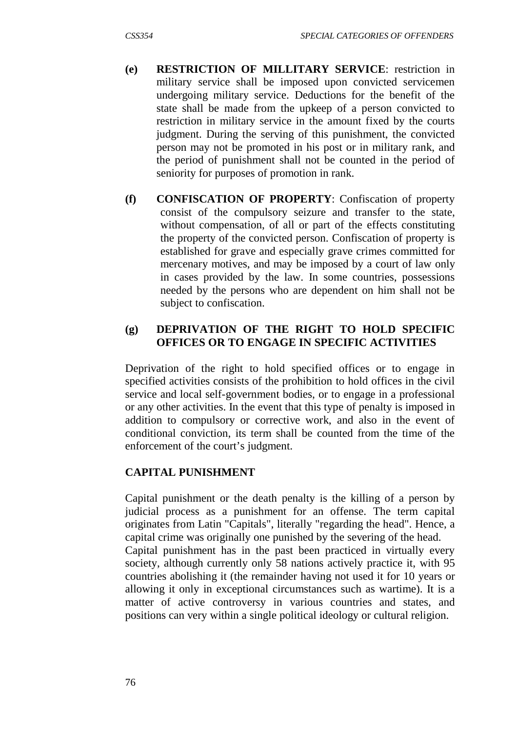- **(e) RESTRICTION OF MILLITARY SERVICE**: restriction in military service shall be imposed upon convicted servicemen undergoing military service. Deductions for the benefit of the state shall be made from the upkeep of a person convicted to restriction in military service in the amount fixed by the courts judgment. During the serving of this punishment, the convicted person may not be promoted in his post or in military rank, and the period of punishment shall not be counted in the period of seniority for purposes of promotion in rank.
- **(f) CONFISCATION OF PROPERTY**: Confiscation of property consist of the compulsory seizure and transfer to the state, without compensation, of all or part of the effects constituting the property of the convicted person. Confiscation of property is established for grave and especially grave crimes committed for mercenary motives, and may be imposed by a court of law only in cases provided by the law. In some countries, possessions needed by the persons who are dependent on him shall not be subject to confiscation.

# **(g) DEPRIVATION OF THE RIGHT TO HOLD SPECIFIC OFFICES OR TO ENGAGE IN SPECIFIC ACTIVITIES**

Deprivation of the right to hold specified offices or to engage in specified activities consists of the prohibition to hold offices in the civil service and local self-government bodies, or to engage in a professional or any other activities. In the event that this type of penalty is imposed in addition to compulsory or corrective work, and also in the event of conditional conviction, its term shall be counted from the time of the enforcement of the court's judgment.

# **CAPITAL PUNISHMENT**

Capital punishment or the death penalty is the killing of a person by judicial process as a punishment for an offense. The term capital originates from Latin "Capitals", literally "regarding the head". Hence, a capital crime was originally one punished by the severing of the head. Capital punishment has in the past been practiced in virtually every society, although currently only 58 nations actively practice it, with 95 countries abolishing it (the remainder having not used it for 10 years or allowing it only in exceptional circumstances such as wartime). It is a matter of active controversy in various countries and states, and positions can very within a single political ideology or cultural religion.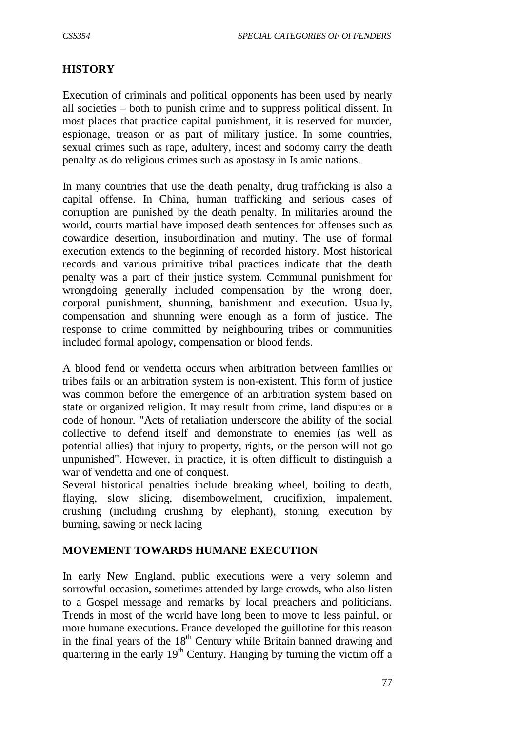#### **HISTORY**

Execution of criminals and political opponents has been used by nearly all societies – both to punish crime and to suppress political dissent. In most places that practice capital punishment, it is reserved for murder, espionage, treason or as part of military justice. In some countries, sexual crimes such as rape, adultery, incest and sodomy carry the death penalty as do religious crimes such as apostasy in Islamic nations.

In many countries that use the death penalty, drug trafficking is also a capital offense. In China, human trafficking and serious cases of corruption are punished by the death penalty. In militaries around the world, courts martial have imposed death sentences for offenses such as cowardice desertion, insubordination and mutiny. The use of formal execution extends to the beginning of recorded history. Most historical records and various primitive tribal practices indicate that the death penalty was a part of their justice system. Communal punishment for wrongdoing generally included compensation by the wrong doer, corporal punishment, shunning, banishment and execution. Usually, compensation and shunning were enough as a form of justice. The response to crime committed by neighbouring tribes or communities included formal apology, compensation or blood fends.

A blood fend or vendetta occurs when arbitration between families or tribes fails or an arbitration system is non-existent. This form of justice was common before the emergence of an arbitration system based on state or organized religion. It may result from crime, land disputes or a code of honour. "Acts of retaliation underscore the ability of the social collective to defend itself and demonstrate to enemies (as well as potential allies) that injury to property, rights, or the person will not go unpunished". However, in practice, it is often difficult to distinguish a war of vendetta and one of conquest.

Several historical penalties include breaking wheel, boiling to death, flaying, slow slicing, disembowelment, crucifixion, impalement, crushing (including crushing by elephant), stoning, execution by burning, sawing or neck lacing

#### **MOVEMENT TOWARDS HUMANE EXECUTION**

In early New England, public executions were a very solemn and sorrowful occasion, sometimes attended by large crowds, who also listen to a Gospel message and remarks by local preachers and politicians. Trends in most of the world have long been to move to less painful, or more humane executions. France developed the guillotine for this reason in the final years of the  $18<sup>th</sup>$  Century while Britain banned drawing and quartering in the early  $19<sup>th</sup>$  Century. Hanging by turning the victim off a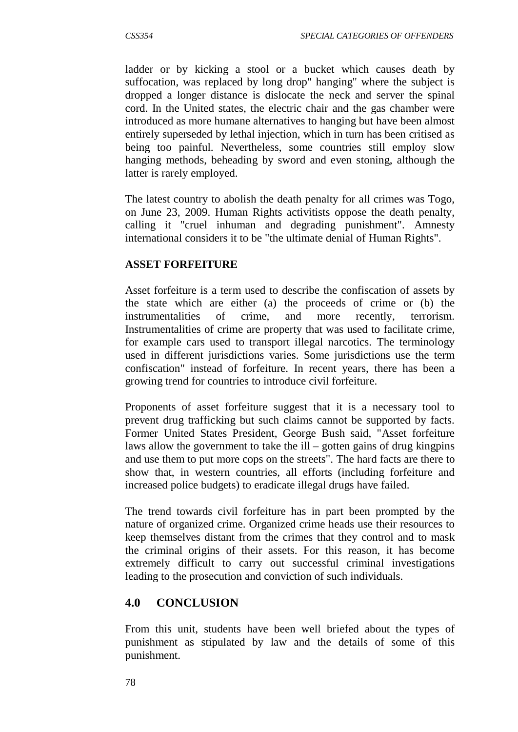ladder or by kicking a stool or a bucket which causes death by suffocation, was replaced by long drop" hanging" where the subject is dropped a longer distance is dislocate the neck and server the spinal cord. In the United states, the electric chair and the gas chamber were introduced as more humane alternatives to hanging but have been almost entirely superseded by lethal injection, which in turn has been critised as being too painful. Nevertheless, some countries still employ slow hanging methods, beheading by sword and even stoning, although the latter is rarely employed.

The latest country to abolish the death penalty for all crimes was Togo, on June 23, 2009. Human Rights activitists oppose the death penalty, calling it "cruel inhuman and degrading punishment". Amnesty international considers it to be "the ultimate denial of Human Rights".

#### **ASSET FORFEITURE**

Asset forfeiture is a term used to describe the confiscation of assets by the state which are either (a) the proceeds of crime or (b) the instrumentalities of crime, and more recently, terrorism. Instrumentalities of crime are property that was used to facilitate crime, for example cars used to transport illegal narcotics. The terminology used in different jurisdictions varies. Some jurisdictions use the term confiscation" instead of forfeiture. In recent years, there has been a growing trend for countries to introduce civil forfeiture.

Proponents of asset forfeiture suggest that it is a necessary tool to prevent drug trafficking but such claims cannot be supported by facts. Former United States President, George Bush said, "Asset forfeiture laws allow the government to take the ill – gotten gains of drug kingpins and use them to put more cops on the streets". The hard facts are there to show that, in western countries, all efforts (including forfeiture and increased police budgets) to eradicate illegal drugs have failed.

The trend towards civil forfeiture has in part been prompted by the nature of organized crime. Organized crime heads use their resources to keep themselves distant from the crimes that they control and to mask the criminal origins of their assets. For this reason, it has become extremely difficult to carry out successful criminal investigations leading to the prosecution and conviction of such individuals.

# **4.0 CONCLUSION**

From this unit, students have been well briefed about the types of punishment as stipulated by law and the details of some of this punishment.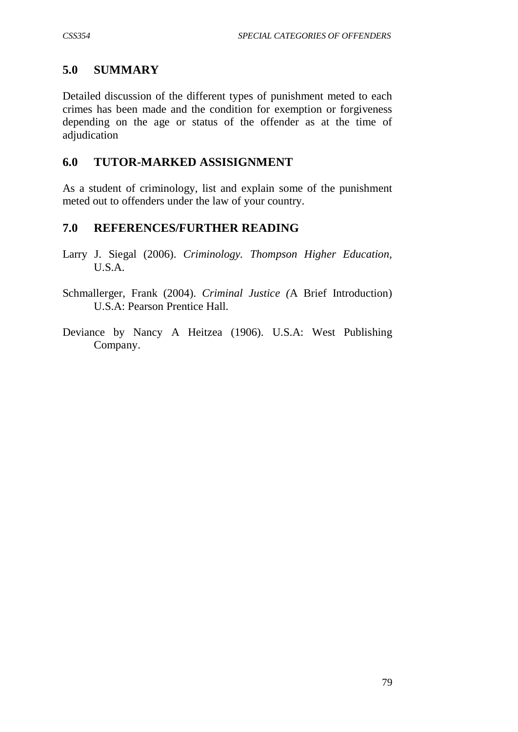# **5.0 SUMMARY**

Detailed discussion of the different types of punishment meted to each crimes has been made and the condition for exemption or forgiveness depending on the age or status of the offender as at the time of adjudication

# **6.0 TUTOR-MARKED ASSISIGNMENT**

As a student of criminology, list and explain some of the punishment meted out to offenders under the law of your country.

# **7.0 REFERENCES/FURTHER READING**

- Larry J. Siegal (2006). *Criminology. Thompson Higher Education,*  U.S.A.
- Schmallerger, Frank (2004). *Criminal Justice (*A Brief Introduction) U.S.A: Pearson Prentice Hall.
- Deviance by Nancy A Heitzea (1906). U.S.A: West Publishing Company.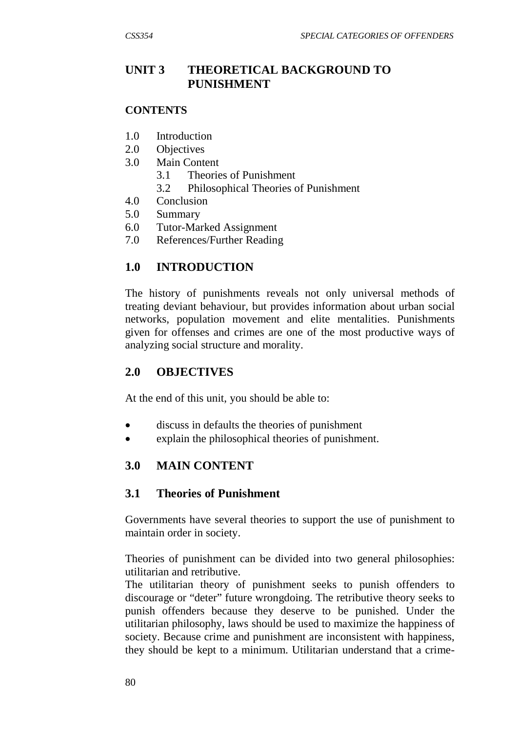# **UNIT 3 THEORETICAL BACKGROUND TO PUNISHMENT**

#### **CONTENTS**

- 1.0 Introduction
- 2.0 Objectives
- 3.0 Main Content
	- 3.1 Theories of Punishment
	- 3.2 Philosophical Theories of Punishment
- 4.0 Conclusion
- 5.0 Summary
- 6.0 Tutor-Marked Assignment
- 7.0 References/Further Reading

### **1.0 INTRODUCTION**

The history of punishments reveals not only universal methods of treating deviant behaviour, but provides information about urban social networks, population movement and elite mentalities. Punishments given for offenses and crimes are one of the most productive ways of analyzing social structure and morality.

#### **2.0 OBJECTIVES**

At the end of this unit, you should be able to:

- discuss in defaults the theories of punishment
- explain the philosophical theories of punishment.

# **3.0 MAIN CONTENT**

# **3.1 Theories of Punishment**

Governments have several theories to support the use of punishment to maintain order in society.

Theories of punishment can be divided into two general philosophies: utilitarian and retributive.

The utilitarian theory of punishment seeks to punish offenders to discourage or "deter" future wrongdoing. The retributive theory seeks to punish offenders because they deserve to be punished. Under the utilitarian philosophy, laws should be used to maximize the happiness of society. Because crime and punishment are inconsistent with happiness, they should be kept to a minimum. Utilitarian understand that a crime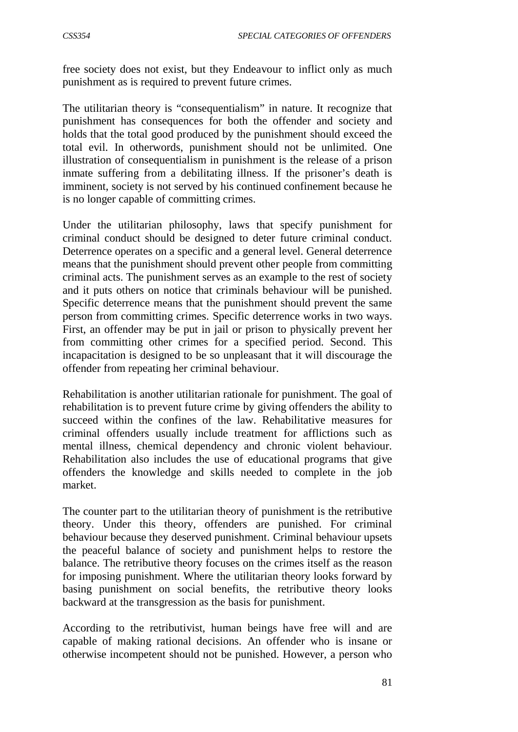free society does not exist, but they Endeavour to inflict only as much punishment as is required to prevent future crimes.

The utilitarian theory is "consequentialism" in nature. It recognize that punishment has consequences for both the offender and society and holds that the total good produced by the punishment should exceed the total evil. In otherwords, punishment should not be unlimited. One illustration of consequentialism in punishment is the release of a prison inmate suffering from a debilitating illness. If the prisoner's death is imminent, society is not served by his continued confinement because he is no longer capable of committing crimes.

Under the utilitarian philosophy, laws that specify punishment for criminal conduct should be designed to deter future criminal conduct. Deterrence operates on a specific and a general level. General deterrence means that the punishment should prevent other people from committing criminal acts. The punishment serves as an example to the rest of society and it puts others on notice that criminals behaviour will be punished. Specific deterrence means that the punishment should prevent the same person from committing crimes. Specific deterrence works in two ways. First, an offender may be put in jail or prison to physically prevent her from committing other crimes for a specified period. Second. This incapacitation is designed to be so unpleasant that it will discourage the offender from repeating her criminal behaviour.

Rehabilitation is another utilitarian rationale for punishment. The goal of rehabilitation is to prevent future crime by giving offenders the ability to succeed within the confines of the law. Rehabilitative measures for criminal offenders usually include treatment for afflictions such as mental illness, chemical dependency and chronic violent behaviour. Rehabilitation also includes the use of educational programs that give offenders the knowledge and skills needed to complete in the job market.

The counter part to the utilitarian theory of punishment is the retributive theory. Under this theory, offenders are punished. For criminal behaviour because they deserved punishment. Criminal behaviour upsets the peaceful balance of society and punishment helps to restore the balance. The retributive theory focuses on the crimes itself as the reason for imposing punishment. Where the utilitarian theory looks forward by basing punishment on social benefits, the retributive theory looks backward at the transgression as the basis for punishment.

According to the retributivist, human beings have free will and are capable of making rational decisions. An offender who is insane or otherwise incompetent should not be punished. However, a person who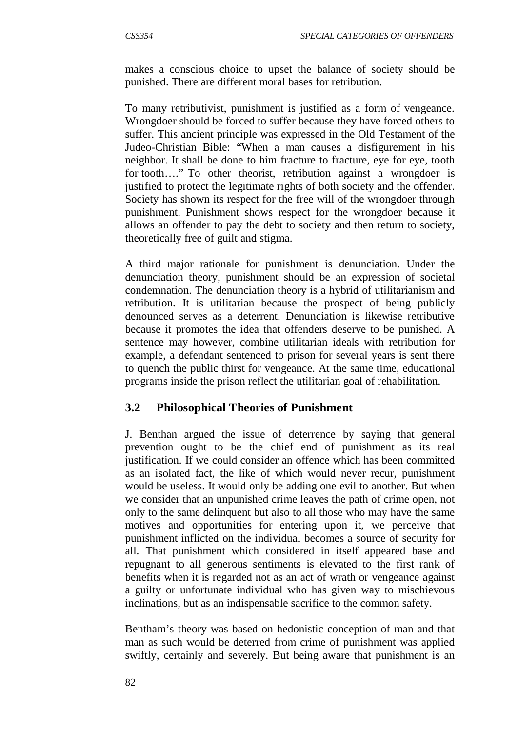makes a conscious choice to upset the balance of society should be punished. There are different moral bases for retribution.

To many retributivist, punishment is justified as a form of vengeance. Wrongdoer should be forced to suffer because they have forced others to suffer. This ancient principle was expressed in the Old Testament of the Judeo-Christian Bible: "When a man causes a disfigurement in his neighbor. It shall be done to him fracture to fracture, eye for eye, tooth for tooth…." To other theorist, retribution against a wrongdoer is justified to protect the legitimate rights of both society and the offender. Society has shown its respect for the free will of the wrongdoer through punishment. Punishment shows respect for the wrongdoer because it allows an offender to pay the debt to society and then return to society, theoretically free of guilt and stigma.

A third major rationale for punishment is denunciation. Under the denunciation theory, punishment should be an expression of societal condemnation. The denunciation theory is a hybrid of utilitarianism and retribution. It is utilitarian because the prospect of being publicly denounced serves as a deterrent. Denunciation is likewise retributive because it promotes the idea that offenders deserve to be punished. A sentence may however, combine utilitarian ideals with retribution for example, a defendant sentenced to prison for several years is sent there to quench the public thirst for vengeance. At the same time, educational programs inside the prison reflect the utilitarian goal of rehabilitation.

# **3.2 Philosophical Theories of Punishment**

J. Benthan argued the issue of deterrence by saying that general prevention ought to be the chief end of punishment as its real justification. If we could consider an offence which has been committed as an isolated fact, the like of which would never recur, punishment would be useless. It would only be adding one evil to another. But when we consider that an unpunished crime leaves the path of crime open, not only to the same delinquent but also to all those who may have the same motives and opportunities for entering upon it, we perceive that punishment inflicted on the individual becomes a source of security for all. That punishment which considered in itself appeared base and repugnant to all generous sentiments is elevated to the first rank of benefits when it is regarded not as an act of wrath or vengeance against a guilty or unfortunate individual who has given way to mischievous inclinations, but as an indispensable sacrifice to the common safety.

Bentham's theory was based on hedonistic conception of man and that man as such would be deterred from crime of punishment was applied swiftly, certainly and severely. But being aware that punishment is an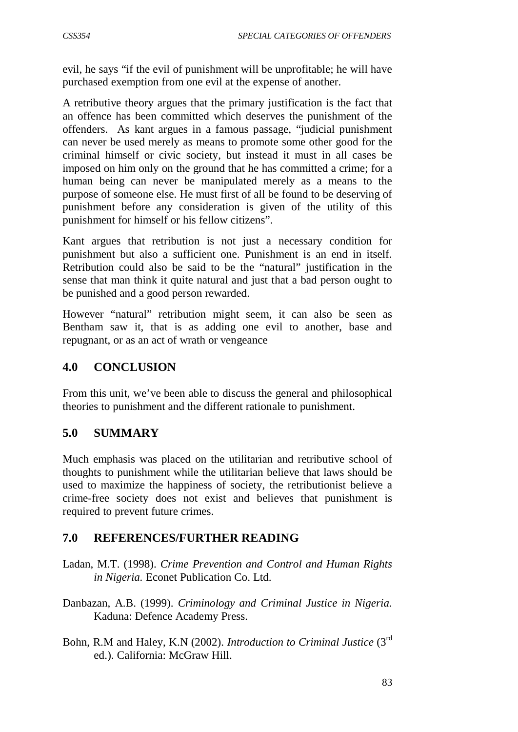evil, he says "if the evil of punishment will be unprofitable; he will have purchased exemption from one evil at the expense of another.

A retributive theory argues that the primary justification is the fact that an offence has been committed which deserves the punishment of the offenders. As kant argues in a famous passage, "judicial punishment can never be used merely as means to promote some other good for the criminal himself or civic society, but instead it must in all cases be imposed on him only on the ground that he has committed a crime; for a human being can never be manipulated merely as a means to the purpose of someone else. He must first of all be found to be deserving of punishment before any consideration is given of the utility of this punishment for himself or his fellow citizens".

Kant argues that retribution is not just a necessary condition for punishment but also a sufficient one. Punishment is an end in itself. Retribution could also be said to be the "natural" justification in the sense that man think it quite natural and just that a bad person ought to be punished and a good person rewarded.

However "natural" retribution might seem, it can also be seen as Bentham saw it, that is as adding one evil to another, base and repugnant, or as an act of wrath or vengeance

# **4.0 CONCLUSION**

From this unit, we've been able to discuss the general and philosophical theories to punishment and the different rationale to punishment.

#### **5.0 SUMMARY**

Much emphasis was placed on the utilitarian and retributive school of thoughts to punishment while the utilitarian believe that laws should be used to maximize the happiness of society, the retributionist believe a crime-free society does not exist and believes that punishment is required to prevent future crimes.

#### **7.0 REFERENCES/FURTHER READING**

- Ladan, M.T. (1998). *Crime Prevention and Control and Human Rights in Nigeria.* Econet Publication Co. Ltd.
- Danbazan, A.B. (1999). *Criminology and Criminal Justice in Nigeria.* Kaduna: Defence Academy Press.
- Bohn, R.M and Haley, K.N (2002). *Introduction to Criminal Justice* (3rd ed.). California: McGraw Hill.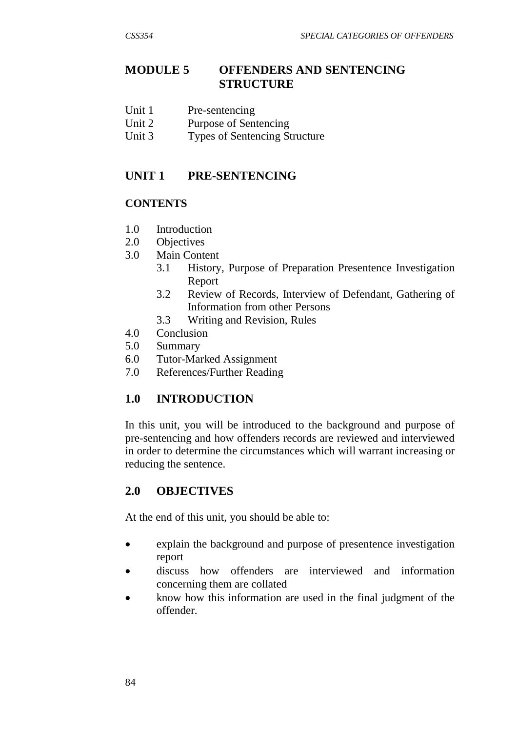# **MODULE 5 OFFENDERS AND SENTENCING STRUCTURE**

- Unit 1 Pre-sentencing
- Unit 2 Purpose of Sentencing
- Unit 3 Types of Sentencing Structure

# **UNIT 1 PRE-SENTENCING**

### **CONTENTS**

- 1.0 Introduction
- 2.0 Objectives
- 3.0 Main Content
	- 3.1 History, Purpose of Preparation Presentence Investigation Report
	- 3.2 Review of Records, Interview of Defendant, Gathering of Information from other Persons
	- 3.3 Writing and Revision, Rules
- 4.0 Conclusion
- 5.0 Summary
- 6.0 Tutor-Marked Assignment
- 7.0 References/Further Reading

# **1.0 INTRODUCTION**

In this unit, you will be introduced to the background and purpose of pre-sentencing and how offenders records are reviewed and interviewed in order to determine the circumstances which will warrant increasing or reducing the sentence.

# **2.0 OBJECTIVES**

At the end of this unit, you should be able to:

- explain the background and purpose of presentence investigation report
- discuss how offenders are interviewed and information concerning them are collated
- know how this information are used in the final judgment of the offender.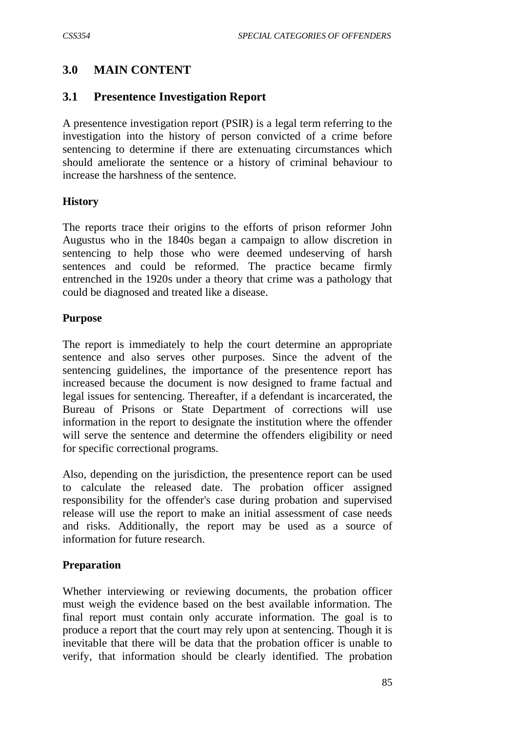# **3.0 MAIN CONTENT**

### **3.1 Presentence Investigation Report**

A presentence investigation report (PSIR) is a legal term referring to the investigation into the history of person convicted of a crime before sentencing to determine if there are extenuating circumstances which should ameliorate the sentence or a history of criminal behaviour to increase the harshness of the sentence.

#### **History**

The reports trace their origins to the efforts of prison reformer John Augustus who in the 1840s began a campaign to allow discretion in sentencing to help those who were deemed undeserving of harsh sentences and could be reformed. The practice became firmly entrenched in the 1920s under a theory that crime was a pathology that could be diagnosed and treated like a disease.

#### **Purpose**

The report is immediately to help the court determine an appropriate sentence and also serves other purposes. Since the advent of the sentencing guidelines, the importance of the presentence report has increased because the document is now designed to frame factual and legal issues for sentencing. Thereafter, if a defendant is incarcerated, the Bureau of Prisons or State Department of corrections will use information in the report to designate the institution where the offender will serve the sentence and determine the offenders eligibility or need for specific correctional programs.

Also, depending on the jurisdiction, the presentence report can be used to calculate the released date. The probation officer assigned responsibility for the offender's case during probation and supervised release will use the report to make an initial assessment of case needs and risks. Additionally, the report may be used as a source of information for future research.

#### **Preparation**

Whether interviewing or reviewing documents, the probation officer must weigh the evidence based on the best available information. The final report must contain only accurate information. The goal is to produce a report that the court may rely upon at sentencing. Though it is inevitable that there will be data that the probation officer is unable to verify, that information should be clearly identified. The probation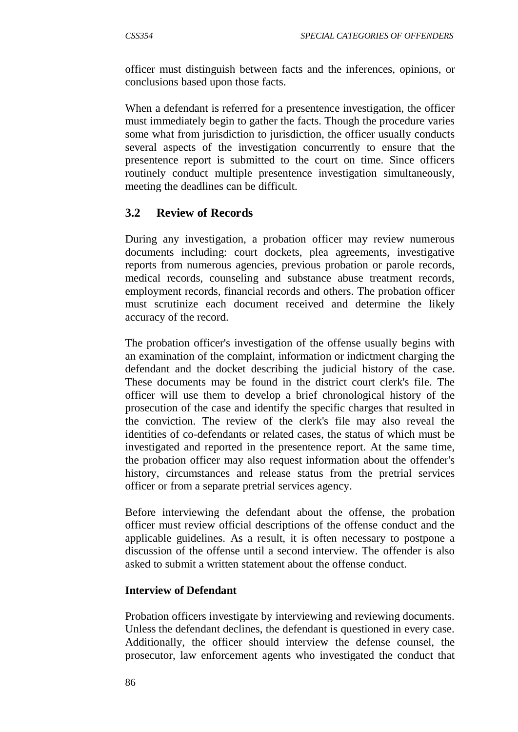officer must distinguish between facts and the inferences, opinions, or conclusions based upon those facts.

When a defendant is referred for a presentence investigation, the officer must immediately begin to gather the facts. Though the procedure varies some what from jurisdiction to jurisdiction, the officer usually conducts several aspects of the investigation concurrently to ensure that the presentence report is submitted to the court on time. Since officers routinely conduct multiple presentence investigation simultaneously, meeting the deadlines can be difficult.

#### **3.2 Review of Records**

During any investigation, a probation officer may review numerous documents including: court dockets, plea agreements, investigative reports from numerous agencies, previous probation or parole records, medical records, counseling and substance abuse treatment records, employment records, financial records and others. The probation officer must scrutinize each document received and determine the likely accuracy of the record.

The probation officer's investigation of the offense usually begins with an examination of the complaint, information or indictment charging the defendant and the docket describing the judicial history of the case. These documents may be found in the district court clerk's file. The officer will use them to develop a brief chronological history of the prosecution of the case and identify the specific charges that resulted in the conviction. The review of the clerk's file may also reveal the identities of co-defendants or related cases, the status of which must be investigated and reported in the presentence report. At the same time, the probation officer may also request information about the offender's history, circumstances and release status from the pretrial services officer or from a separate pretrial services agency.

Before interviewing the defendant about the offense, the probation officer must review official descriptions of the offense conduct and the applicable guidelines. As a result, it is often necessary to postpone a discussion of the offense until a second interview. The offender is also asked to submit a written statement about the offense conduct.

#### **Interview of Defendant**

Probation officers investigate by interviewing and reviewing documents. Unless the defendant declines, the defendant is questioned in every case. Additionally, the officer should interview the defense counsel, the prosecutor, law enforcement agents who investigated the conduct that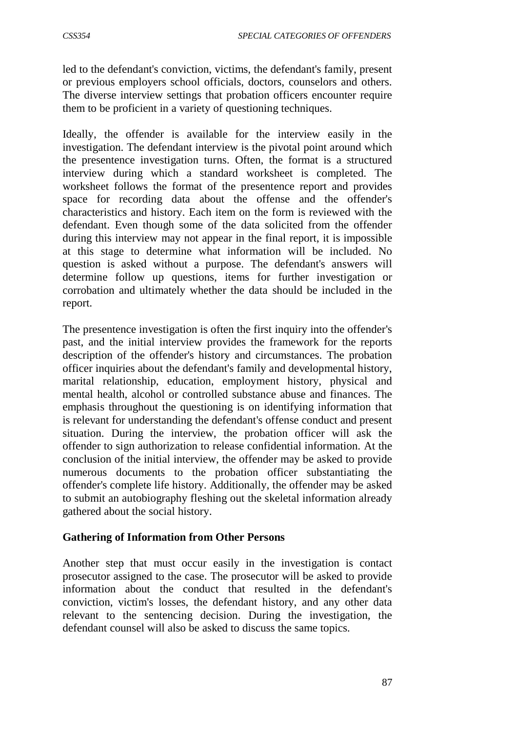led to the defendant's conviction, victims, the defendant's family, present or previous employers school officials, doctors, counselors and others. The diverse interview settings that probation officers encounter require them to be proficient in a variety of questioning techniques.

Ideally, the offender is available for the interview easily in the investigation. The defendant interview is the pivotal point around which the presentence investigation turns. Often, the format is a structured interview during which a standard worksheet is completed. The worksheet follows the format of the presentence report and provides space for recording data about the offense and the offender's characteristics and history. Each item on the form is reviewed with the defendant. Even though some of the data solicited from the offender during this interview may not appear in the final report, it is impossible at this stage to determine what information will be included. No question is asked without a purpose. The defendant's answers will determine follow up questions, items for further investigation or corrobation and ultimately whether the data should be included in the report.

The presentence investigation is often the first inquiry into the offender's past, and the initial interview provides the framework for the reports description of the offender's history and circumstances. The probation officer inquiries about the defendant's family and developmental history, marital relationship, education, employment history, physical and mental health, alcohol or controlled substance abuse and finances. The emphasis throughout the questioning is on identifying information that is relevant for understanding the defendant's offense conduct and present situation. During the interview, the probation officer will ask the offender to sign authorization to release confidential information. At the conclusion of the initial interview, the offender may be asked to provide numerous documents to the probation officer substantiating the offender's complete life history. Additionally, the offender may be asked to submit an autobiography fleshing out the skeletal information already gathered about the social history.

#### **Gathering of Information from Other Persons**

Another step that must occur easily in the investigation is contact prosecutor assigned to the case. The prosecutor will be asked to provide information about the conduct that resulted in the defendant's conviction, victim's losses, the defendant history, and any other data relevant to the sentencing decision. During the investigation, the defendant counsel will also be asked to discuss the same topics.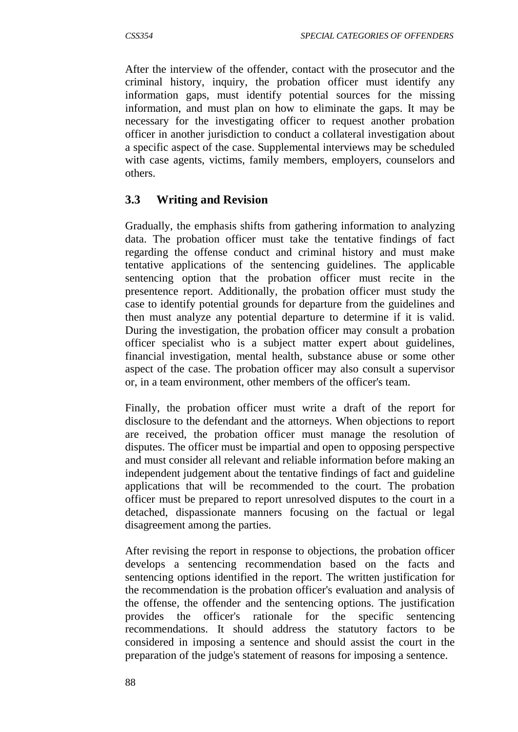After the interview of the offender, contact with the prosecutor and the criminal history, inquiry, the probation officer must identify any information gaps, must identify potential sources for the missing information, and must plan on how to eliminate the gaps. It may be necessary for the investigating officer to request another probation officer in another jurisdiction to conduct a collateral investigation about a specific aspect of the case. Supplemental interviews may be scheduled with case agents, victims, family members, employers, counselors and others.

# **3.3 Writing and Revision**

Gradually, the emphasis shifts from gathering information to analyzing data. The probation officer must take the tentative findings of fact regarding the offense conduct and criminal history and must make tentative applications of the sentencing guidelines. The applicable sentencing option that the probation officer must recite in the presentence report. Additionally, the probation officer must study the case to identify potential grounds for departure from the guidelines and then must analyze any potential departure to determine if it is valid. During the investigation, the probation officer may consult a probation officer specialist who is a subject matter expert about guidelines, financial investigation, mental health, substance abuse or some other aspect of the case. The probation officer may also consult a supervisor or, in a team environment, other members of the officer's team.

Finally, the probation officer must write a draft of the report for disclosure to the defendant and the attorneys. When objections to report are received, the probation officer must manage the resolution of disputes. The officer must be impartial and open to opposing perspective and must consider all relevant and reliable information before making an independent judgement about the tentative findings of fact and guideline applications that will be recommended to the court. The probation officer must be prepared to report unresolved disputes to the court in a detached, dispassionate manners focusing on the factual or legal disagreement among the parties.

After revising the report in response to objections, the probation officer develops a sentencing recommendation based on the facts and sentencing options identified in the report. The written justification for the recommendation is the probation officer's evaluation and analysis of the offense, the offender and the sentencing options. The justification provides the officer's rationale for the specific sentencing recommendations. It should address the statutory factors to be considered in imposing a sentence and should assist the court in the preparation of the judge's statement of reasons for imposing a sentence.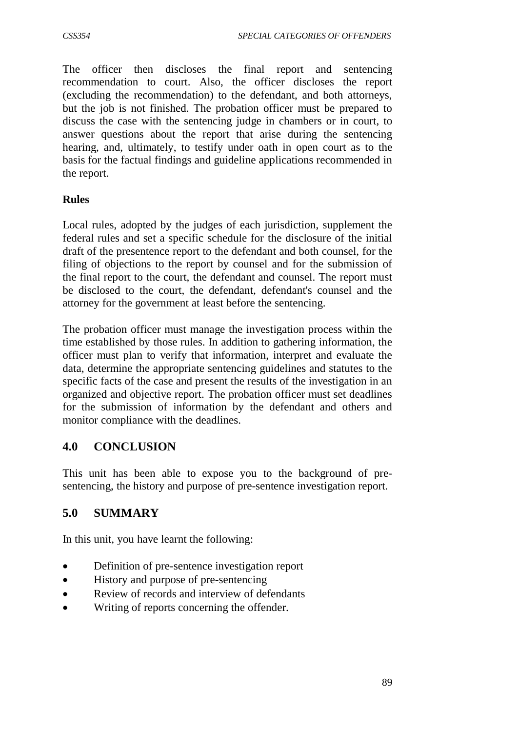The officer then discloses the final report and sentencing recommendation to court. Also, the officer discloses the report (excluding the recommendation) to the defendant, and both attorneys, but the job is not finished. The probation officer must be prepared to discuss the case with the sentencing judge in chambers or in court, to answer questions about the report that arise during the sentencing hearing, and, ultimately, to testify under oath in open court as to the basis for the factual findings and guideline applications recommended in the report.

### **Rules**

Local rules, adopted by the judges of each jurisdiction, supplement the federal rules and set a specific schedule for the disclosure of the initial draft of the presentence report to the defendant and both counsel, for the filing of objections to the report by counsel and for the submission of the final report to the court, the defendant and counsel. The report must be disclosed to the court, the defendant, defendant's counsel and the attorney for the government at least before the sentencing.

The probation officer must manage the investigation process within the time established by those rules. In addition to gathering information, the officer must plan to verify that information, interpret and evaluate the data, determine the appropriate sentencing guidelines and statutes to the specific facts of the case and present the results of the investigation in an organized and objective report. The probation officer must set deadlines for the submission of information by the defendant and others and monitor compliance with the deadlines.

# **4.0 CONCLUSION**

This unit has been able to expose you to the background of presentencing, the history and purpose of pre-sentence investigation report.

# **5.0 SUMMARY**

In this unit, you have learnt the following:

- Definition of pre-sentence investigation report
- History and purpose of pre-sentencing
- Review of records and interview of defendants
- Writing of reports concerning the offender.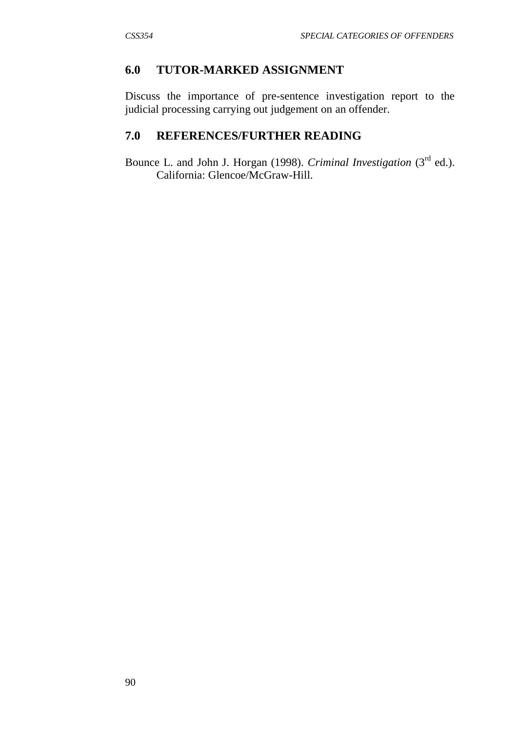#### **6.0 TUTOR-MARKED ASSIGNMENT**

Discuss the importance of pre-sentence investigation report to the judicial processing carrying out judgement on an offender.

# **7.0 REFERENCES/FURTHER READING**

Bounce L. and John J. Horgan (1998). *Criminal Investigation* (3<sup>rd</sup> ed.). California: Glencoe/McGraw-Hill.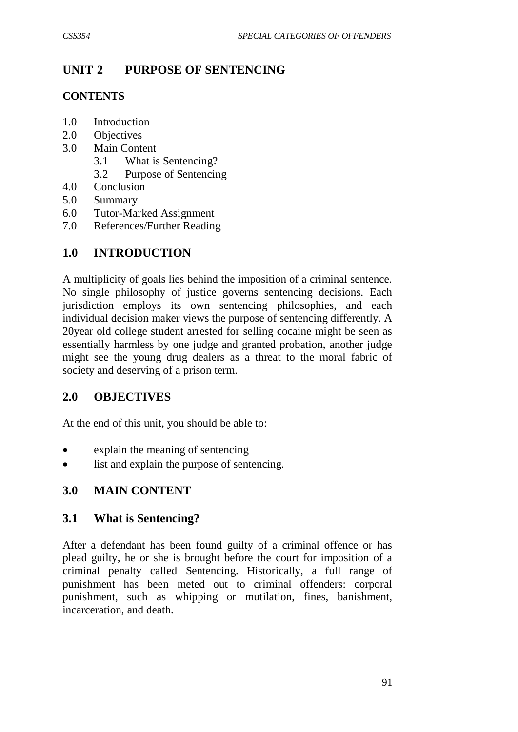## **UNIT 2 PURPOSE OF SENTENCING**

#### **CONTENTS**

- 1.0 Introduction
- 2.0 Objectives
- 3.0 Main Content
	- 3.1 What is Sentencing?
	- 3.2 Purpose of Sentencing
- 4.0 Conclusion
- 5.0 Summary
- 6.0 Tutor-Marked Assignment
- 7.0 References/Further Reading

#### **1.0 INTRODUCTION**

A multiplicity of goals lies behind the imposition of a criminal sentence. No single philosophy of justice governs sentencing decisions. Each jurisdiction employs its own sentencing philosophies, and each individual decision maker views the purpose of sentencing differently. A 20year old college student arrested for selling cocaine might be seen as essentially harmless by one judge and granted probation, another judge might see the young drug dealers as a threat to the moral fabric of society and deserving of a prison term.

#### **2.0 OBJECTIVES**

At the end of this unit, you should be able to:

- explain the meaning of sentencing
- list and explain the purpose of sentencing.

#### **3.0 MAIN CONTENT**

#### **3.1 What is Sentencing?**

After a defendant has been found guilty of a criminal offence or has plead guilty, he or she is brought before the court for imposition of a criminal penalty called Sentencing. Historically, a full range of punishment has been meted out to criminal offenders: corporal punishment, such as whipping or mutilation, fines, banishment, incarceration, and death.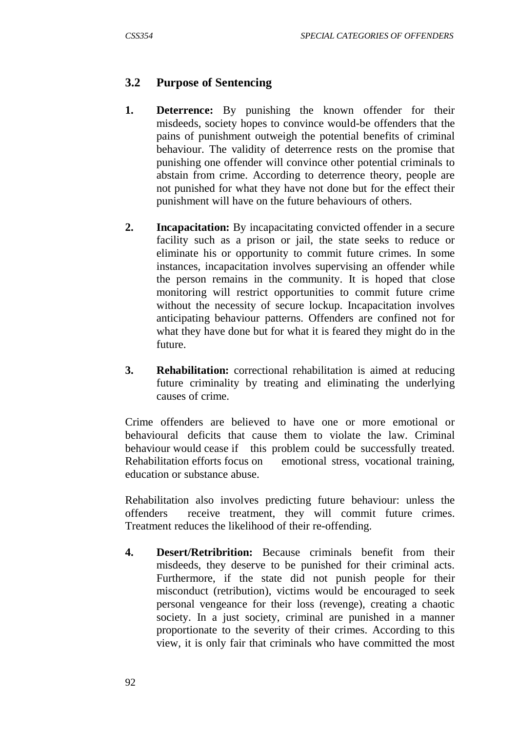# **3.2 Purpose of Sentencing**

- **1. Deterrence:** By punishing the known offender for their misdeeds, society hopes to convince would-be offenders that the pains of punishment outweigh the potential benefits of criminal behaviour. The validity of deterrence rests on the promise that punishing one offender will convince other potential criminals to abstain from crime. According to deterrence theory, people are not punished for what they have not done but for the effect their punishment will have on the future behaviours of others.
- **2. Incapacitation:** By incapacitating convicted offender in a secure facility such as a prison or jail, the state seeks to reduce or eliminate his or opportunity to commit future crimes. In some instances, incapacitation involves supervising an offender while the person remains in the community. It is hoped that close monitoring will restrict opportunities to commit future crime without the necessity of secure lockup. Incapacitation involves anticipating behaviour patterns. Offenders are confined not for what they have done but for what it is feared they might do in the future.
- **3. Rehabilitation:** correctional rehabilitation is aimed at reducing future criminality by treating and eliminating the underlying causes of crime.

Crime offenders are believed to have one or more emotional or behavioural deficits that cause them to violate the law. Criminal behaviour would cease if this problem could be successfully treated. Rehabilitation efforts focus on emotional stress, vocational training, education or substance abuse.

Rehabilitation also involves predicting future behaviour: unless the offenders receive treatment, they will commit future crimes. Treatment reduces the likelihood of their re-offending.

**4. Desert/Retribrition:** Because criminals benefit from their misdeeds, they deserve to be punished for their criminal acts. Furthermore, if the state did not punish people for their misconduct (retribution), victims would be encouraged to seek personal vengeance for their loss (revenge), creating a chaotic society. In a just society, criminal are punished in a manner proportionate to the severity of their crimes. According to this view, it is only fair that criminals who have committed the most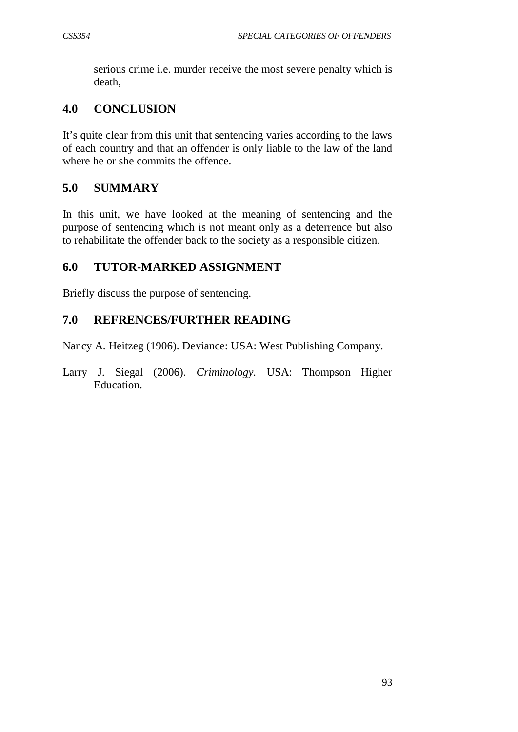serious crime i.e. murder receive the most severe penalty which is death,

## **4.0 CONCLUSION**

It's quite clear from this unit that sentencing varies according to the laws of each country and that an offender is only liable to the law of the land where he or she commits the offence.

## **5.0 SUMMARY**

In this unit, we have looked at the meaning of sentencing and the purpose of sentencing which is not meant only as a deterrence but also to rehabilitate the offender back to the society as a responsible citizen.

## **6.0 TUTOR-MARKED ASSIGNMENT**

Briefly discuss the purpose of sentencing.

### **7.0 REFRENCES/FURTHER READING**

Nancy A. Heitzeg (1906). Deviance: USA: West Publishing Company*.*

Larry J. Siegal (2006). *Criminology.* USA: Thompson Higher Education.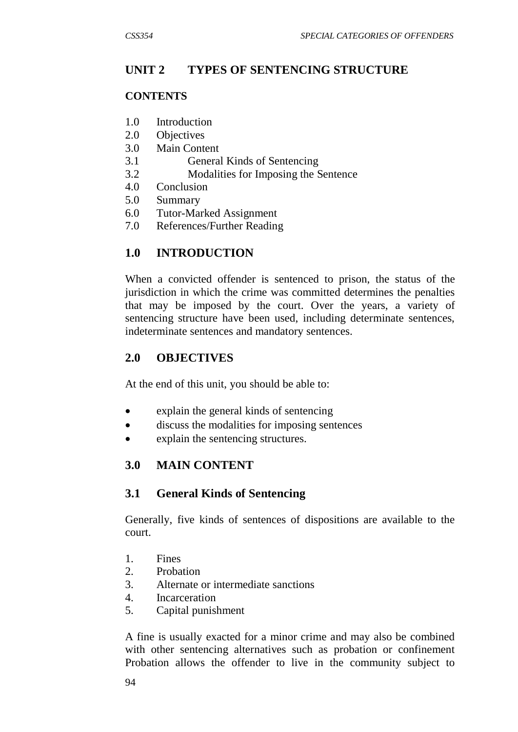## **UNIT 2 TYPES OF SENTENCING STRUCTURE**

#### **CONTENTS**

- 1.0 Introduction
- 2.0 Objectives
- 3.0 Main Content
- 3.1 General Kinds of Sentencing
- 3.2 Modalities for Imposing the Sentence
- 4.0 Conclusion
- 5.0 Summary
- 6.0 Tutor-Marked Assignment
- 7.0 References/Further Reading

### **1.0 INTRODUCTION**

When a convicted offender is sentenced to prison, the status of the jurisdiction in which the crime was committed determines the penalties that may be imposed by the court. Over the years, a variety of sentencing structure have been used, including determinate sentences, indeterminate sentences and mandatory sentences.

### **2.0 OBJECTIVES**

At the end of this unit, you should be able to:

- explain the general kinds of sentencing
- discuss the modalities for imposing sentences
- explain the sentencing structures.

### **3.0 MAIN CONTENT**

### **3.1 General Kinds of Sentencing**

Generally, five kinds of sentences of dispositions are available to the court.

- 1. Fines
- 2. Probation
- 3. Alternate or intermediate sanctions
- 4. Incarceration
- 5. Capital punishment

A fine is usually exacted for a minor crime and may also be combined with other sentencing alternatives such as probation or confinement Probation allows the offender to live in the community subject to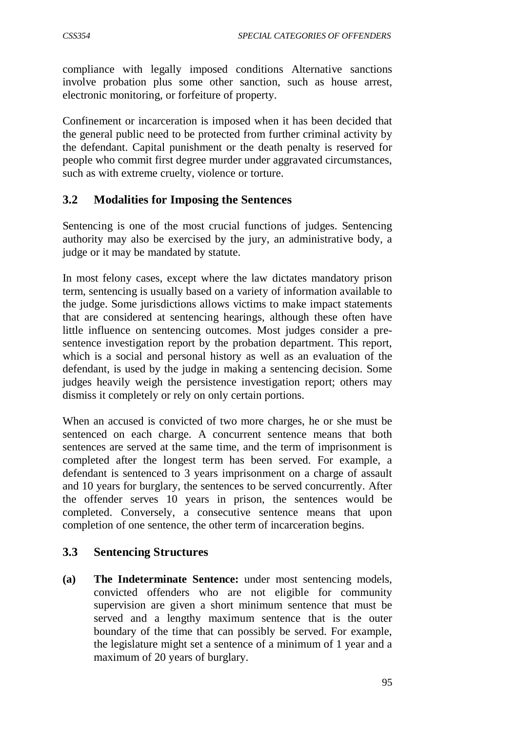compliance with legally imposed conditions Alternative sanctions involve probation plus some other sanction, such as house arrest, electronic monitoring, or forfeiture of property.

Confinement or incarceration is imposed when it has been decided that the general public need to be protected from further criminal activity by the defendant. Capital punishment or the death penalty is reserved for people who commit first degree murder under aggravated circumstances, such as with extreme cruelty, violence or torture.

## **3.2 Modalities for Imposing the Sentences**

Sentencing is one of the most crucial functions of judges. Sentencing authority may also be exercised by the jury, an administrative body, a judge or it may be mandated by statute.

In most felony cases, except where the law dictates mandatory prison term, sentencing is usually based on a variety of information available to the judge. Some jurisdictions allows victims to make impact statements that are considered at sentencing hearings, although these often have little influence on sentencing outcomes. Most judges consider a presentence investigation report by the probation department. This report, which is a social and personal history as well as an evaluation of the defendant, is used by the judge in making a sentencing decision. Some judges heavily weigh the persistence investigation report; others may dismiss it completely or rely on only certain portions.

When an accused is convicted of two more charges, he or she must be sentenced on each charge. A concurrent sentence means that both sentences are served at the same time, and the term of imprisonment is completed after the longest term has been served. For example, a defendant is sentenced to 3 years imprisonment on a charge of assault and 10 years for burglary, the sentences to be served concurrently. After the offender serves 10 years in prison, the sentences would be completed. Conversely, a consecutive sentence means that upon completion of one sentence, the other term of incarceration begins.

### **3.3 Sentencing Structures**

**(a) The Indeterminate Sentence:** under most sentencing models, convicted offenders who are not eligible for community supervision are given a short minimum sentence that must be served and a lengthy maximum sentence that is the outer boundary of the time that can possibly be served. For example, the legislature might set a sentence of a minimum of 1 year and a maximum of 20 years of burglary.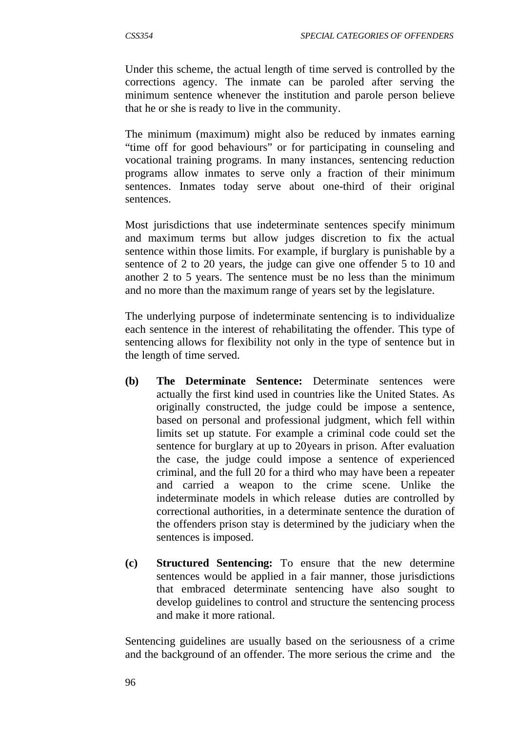Under this scheme, the actual length of time served is controlled by the corrections agency. The inmate can be paroled after serving the minimum sentence whenever the institution and parole person believe that he or she is ready to live in the community.

The minimum (maximum) might also be reduced by inmates earning "time off for good behaviours" or for participating in counseling and vocational training programs. In many instances, sentencing reduction programs allow inmates to serve only a fraction of their minimum sentences. Inmates today serve about one-third of their original sentences.

Most jurisdictions that use indeterminate sentences specify minimum and maximum terms but allow judges discretion to fix the actual sentence within those limits. For example, if burglary is punishable by a sentence of 2 to 20 years, the judge can give one offender 5 to 10 and another 2 to 5 years. The sentence must be no less than the minimum and no more than the maximum range of years set by the legislature.

The underlying purpose of indeterminate sentencing is to individualize each sentence in the interest of rehabilitating the offender. This type of sentencing allows for flexibility not only in the type of sentence but in the length of time served.

- **(b) The Determinate Sentence:** Determinate sentences were actually the first kind used in countries like the United States. As originally constructed, the judge could be impose a sentence, based on personal and professional judgment, which fell within limits set up statute. For example a criminal code could set the sentence for burglary at up to 20years in prison. After evaluation the case, the judge could impose a sentence of experienced criminal, and the full 20 for a third who may have been a repeater and carried a weapon to the crime scene. Unlike the indeterminate models in which release duties are controlled by correctional authorities, in a determinate sentence the duration of the offenders prison stay is determined by the judiciary when the sentences is imposed.
- **(c) Structured Sentencing:** To ensure that the new determine sentences would be applied in a fair manner, those jurisdictions that embraced determinate sentencing have also sought to develop guidelines to control and structure the sentencing process and make it more rational.

Sentencing guidelines are usually based on the seriousness of a crime and the background of an offender. The more serious the crime and the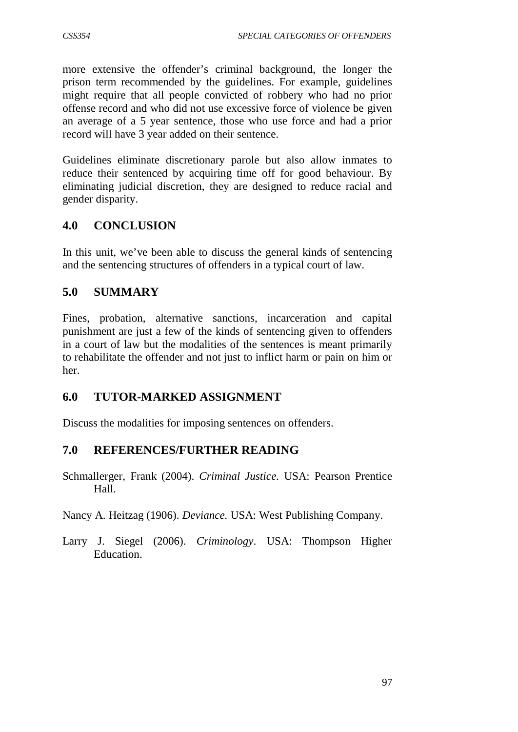more extensive the offender's criminal background, the longer the prison term recommended by the guidelines. For example, guidelines might require that all people convicted of robbery who had no prior offense record and who did not use excessive force of violence be given an average of a 5 year sentence, those who use force and had a prior record will have 3 year added on their sentence.

Guidelines eliminate discretionary parole but also allow inmates to reduce their sentenced by acquiring time off for good behaviour. By eliminating judicial discretion, they are designed to reduce racial and gender disparity.

# **4.0 CONCLUSION**

In this unit, we've been able to discuss the general kinds of sentencing and the sentencing structures of offenders in a typical court of law.

## **5.0 SUMMARY**

Fines, probation, alternative sanctions, incarceration and capital punishment are just a few of the kinds of sentencing given to offenders in a court of law but the modalities of the sentences is meant primarily to rehabilitate the offender and not just to inflict harm or pain on him or her.

### **6.0 TUTOR-MARKED ASSIGNMENT**

Discuss the modalities for imposing sentences on offenders.

### **7.0 REFERENCES/FURTHER READING**

Schmallerger, Frank (2004). *Criminal Justice.* USA: Pearson Prentice Hall.

Nancy A. Heitzag (1906). *Deviance.* USA: West Publishing Company.

Larry J. Siegel (2006). *Criminology*. USA: Thompson Higher Education.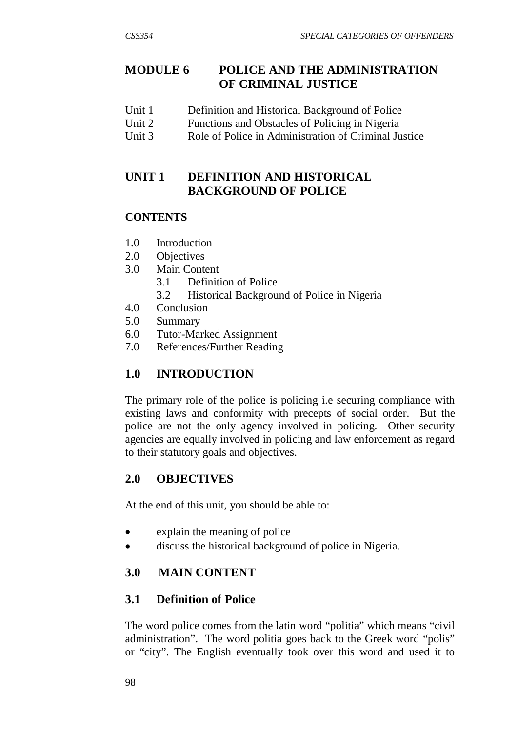# **MODULE 6 POLICE AND THE ADMINISTRATION OF CRIMINAL JUSTICE**

- Unit 1 Definition and Historical Background of Police
- Unit 2 Functions and Obstacles of Policing in Nigeria<br>Unit 3 Role of Police in Administration of Criminal Ju
- Role of Police in Administration of Criminal Justice

## **UNIT 1 DEFINITION AND HISTORICAL BACKGROUND OF POLICE**

### **CONTENTS**

- 1.0 Introduction
- 2.0 Objectives
- 3.0 Main Content
	- 3.1 Definition of Police
	- 3.2 Historical Background of Police in Nigeria
- 4.0 Conclusion
- 5.0 Summary
- 6.0 Tutor-Marked Assignment
- 7.0 References/Further Reading

# **1.0 INTRODUCTION**

The primary role of the police is policing i.e securing compliance with existing laws and conformity with precepts of social order. But the police are not the only agency involved in policing. Other security agencies are equally involved in policing and law enforcement as regard to their statutory goals and objectives.

# **2.0 OBJECTIVES**

At the end of this unit, you should be able to:

- explain the meaning of police
- discuss the historical background of police in Nigeria.

# **3.0 MAIN CONTENT**

### **3.1 Definition of Police**

The word police comes from the latin word "politia" which means "civil administration". The word politia goes back to the Greek word "polis" or "city". The English eventually took over this word and used it to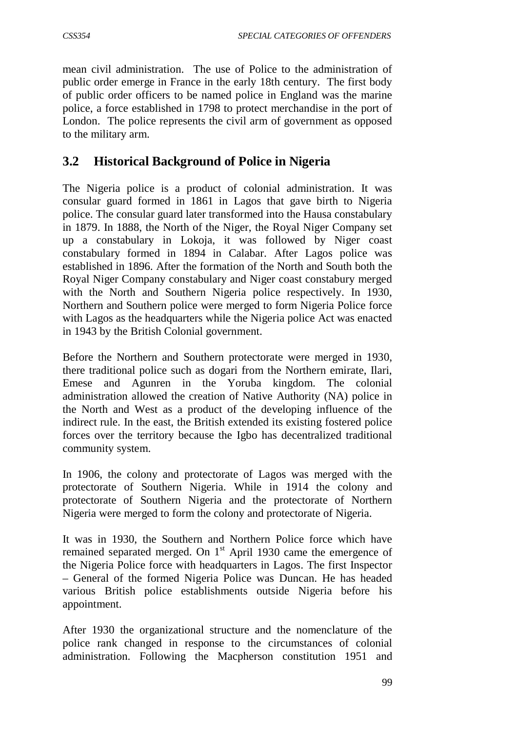mean civil administration. The use of Police to the administration of public order emerge in France in the early 18th century. The first body of public order officers to be named police in England was the marine police, a force established in 1798 to protect merchandise in the port of London. The police represents the civil arm of government as opposed to the military arm.

# **3.2 Historical Background of Police in Nigeria**

The Nigeria police is a product of colonial administration. It was consular guard formed in 1861 in Lagos that gave birth to Nigeria police. The consular guard later transformed into the Hausa constabulary in 1879. In 1888, the North of the Niger, the Royal Niger Company set up a constabulary in Lokoja, it was followed by Niger coast constabulary formed in 1894 in Calabar. After Lagos police was established in 1896. After the formation of the North and South both the Royal Niger Company constabulary and Niger coast constabury merged with the North and Southern Nigeria police respectively. In 1930, Northern and Southern police were merged to form Nigeria Police force with Lagos as the headquarters while the Nigeria police Act was enacted in 1943 by the British Colonial government.

Before the Northern and Southern protectorate were merged in 1930, there traditional police such as dogari from the Northern emirate, Ilari, Emese and Agunren in the Yoruba kingdom. The colonial administration allowed the creation of Native Authority (NA) police in the North and West as a product of the developing influence of the indirect rule. In the east, the British extended its existing fostered police forces over the territory because the Igbo has decentralized traditional community system.

In 1906, the colony and protectorate of Lagos was merged with the protectorate of Southern Nigeria. While in 1914 the colony and protectorate of Southern Nigeria and the protectorate of Northern Nigeria were merged to form the colony and protectorate of Nigeria.

It was in 1930, the Southern and Northern Police force which have remained separated merged. On  $1<sup>st</sup>$  April 1930 came the emergence of the Nigeria Police force with headquarters in Lagos. The first Inspector – General of the formed Nigeria Police was Duncan. He has headed various British police establishments outside Nigeria before his appointment.

After 1930 the organizational structure and the nomenclature of the police rank changed in response to the circumstances of colonial administration. Following the Macpherson constitution 1951 and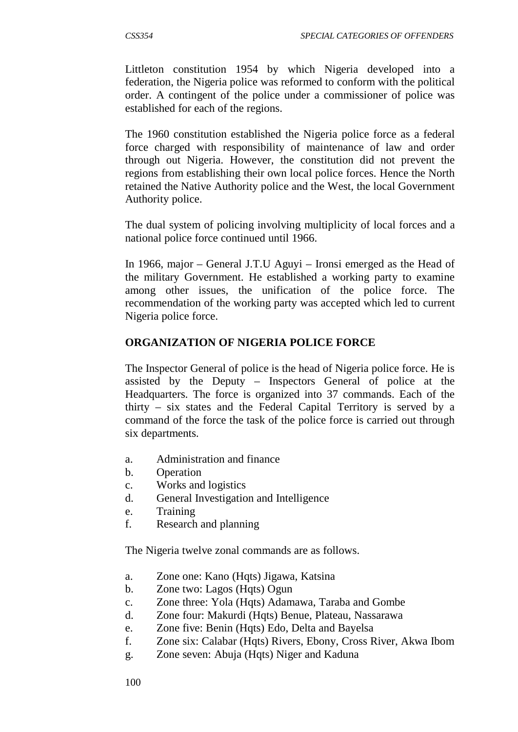Littleton constitution 1954 by which Nigeria developed into a federation, the Nigeria police was reformed to conform with the political order. A contingent of the police under a commissioner of police was established for each of the regions.

The 1960 constitution established the Nigeria police force as a federal force charged with responsibility of maintenance of law and order through out Nigeria. However, the constitution did not prevent the regions from establishing their own local police forces. Hence the North retained the Native Authority police and the West, the local Government Authority police.

The dual system of policing involving multiplicity of local forces and a national police force continued until 1966.

In 1966, major – General J.T.U Aguyi – Ironsi emerged as the Head of the military Government. He established a working party to examine among other issues, the unification of the police force. The recommendation of the working party was accepted which led to current Nigeria police force.

#### **ORGANIZATION OF NIGERIA POLICE FORCE**

The Inspector General of police is the head of Nigeria police force. He is assisted by the Deputy – Inspectors General of police at the Headquarters. The force is organized into 37 commands. Each of the thirty – six states and the Federal Capital Territory is served by a command of the force the task of the police force is carried out through six departments.

- a. Administration and finance
- b. Operation
- c. Works and logistics
- d. General Investigation and Intelligence
- e. Training
- f. Research and planning

The Nigeria twelve zonal commands are as follows.

- a. Zone one: Kano (Hqts) Jigawa, Katsina
- b. Zone two: Lagos (Hqts) Ogun
- c. Zone three: Yola (Hqts) Adamawa, Taraba and Gombe
- d. Zone four: Makurdi (Hqts) Benue, Plateau, Nassarawa
- e. Zone five: Benin (Hqts) Edo, Delta and Bayelsa
- f. Zone six: Calabar (Hqts) Rivers, Ebony, Cross River, Akwa Ibom
- g. Zone seven: Abuja (Hqts) Niger and Kaduna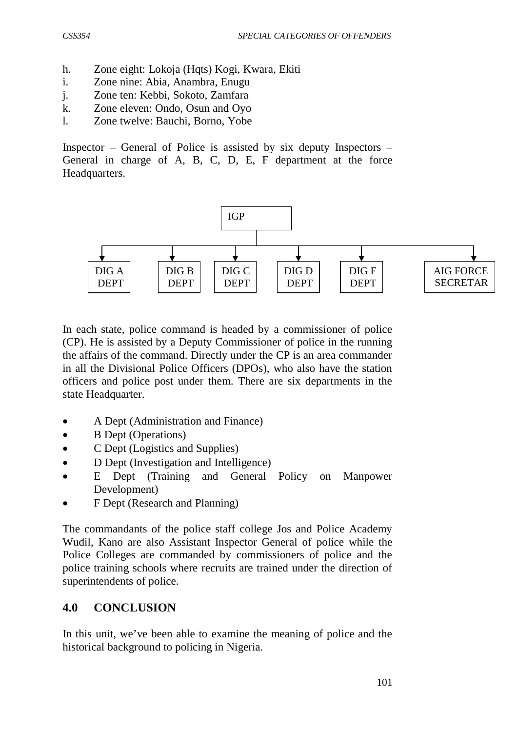- h. Zone eight: Lokoja (Hqts) Kogi, Kwara, Ekiti
- i. Zone nine: Abia, Anambra, Enugu
- j. Zone ten: Kebbi, Sokoto, Zamfara
- k. Zone eleven: Ondo, Osun and Oyo
- l. Zone twelve: Bauchi, Borno, Yobe

Inspector – General of Police is assisted by six deputy Inspectors – General in charge of A, B, C, D, E, F department at the force Headquarters.



In each state, police command is headed by a commissioner of police (CP). He is assisted by a Deputy Commissioner of police in the running the affairs of the command. Directly under the CP is an area commander in all the Divisional Police Officers (DPOs), who also have the station officers and police post under them. There are six departments in the state Headquarter.

- A Dept (Administration and Finance)
- B Dept (Operations)
- C Dept (Logistics and Supplies)
- D Dept (Investigation and Intelligence)
- E Dept (Training and General Policy on Manpower Development)
- F Dept (Research and Planning)

The commandants of the police staff college Jos and Police Academy Wudil, Kano are also Assistant Inspector General of police while the Police Colleges are commanded by commissioners of police and the police training schools where recruits are trained under the direction of superintendents of police.

### **4.0 CONCLUSION**

In this unit, we've been able to examine the meaning of police and the historical background to policing in Nigeria.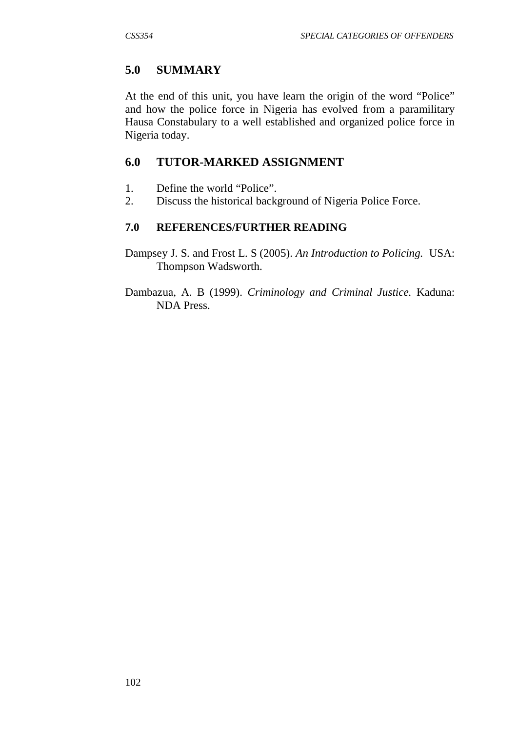## **5.0 SUMMARY**

At the end of this unit, you have learn the origin of the word "Police" and how the police force in Nigeria has evolved from a paramilitary Hausa Constabulary to a well established and organized police force in Nigeria today.

## **6.0 TUTOR-MARKED ASSIGNMENT**

- 1. Define the world "Police".
- 2. Discuss the historical background of Nigeria Police Force.

### **7.0 REFERENCES/FURTHER READING**

- Dampsey J. S. and Frost L. S (2005). *An Introduction to Policing.* USA: Thompson Wadsworth.
- Dambazua, A. B (1999). *Criminology and Criminal Justice.* Kaduna: NDA Press.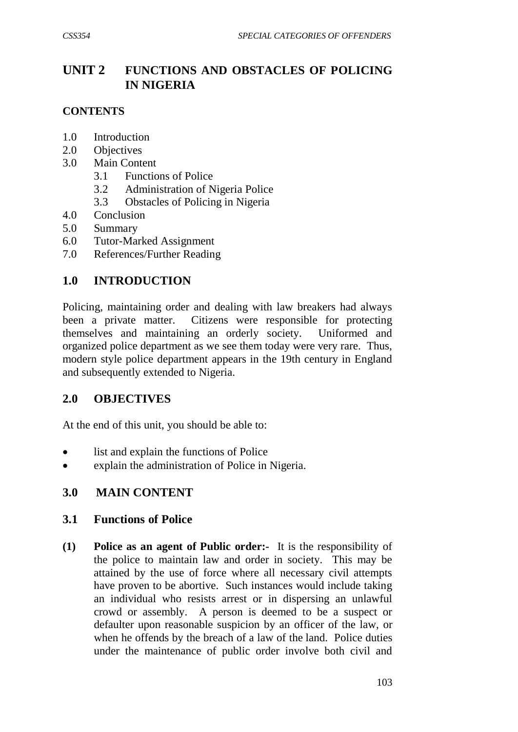# **UNIT 2 FUNCTIONS AND OBSTACLES OF POLICING IN NIGERIA**

#### **CONTENTS**

- 1.0 Introduction
- 2.0 Objectives
- 3.0 Main Content
	- 3.1 Functions of Police
	- 3.2 Administration of Nigeria Police
	- 3.3 Obstacles of Policing in Nigeria
- 4.0 Conclusion
- 5.0 Summary
- 6.0 Tutor-Marked Assignment
- 7.0 References/Further Reading

## **1.0 INTRODUCTION**

Policing, maintaining order and dealing with law breakers had always been a private matter. Citizens were responsible for protecting themselves and maintaining an orderly society. Uniformed and organized police department as we see them today were very rare. Thus, modern style police department appears in the 19th century in England and subsequently extended to Nigeria.

### **2.0 OBJECTIVES**

At the end of this unit, you should be able to:

- list and explain the functions of Police
- explain the administration of Police in Nigeria.

### **3.0 MAIN CONTENT**

#### **3.1 Functions of Police**

**(1) Police as an agent of Public order:-** It is the responsibility of the police to maintain law and order in society. This may be attained by the use of force where all necessary civil attempts have proven to be abortive. Such instances would include taking an individual who resists arrest or in dispersing an unlawful crowd or assembly. A person is deemed to be a suspect or defaulter upon reasonable suspicion by an officer of the law, or when he offends by the breach of a law of the land. Police duties under the maintenance of public order involve both civil and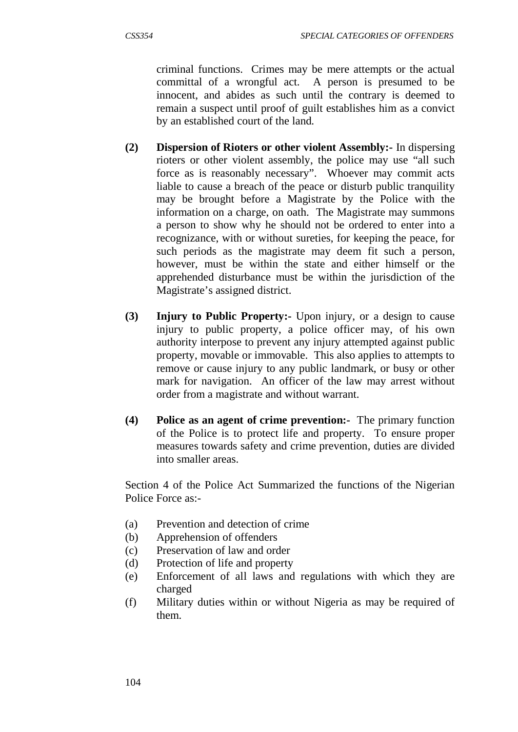criminal functions. Crimes may be mere attempts or the actual committal of a wrongful act. A person is presumed to be innocent, and abides as such until the contrary is deemed to remain a suspect until proof of guilt establishes him as a convict by an established court of the land.

- **(2) Dispersion of Rioters or other violent Assembly:-** In dispersing rioters or other violent assembly, the police may use "all such force as is reasonably necessary". Whoever may commit acts liable to cause a breach of the peace or disturb public tranquility may be brought before a Magistrate by the Police with the information on a charge, on oath. The Magistrate may summons a person to show why he should not be ordered to enter into a recognizance, with or without sureties, for keeping the peace, for such periods as the magistrate may deem fit such a person, however, must be within the state and either himself or the apprehended disturbance must be within the jurisdiction of the Magistrate's assigned district.
- **(3) Injury to Public Property:-** Upon injury, or a design to cause injury to public property, a police officer may, of his own authority interpose to prevent any injury attempted against public property, movable or immovable. This also applies to attempts to remove or cause injury to any public landmark, or busy or other mark for navigation. An officer of the law may arrest without order from a magistrate and without warrant.
- **(4) Police as an agent of crime prevention:-** The primary function of the Police is to protect life and property. To ensure proper measures towards safety and crime prevention, duties are divided into smaller areas.

Section 4 of the Police Act Summarized the functions of the Nigerian Police Force as:-

- (a) Prevention and detection of crime
- (b) Apprehension of offenders
- (c) Preservation of law and order
- (d) Protection of life and property
- (e) Enforcement of all laws and regulations with which they are charged
- (f) Military duties within or without Nigeria as may be required of them.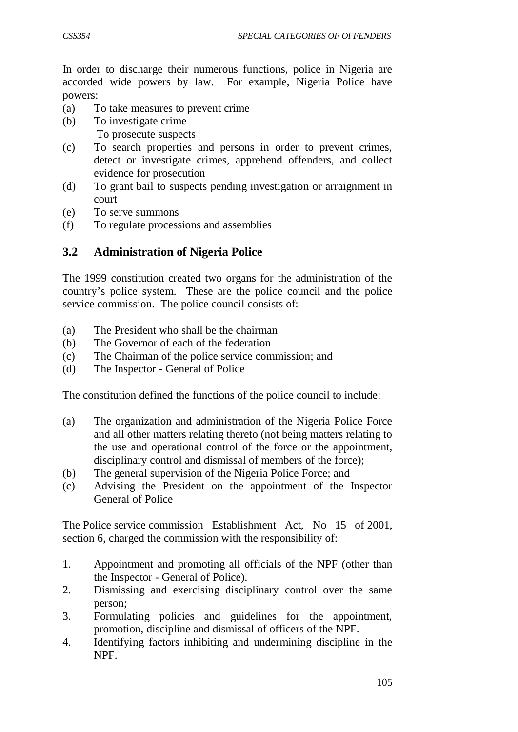In order to discharge their numerous functions, police in Nigeria are accorded wide powers by law. For example, Nigeria Police have powers:

- (a) To take measures to prevent crime
- (b) To investigate crime To prosecute suspects
- (c) To search properties and persons in order to prevent crimes, detect or investigate crimes, apprehend offenders, and collect evidence for prosecution
- (d) To grant bail to suspects pending investigation or arraignment in court
- (e) To serve summons
- (f) To regulate processions and assemblies

## **3.2 Administration of Nigeria Police**

The 1999 constitution created two organs for the administration of the country's police system. These are the police council and the police service commission. The police council consists of:

- (a) The President who shall be the chairman
- (b) The Governor of each of the federation
- (c) The Chairman of the police service commission; and
- (d) The Inspector General of Police

The constitution defined the functions of the police council to include:

- (a) The organization and administration of the Nigeria Police Force and all other matters relating thereto (not being matters relating to the use and operational control of the force or the appointment, disciplinary control and dismissal of members of the force);
- (b) The general supervision of the Nigeria Police Force; and
- (c) Advising the President on the appointment of the Inspector General of Police

The Police service commission Establishment Act, No 15 of 2001, section 6, charged the commission with the responsibility of:

- 1. Appointment and promoting all officials of the NPF (other than the Inspector - General of Police).
- 2. Dismissing and exercising disciplinary control over the same person;
- 3. Formulating policies and guidelines for the appointment, promotion, discipline and dismissal of officers of the NPF.
- 4. Identifying factors inhibiting and undermining discipline in the NPF.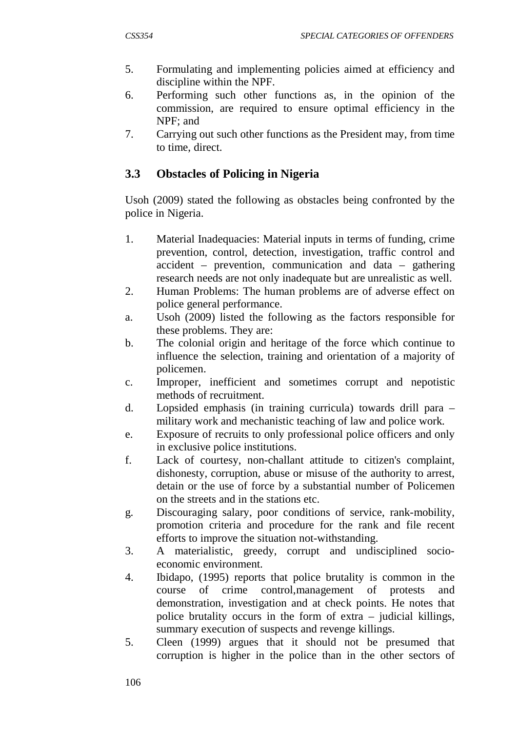- 5. Formulating and implementing policies aimed at efficiency and discipline within the NPF.
- 6. Performing such other functions as, in the opinion of the commission, are required to ensure optimal efficiency in the NPF; and
- 7. Carrying out such other functions as the President may, from time to time, direct.

### **3.3 Obstacles of Policing in Nigeria**

Usoh (2009) stated the following as obstacles being confronted by the police in Nigeria.

- 1. Material Inadequacies: Material inputs in terms of funding, crime prevention, control, detection, investigation, traffic control and accident – prevention, communication and data – gathering research needs are not only inadequate but are unrealistic as well.
- 2. Human Problems: The human problems are of adverse effect on police general performance.
- a. Usoh (2009) listed the following as the factors responsible for these problems. They are:
- b. The colonial origin and heritage of the force which continue to influence the selection, training and orientation of a majority of policemen.
- c. Improper, inefficient and sometimes corrupt and nepotistic methods of recruitment.
- d. Lopsided emphasis (in training curricula) towards drill para military work and mechanistic teaching of law and police work.
- e. Exposure of recruits to only professional police officers and only in exclusive police institutions.
- f. Lack of courtesy, non-challant attitude to citizen's complaint, dishonesty, corruption, abuse or misuse of the authority to arrest, detain or the use of force by a substantial number of Policemen on the streets and in the stations etc.
- g. Discouraging salary, poor conditions of service, rank-mobility, promotion criteria and procedure for the rank and file recent efforts to improve the situation not-withstanding.
- 3. A materialistic, greedy, corrupt and undisciplined socioeconomic environment.
- 4. Ibidapo, (1995) reports that police brutality is common in the course of crime control,management of protests and demonstration, investigation and at check points. He notes that police brutality occurs in the form of extra – judicial killings, summary execution of suspects and revenge killings.
- 5. Cleen (1999) argues that it should not be presumed that corruption is higher in the police than in the other sectors of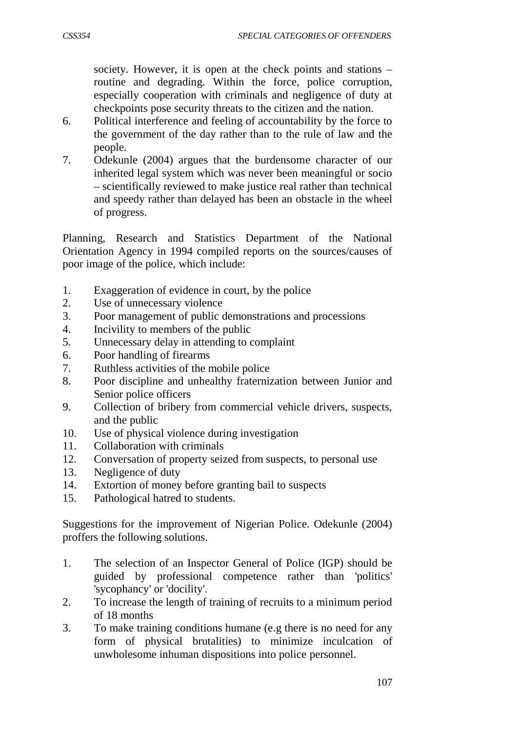society. However, it is open at the check points and stations – routine and degrading. Within the force, police corruption, especially cooperation with criminals and negligence of duty at checkpoints pose security threats to the citizen and the nation.

- 6. Political interference and feeling of accountability by the force to the government of the day rather than to the rule of law and the people.
- 7. Odekunle (2004) argues that the burdensome character of our inherited legal system which was never been meaningful or socio – scientifically reviewed to make justice real rather than technical and speedy rather than delayed has been an obstacle in the wheel of progress.

Planning, Research and Statistics Department of the National Orientation Agency in 1994 compiled reports on the sources/causes of poor image of the police, which include:

- 1. Exaggeration of evidence in court, by the police
- 2. Use of unnecessary violence
- 3. Poor management of public demonstrations and processions
- 4. Incivility to members of the public
- 5. Unnecessary delay in attending to complaint
- 6. Poor handling of firearms
- 7. Ruthless activities of the mobile police
- 8. Poor discipline and unhealthy fraternization between Junior and Senior police officers
- 9. Collection of bribery from commercial vehicle drivers, suspects, and the public
- 10. Use of physical violence during investigation
- 11. Collaboration with criminals
- 12. Conversation of property seized from suspects, to personal use
- 13. Negligence of duty
- 14. Extortion of money before granting bail to suspects
- 15. Pathological hatred to students.

Suggestions for the improvement of Nigerian Police. Odekunle (2004) proffers the following solutions.

- 1. The selection of an Inspector General of Police (IGP) should be guided by professional competence rather than 'politics' 'sycophancy' or 'docility'.
- 2. To increase the length of training of recruits to a minimum period of 18 months
- 3. To make training conditions humane (e.g there is no need for any form of physical brutalities) to minimize inculcation of unwholesome inhuman dispositions into police personnel.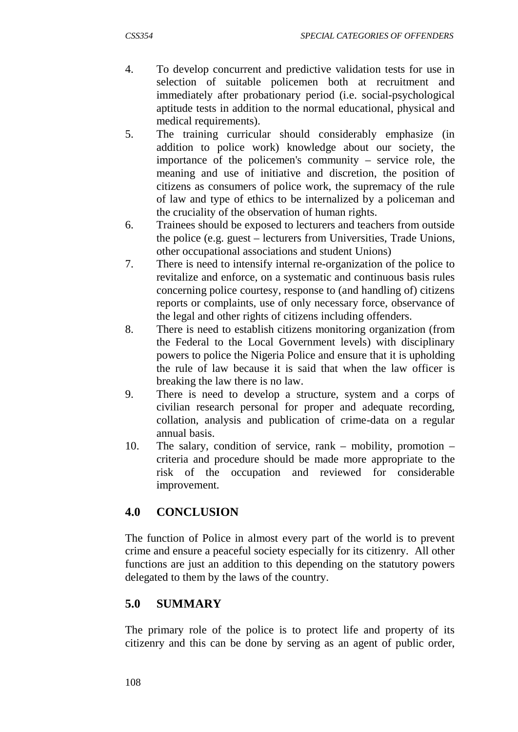- 4. To develop concurrent and predictive validation tests for use in selection of suitable policemen both at recruitment and immediately after probationary period (i.e. social-psychological aptitude tests in addition to the normal educational, physical and medical requirements).
- 5. The training curricular should considerably emphasize (in addition to police work) knowledge about our society, the importance of the policemen's community – service role, the meaning and use of initiative and discretion, the position of citizens as consumers of police work, the supremacy of the rule of law and type of ethics to be internalized by a policeman and the cruciality of the observation of human rights.
- 6. Trainees should be exposed to lecturers and teachers from outside the police (e.g. guest – lecturers from Universities, Trade Unions, other occupational associations and student Unions)
- 7. There is need to intensify internal re-organization of the police to revitalize and enforce, on a systematic and continuous basis rules concerning police courtesy, response to (and handling of) citizens reports or complaints, use of only necessary force, observance of the legal and other rights of citizens including offenders.
- 8. There is need to establish citizens monitoring organization (from the Federal to the Local Government levels) with disciplinary powers to police the Nigeria Police and ensure that it is upholding the rule of law because it is said that when the law officer is breaking the law there is no law.
- 9. There is need to develop a structure, system and a corps of civilian research personal for proper and adequate recording, collation, analysis and publication of crime-data on a regular annual basis.
- 10. The salary, condition of service, rank mobility, promotion criteria and procedure should be made more appropriate to the risk of the occupation and reviewed for considerable improvement.

### **4.0 CONCLUSION**

The function of Police in almost every part of the world is to prevent crime and ensure a peaceful society especially for its citizenry. All other functions are just an addition to this depending on the statutory powers delegated to them by the laws of the country.

### **5.0 SUMMARY**

The primary role of the police is to protect life and property of its citizenry and this can be done by serving as an agent of public order,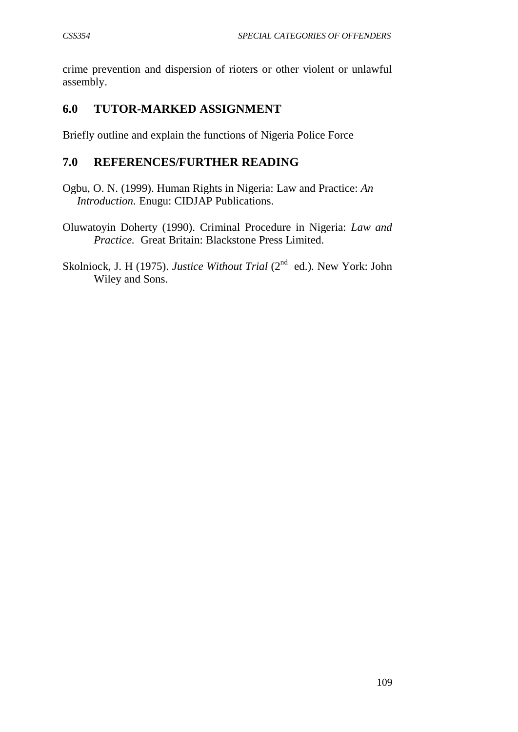crime prevention and dispersion of rioters or other violent or unlawful assembly.

# **6.0 TUTOR-MARKED ASSIGNMENT**

Briefly outline and explain the functions of Nigeria Police Force

## **7.0 REFERENCES/FURTHER READING**

- Ogbu, O. N. (1999). Human Rights in Nigeria: Law and Practice: *An Introduction.* Enugu: CIDJAP Publications.
- Oluwatoyin Doherty (1990). Criminal Procedure in Nigeria: *Law and Practice.* Great Britain: Blackstone Press Limited.

Skolniock, J. H (1975). *Justice Without Trial* (2<sup>nd</sup> ed.). New York: John Wiley and Sons.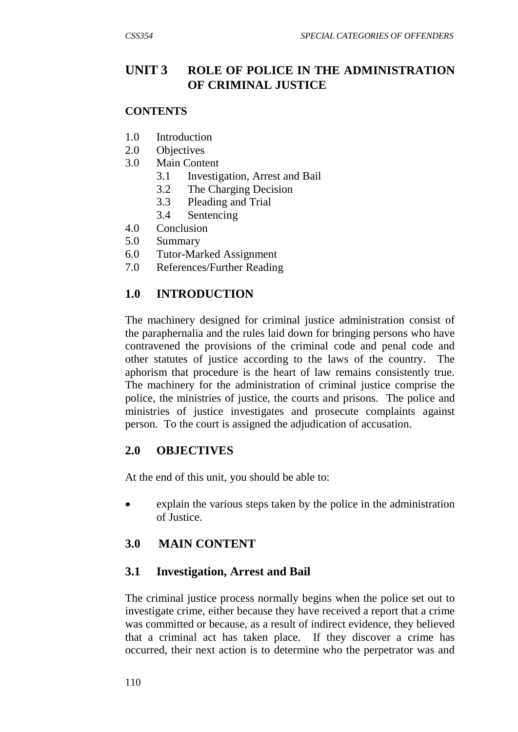# **UNIT 3 ROLE OF POLICE IN THE ADMINISTRATION OF CRIMINAL JUSTICE**

#### **CONTENTS**

- 1.0 Introduction
- 2.0 Objectives
- 3.0 Main Content
	- 3.1 Investigation, Arrest and Bail
	- 3.2 The Charging Decision
	- 3.3 Pleading and Trial
	- 3.4 Sentencing
- 4.0 Conclusion
- 5.0 Summary
- 6.0 Tutor-Marked Assignment
- 7.0 References/Further Reading

# **1.0 INTRODUCTION**

The machinery designed for criminal justice administration consist of the paraphernalia and the rules laid down for bringing persons who have contravened the provisions of the criminal code and penal code and other statutes of justice according to the laws of the country. The aphorism that procedure is the heart of law remains consistently true. The machinery for the administration of criminal justice comprise the police, the ministries of justice, the courts and prisons. The police and ministries of justice investigates and prosecute complaints against person. To the court is assigned the adjudication of accusation.

### **2.0 OBJECTIVES**

At the end of this unit, you should be able to:

• explain the various steps taken by the police in the administration of Justice.

### **3.0 MAIN CONTENT**

### **3.1 Investigation, Arrest and Bail**

The criminal justice process normally begins when the police set out to investigate crime, either because they have received a report that a crime was committed or because, as a result of indirect evidence, they believed that a criminal act has taken place. If they discover a crime has occurred, their next action is to determine who the perpetrator was and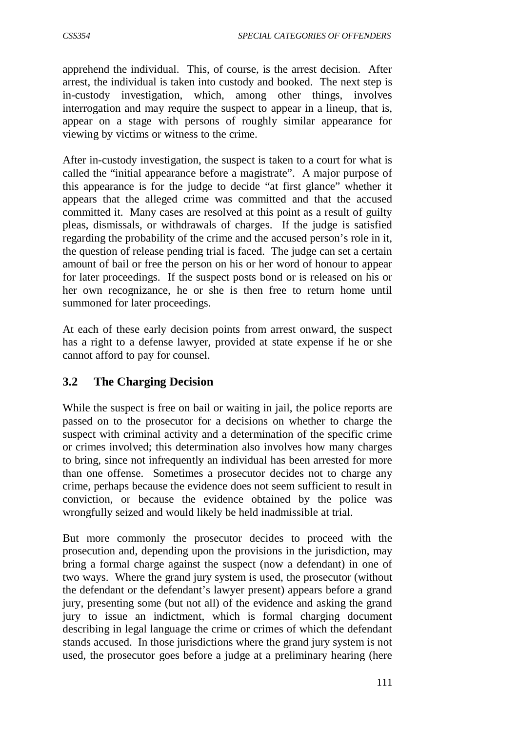apprehend the individual. This, of course, is the arrest decision. After arrest, the individual is taken into custody and booked. The next step is in-custody investigation, which, among other things, involves interrogation and may require the suspect to appear in a lineup, that is, appear on a stage with persons of roughly similar appearance for viewing by victims or witness to the crime.

After in-custody investigation, the suspect is taken to a court for what is called the "initial appearance before a magistrate". A major purpose of this appearance is for the judge to decide "at first glance" whether it appears that the alleged crime was committed and that the accused committed it. Many cases are resolved at this point as a result of guilty pleas, dismissals, or withdrawals of charges. If the judge is satisfied regarding the probability of the crime and the accused person's role in it, the question of release pending trial is faced. The judge can set a certain amount of bail or free the person on his or her word of honour to appear for later proceedings. If the suspect posts bond or is released on his or her own recognizance, he or she is then free to return home until summoned for later proceedings.

At each of these early decision points from arrest onward, the suspect has a right to a defense lawyer, provided at state expense if he or she cannot afford to pay for counsel.

# **3.2 The Charging Decision**

While the suspect is free on bail or waiting in jail, the police reports are passed on to the prosecutor for a decisions on whether to charge the suspect with criminal activity and a determination of the specific crime or crimes involved; this determination also involves how many charges to bring, since not infrequently an individual has been arrested for more than one offense. Sometimes a prosecutor decides not to charge any crime, perhaps because the evidence does not seem sufficient to result in conviction, or because the evidence obtained by the police was wrongfully seized and would likely be held inadmissible at trial.

But more commonly the prosecutor decides to proceed with the prosecution and, depending upon the provisions in the jurisdiction, may bring a formal charge against the suspect (now a defendant) in one of two ways. Where the grand jury system is used, the prosecutor (without the defendant or the defendant's lawyer present) appears before a grand jury, presenting some (but not all) of the evidence and asking the grand jury to issue an indictment, which is formal charging document describing in legal language the crime or crimes of which the defendant stands accused. In those jurisdictions where the grand jury system is not used, the prosecutor goes before a judge at a preliminary hearing (here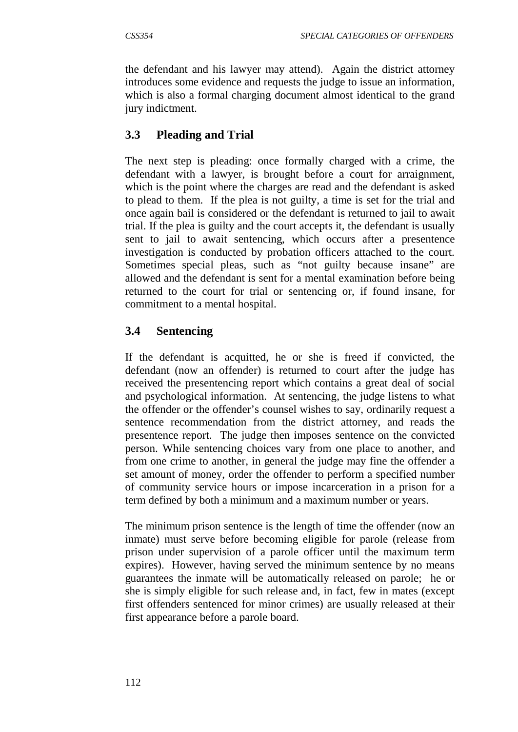the defendant and his lawyer may attend). Again the district attorney introduces some evidence and requests the judge to issue an information, which is also a formal charging document almost identical to the grand jury indictment.

## **3.3 Pleading and Trial**

The next step is pleading: once formally charged with a crime, the defendant with a lawyer, is brought before a court for arraignment, which is the point where the charges are read and the defendant is asked to plead to them. If the plea is not guilty, a time is set for the trial and once again bail is considered or the defendant is returned to jail to await trial. If the plea is guilty and the court accepts it, the defendant is usually sent to jail to await sentencing, which occurs after a presentence investigation is conducted by probation officers attached to the court. Sometimes special pleas, such as "not guilty because insane" are allowed and the defendant is sent for a mental examination before being returned to the court for trial or sentencing or, if found insane, for commitment to a mental hospital.

## **3.4 Sentencing**

If the defendant is acquitted, he or she is freed if convicted, the defendant (now an offender) is returned to court after the judge has received the presentencing report which contains a great deal of social and psychological information. At sentencing, the judge listens to what the offender or the offender's counsel wishes to say, ordinarily request a sentence recommendation from the district attorney, and reads the presentence report. The judge then imposes sentence on the convicted person. While sentencing choices vary from one place to another, and from one crime to another, in general the judge may fine the offender a set amount of money, order the offender to perform a specified number of community service hours or impose incarceration in a prison for a term defined by both a minimum and a maximum number or years.

The minimum prison sentence is the length of time the offender (now an inmate) must serve before becoming eligible for parole (release from prison under supervision of a parole officer until the maximum term expires). However, having served the minimum sentence by no means guarantees the inmate will be automatically released on parole; he or she is simply eligible for such release and, in fact, few in mates (except first offenders sentenced for minor crimes) are usually released at their first appearance before a parole board.